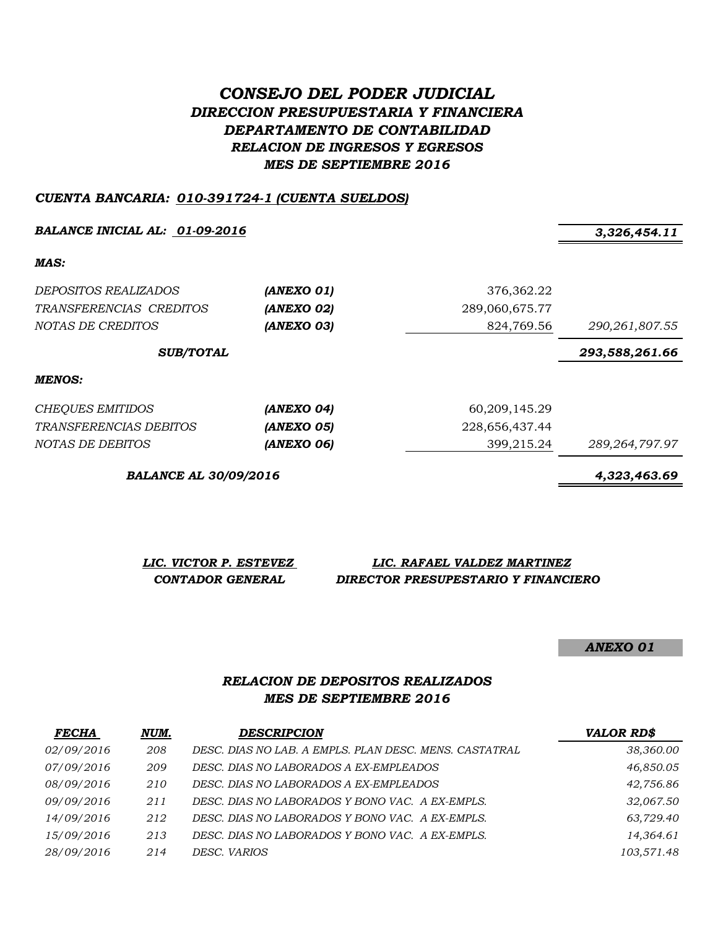# *CONSEJO DEL PODER JUDICIAL DIRECCION PRESUPUESTARIA Y FINANCIERA DEPARTAMENTO DE CONTABILIDAD RELACION DE INGRESOS Y EGRESOS MES DE SEPTIEMBRE 2016*

#### *CUENTA BANCARIA: 010-391724-1 (CUENTA SUELDOS)*

**BALANCE INICIAL AL:** 01-09-2016 3,326,454.11

*MAS:*

| <i>DEPOSITOS REALIZADOS</i><br>TRANSFERENCIAS CREDITOS<br>NOTAS DE CREDITOS | (ANEXO 01)<br>(ANEXO 02)<br>(ANEXO 03) | 376,362.22<br>289,060,675.77<br>824,769.56 | 290, 261, 807.55  |
|-----------------------------------------------------------------------------|----------------------------------------|--------------------------------------------|-------------------|
| <b>SUB/TOTAL</b>                                                            |                                        | 293,588,261.66                             |                   |
| <b>MENOS:</b>                                                               |                                        |                                            |                   |
| <b>CHEQUES EMITIDOS</b>                                                     | (ANEXO 04)                             | 60,209,145.29                              |                   |
| <i>TRANSFERENCIAS DEBITOS</i>                                               | (ANEXO 05)                             | 228,656,437.44                             |                   |
| NOTAS DE DEBITOS                                                            | (ANEXO 06)                             | 399,215.24                                 | 289, 264, 797. 97 |

*BALANCE AL 30/09/2016 4,323,463.69*

*LIC. VICTOR P. ESTEVEZ LIC. RAFAEL VALDEZ MARTINEZ CONTADOR GENERAL DIRECTOR PRESUPESTARIO Y FINANCIERO*

*ANEXO 01*

### *RELACION DE DEPOSITOS REALIZADOS MES DE SEPTIEMBRE 2016*

| <b>FECHA</b> | NUM. | <b>DESCRIPCION</b>                                     | <b>VALOR RD\$</b> |
|--------------|------|--------------------------------------------------------|-------------------|
| 02/09/2016   | 208  | DESC. DIAS NO LAB. A EMPLS. PLAN DESC. MENS. CASTATRAL | 38,360.00         |
| 07/09/2016   | 209  | DESC. DIAS NO LABORADOS A EX-EMPLEADOS                 | 46,850.05         |
| 08/09/2016   | 210  | DESC. DIAS NO LABORADOS A EX-EMPLEADOS                 | 42,756.86         |
| 09/09/2016   | 211  | DESC. DIAS NO LABORADOS Y BONO VAC. A EX-EMPLS.        | 32,067.50         |
| 14/09/2016   | 212  | DESC. DIAS NO LABORADOS Y BONO VAC. A EX-EMPLS.        | 63,729.40         |
| 15/09/2016   | 213  | DESC. DIAS NO LABORADOS Y BONO VAC. A EX-EMPLS.        | 14,364.61         |
| 28/09/2016   | 214  | DESC. VARIOS                                           | 103,571.48        |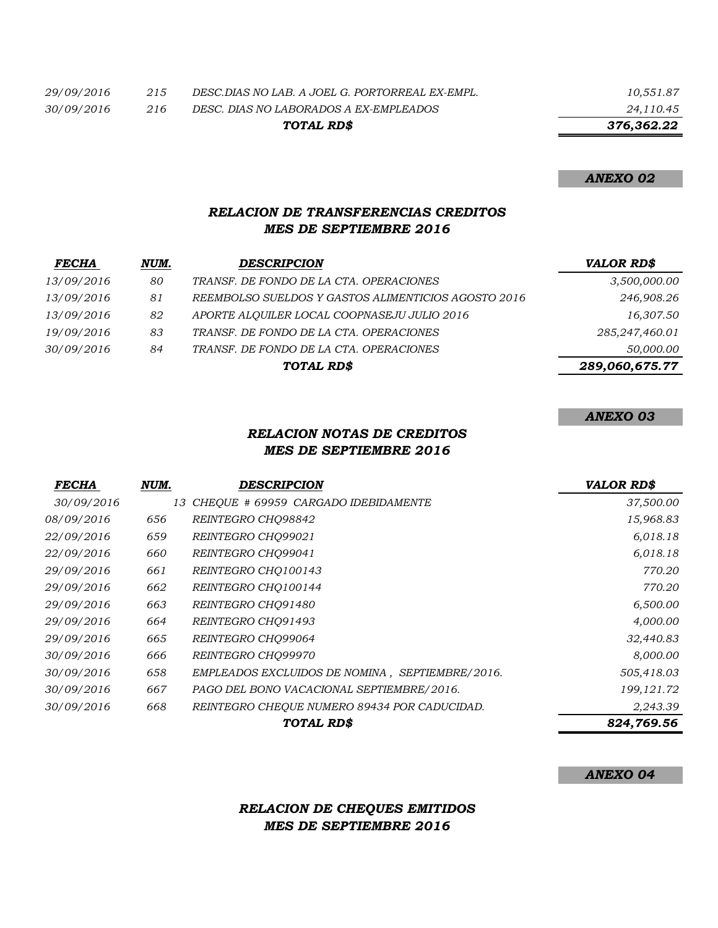|     | TOTAL RD\$                                      | 376,362.22 |
|-----|-------------------------------------------------|------------|
|     |                                                 |            |
| 216 | DESC. DIAS NO LABORADOS A EX-EMPLEADOS          | 24,110.45  |
| 215 | DESC.DIAS NO LAB. A JOEL G. PORTORREAL EX-EMPL. | 10,551.87  |
|     |                                                 |            |

#### *ANEXO 02*

## *RELACION DE TRANSFERENCIAS CREDITOS MES DE SEPTIEMBRE 2016*

| <b>FECHA</b> | NUM. | <b>DESCRIPCION</b>                                  | <b>VALOR RD\$</b> |
|--------------|------|-----------------------------------------------------|-------------------|
| 13/09/2016   | 80   | TRANSF. DE FONDO DE LA CTA. OPERACIONES             | 3,500,000.00      |
| 13/09/2016   | 81   | REEMBOLSO SUELDOS Y GASTOS ALIMENTICIOS AGOSTO 2016 | 246,908.26        |
| 13/09/2016   | 82   | APORTE ALOUILER LOCAL COOPNASEJU JULIO 2016         | 16,307.50         |
| 19/09/2016   | 83   | TRANSF. DE FONDO DE LA CTA. OPERACIONES             | 285,247,460.01    |
| 30/09/2016   | 84   | TRANSF. DE FONDO DE LA CTA. OPERACIONES             | 50,000.00         |
|              |      | TOTAL RD\$                                          | 289,060,675.77    |

### *ANEXO 03*

### *RELACION NOTAS DE CREDITOS MES DE SEPTIEMBRE 2016*

| <b>FECHA</b> | NUM. | <b>DESCRIPCION</b>                              | <b>VALOR RD\$</b> |
|--------------|------|-------------------------------------------------|-------------------|
| 30/09/2016   |      | 13 CHEOUE # 69959 CARGADO IDEBIDAMENTE          | 37,500.00         |
| 08/09/2016   | 656  | REINTEGRO CHO98842                              | 15,968.83         |
| 22/09/2016   | 659  | REINTEGRO CHO99021                              | 6,018.18          |
| 22/09/2016   | 660  | REINTEGRO CHO99041                              | 6,018.18          |
| 29/09/2016   | 661  | REINTEGRO CHO100143                             | 770.20            |
| 29/09/2016   | 662  | REINTEGRO CHO100144                             | 770.20            |
| 29/09/2016   | 663  | REINTEGRO CHO91480                              | 6,500.00          |
| 29/09/2016   | 664  | REINTEGRO CHO91493                              | 4,000.00          |
| 29/09/2016   | 665  | REINTEGRO CHO99064                              | 32,440.83         |
| 30/09/2016   | 666  | REINTEGRO CHO99970                              | 8,000.00          |
| 30/09/2016   | 658  | EMPLEADOS EXCLUIDOS DE NOMINA, SEPTIEMBRE/2016. | 505,418.03        |
| 30/09/2016   | 667  | PAGO DEL BONO VACACIONAL SEPTIEMBRE/2016.       | 199, 121.72       |
| 30/09/2016   | 668  | REINTEGRO CHEQUE NUMERO 89434 POR CADUCIDAD.    | 2,243.39          |
|              |      | TOTAL RD\$                                      | 824,769.56        |

#### *ANEXO 04*

# *RELACION DE CHEQUES EMITIDOS MES DE SEPTIEMBRE 2016*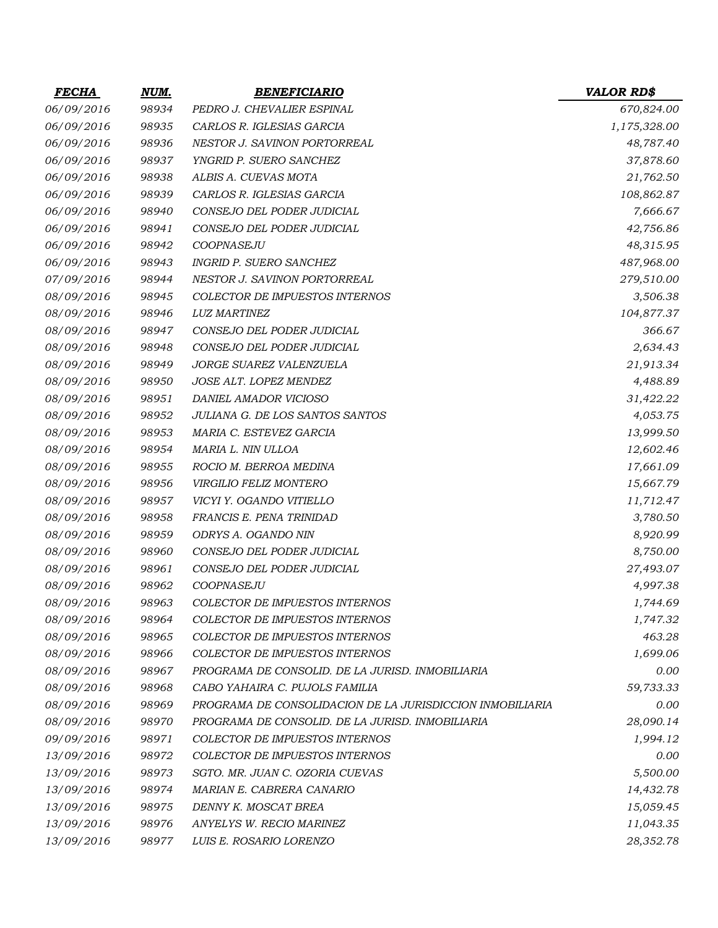| <b>FECHA</b> | NUM.  | <b>BENEFICIARIO</b>                                       | <b>VALOR RD\$</b> |
|--------------|-------|-----------------------------------------------------------|-------------------|
| 06/09/2016   | 98934 | PEDRO J. CHEVALIER ESPINAL                                | 670,824.00        |
| 06/09/2016   | 98935 | CARLOS R. IGLESIAS GARCIA                                 | 1,175,328.00      |
| 06/09/2016   | 98936 | NESTOR J. SAVINON PORTORREAL                              | 48,787.40         |
| 06/09/2016   | 98937 | YNGRID P. SUERO SANCHEZ                                   | 37,878.60         |
| 06/09/2016   | 98938 | ALBIS A. CUEVAS MOTA                                      | 21,762.50         |
| 06/09/2016   | 98939 | CARLOS R. IGLESIAS GARCIA                                 | 108,862.87        |
| 06/09/2016   | 98940 | CONSEJO DEL PODER JUDICIAL                                | 7,666.67          |
| 06/09/2016   | 98941 | CONSEJO DEL PODER JUDICIAL                                | 42,756.86         |
| 06/09/2016   | 98942 | COOPNASEJU                                                | 48,315.95         |
| 06/09/2016   | 98943 | <b>INGRID P. SUERO SANCHEZ</b>                            | 487,968.00        |
| 07/09/2016   | 98944 | NESTOR J. SAVINON PORTORREAL                              | 279,510.00        |
| 08/09/2016   | 98945 | COLECTOR DE IMPUESTOS INTERNOS                            | 3,506.38          |
| 08/09/2016   | 98946 | <b>LUZ MARTINEZ</b>                                       | 104,877.37        |
| 08/09/2016   | 98947 | CONSEJO DEL PODER JUDICIAL                                | 366.67            |
| 08/09/2016   | 98948 | CONSEJO DEL PODER JUDICIAL                                | 2,634.43          |
| 08/09/2016   | 98949 | JORGE SUAREZ VALENZUELA                                   | 21,913.34         |
| 08/09/2016   | 98950 | JOSE ALT. LOPEZ MENDEZ                                    | 4,488.89          |
| 08/09/2016   | 98951 | DANIEL AMADOR VICIOSO                                     | 31,422.22         |
| 08/09/2016   | 98952 | JULIANA G. DE LOS SANTOS SANTOS                           | 4,053.75          |
| 08/09/2016   | 98953 | MARIA C. ESTEVEZ GARCIA                                   | 13,999.50         |
| 08/09/2016   | 98954 | MARIA L. NIN ULLOA                                        | 12,602.46         |
| 08/09/2016   | 98955 | ROCIO M. BERROA MEDINA                                    | 17,661.09         |
| 08/09/2016   | 98956 | VIRGILIO FELIZ MONTERO                                    | 15,667.79         |
| 08/09/2016   | 98957 | VICYI Y. OGANDO VITIELLO                                  | 11,712.47         |
| 08/09/2016   | 98958 | FRANCIS E. PENA TRINIDAD                                  | 3,780.50          |
| 08/09/2016   | 98959 | ODRYS A. OGANDO NIN                                       | 8,920.99          |
| 08/09/2016   | 98960 | CONSEJO DEL PODER JUDICIAL                                | 8,750.00          |
| 08/09/2016   | 98961 | CONSEJO DEL PODER JUDICIAL                                | 27,493.07         |
| 08/09/2016   | 98962 | COOPNASEJU                                                | 4,997.38          |
| 08/09/2016   | 98963 | COLECTOR DE IMPUESTOS INTERNOS                            | 1,744.69          |
| 08/09/2016   | 98964 | <b>COLECTOR DE IMPUESTOS INTERNOS</b>                     | 1,747.32          |
| 08/09/2016   | 98965 | <b>COLECTOR DE IMPUESTOS INTERNOS</b>                     | 463.28            |
| 08/09/2016   | 98966 | <b>COLECTOR DE IMPUESTOS INTERNOS</b>                     | 1,699.06          |
| 08/09/2016   | 98967 | PROGRAMA DE CONSOLID. DE LA JURISD. INMOBILIARIA          | 0.00              |
| 08/09/2016   | 98968 | CABO YAHAIRA C. PUJOLS FAMILIA                            | 59,733.33         |
| 08/09/2016   | 98969 | PROGRAMA DE CONSOLIDACION DE LA JURISDICCION INMOBILIARIA | 0.00              |
| 08/09/2016   | 98970 | PROGRAMA DE CONSOLID. DE LA JURISD. INMOBILIARIA          | 28,090.14         |
| 09/09/2016   | 98971 | COLECTOR DE IMPUESTOS INTERNOS                            | 1,994.12          |
| 13/09/2016   | 98972 | COLECTOR DE IMPUESTOS INTERNOS                            | 0.00              |
| 13/09/2016   | 98973 | SGTO. MR. JUAN C. OZORIA CUEVAS                           | 5,500.00          |
| 13/09/2016   | 98974 | MARIAN E. CABRERA CANARIO                                 | 14,432.78         |
| 13/09/2016   | 98975 | DENNY K. MOSCAT BREA                                      | 15,059.45         |
| 13/09/2016   | 98976 | ANYELYS W. RECIO MARINEZ                                  | 11,043.35         |
| 13/09/2016   | 98977 | LUIS E. ROSARIO LORENZO                                   | 28,352.78         |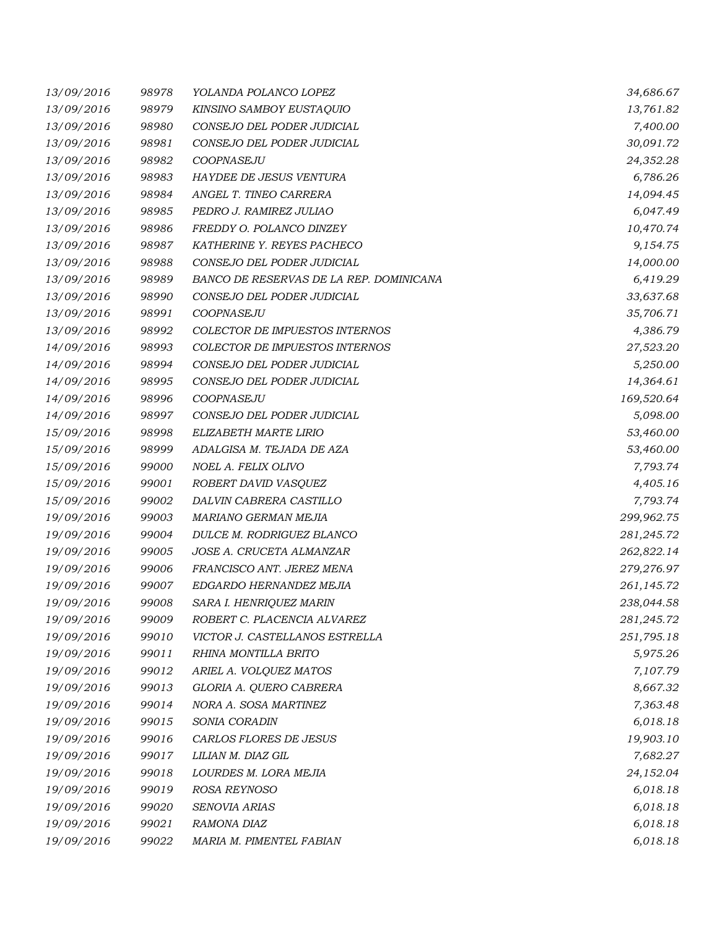| 13/09/2016 | 98978 | YOLANDA POLANCO LOPEZ                   | 34,686.67  |
|------------|-------|-----------------------------------------|------------|
| 13/09/2016 | 98979 | KINSINO SAMBOY EUSTAQUIO                | 13,761.82  |
| 13/09/2016 | 98980 | CONSEJO DEL PODER JUDICIAL              | 7,400.00   |
| 13/09/2016 | 98981 | CONSEJO DEL PODER JUDICIAL              | 30,091.72  |
| 13/09/2016 | 98982 | COOPNASEJU                              | 24,352.28  |
| 13/09/2016 | 98983 | HAYDEE DE JESUS VENTURA                 | 6,786.26   |
| 13/09/2016 | 98984 | ANGEL T. TINEO CARRERA                  | 14,094.45  |
| 13/09/2016 | 98985 | PEDRO J. RAMIREZ JULIAO                 | 6,047.49   |
| 13/09/2016 | 98986 | FREDDY O. POLANCO DINZEY                | 10,470.74  |
| 13/09/2016 | 98987 | KATHERINE Y. REYES PACHECO              | 9,154.75   |
| 13/09/2016 | 98988 | CONSEJO DEL PODER JUDICIAL              | 14,000.00  |
| 13/09/2016 | 98989 | BANCO DE RESERVAS DE LA REP. DOMINICANA | 6,419.29   |
| 13/09/2016 | 98990 | CONSEJO DEL PODER JUDICIAL              | 33,637.68  |
| 13/09/2016 | 98991 | COOPNASEJU                              | 35,706.71  |
| 13/09/2016 | 98992 | COLECTOR DE IMPUESTOS INTERNOS          | 4,386.79   |
| 14/09/2016 | 98993 | COLECTOR DE IMPUESTOS INTERNOS          | 27,523.20  |
| 14/09/2016 | 98994 | CONSEJO DEL PODER JUDICIAL              | 5,250.00   |
| 14/09/2016 | 98995 | CONSEJO DEL PODER JUDICIAL              | 14,364.61  |
| 14/09/2016 | 98996 | COOPNASEJU                              | 169,520.64 |
| 14/09/2016 | 98997 | CONSEJO DEL PODER JUDICIAL              | 5,098.00   |
| 15/09/2016 | 98998 | ELIZABETH MARTE LIRIO                   | 53,460.00  |
| 15/09/2016 | 98999 | ADALGISA M. TEJADA DE AZA               | 53,460.00  |
| 15/09/2016 | 99000 | NOEL A. FELIX OLIVO                     | 7,793.74   |
| 15/09/2016 | 99001 | ROBERT DAVID VASQUEZ                    | 4,405.16   |
| 15/09/2016 | 99002 | DALVIN CABRERA CASTILLO                 | 7,793.74   |
| 19/09/2016 | 99003 | MARIANO GERMAN MEJIA                    | 299,962.75 |
| 19/09/2016 | 99004 | DULCE M. RODRIGUEZ BLANCO               | 281,245.72 |
| 19/09/2016 | 99005 | JOSE A. CRUCETA ALMANZAR                | 262,822.14 |
| 19/09/2016 | 99006 | FRANCISCO ANT. JEREZ MENA               | 279,276.97 |
| 19/09/2016 | 99007 | EDGARDO HERNANDEZ MEJIA                 | 261,145.72 |
| 19/09/2016 | 99008 | SARA I. HENRIQUEZ MARIN                 | 238,044.58 |
| 19/09/2016 | 99009 | ROBERT C. PLACENCIA ALVAREZ             | 281,245.72 |
| 19/09/2016 | 99010 | VICTOR J. CASTELLANOS ESTRELLA          | 251,795.18 |
| 19/09/2016 | 99011 | RHINA MONTILLA BRITO                    | 5,975.26   |
| 19/09/2016 | 99012 | ARIEL A. VOLQUEZ MATOS                  | 7,107.79   |
| 19/09/2016 | 99013 | GLORIA A. QUERO CABRERA                 | 8,667.32   |
| 19/09/2016 | 99014 | NORA A. SOSA MARTINEZ                   | 7,363.48   |
| 19/09/2016 | 99015 | SONIA CORADIN                           | 6,018.18   |
| 19/09/2016 | 99016 | CARLOS FLORES DE JESUS                  | 19,903.10  |
| 19/09/2016 | 99017 | LILIAN M. DIAZ GIL                      | 7,682.27   |
| 19/09/2016 | 99018 | LOURDES M. LORA MEJIA                   | 24,152.04  |
| 19/09/2016 | 99019 | ROSA REYNOSO                            | 6,018.18   |
| 19/09/2016 | 99020 | SENOVIA ARIAS                           | 6,018.18   |
| 19/09/2016 | 99021 | RAMONA DIAZ                             | 6,018.18   |
| 19/09/2016 | 99022 | MARIA M. PIMENTEL FABIAN                | 6,018.18   |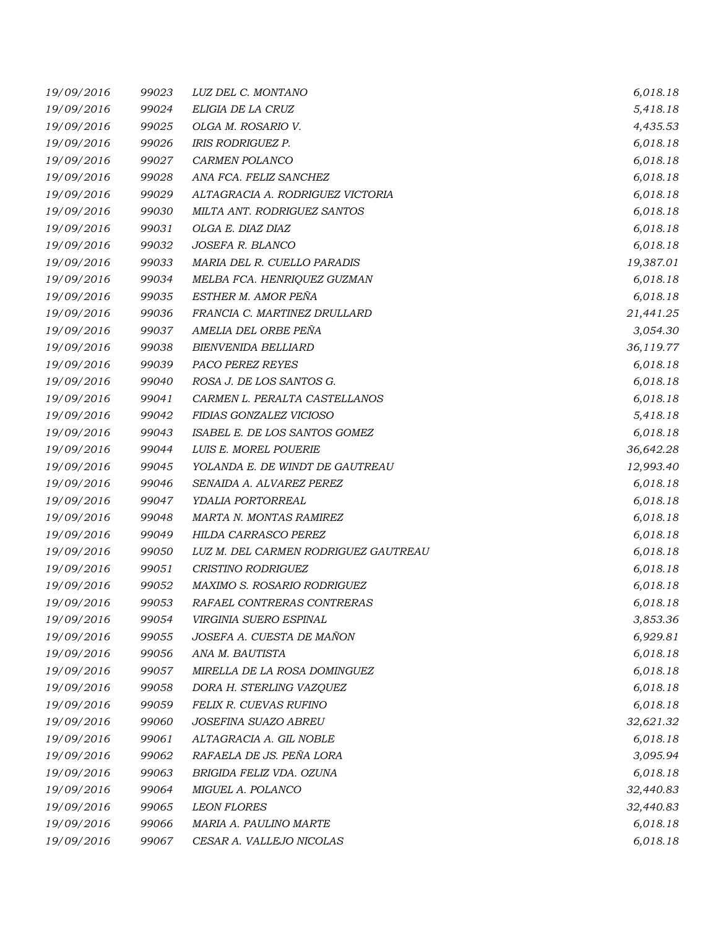| 19/09/2016 | 99023 | LUZ DEL C. MONTANO                   | 6,018.18  |
|------------|-------|--------------------------------------|-----------|
| 19/09/2016 | 99024 | ELIGIA DE LA CRUZ                    | 5,418.18  |
| 19/09/2016 | 99025 | OLGA M. ROSARIO V.                   | 4,435.53  |
| 19/09/2016 | 99026 | <b>IRIS RODRIGUEZ P.</b>             | 6,018.18  |
| 19/09/2016 | 99027 | CARMEN POLANCO                       | 6,018.18  |
| 19/09/2016 | 99028 | ANA FCA. FELIZ SANCHEZ               | 6,018.18  |
| 19/09/2016 | 99029 | ALTAGRACIA A. RODRIGUEZ VICTORIA     | 6,018.18  |
| 19/09/2016 | 99030 | MILTA ANT. RODRIGUEZ SANTOS          | 6,018.18  |
| 19/09/2016 | 99031 | OLGA E. DIAZ DIAZ                    | 6,018.18  |
| 19/09/2016 | 99032 | JOSEFA R. BLANCO                     | 6,018.18  |
| 19/09/2016 | 99033 | MARIA DEL R. CUELLO PARADIS          | 19,387.01 |
| 19/09/2016 | 99034 | MELBA FCA. HENRIQUEZ GUZMAN          | 6,018.18  |
| 19/09/2016 | 99035 | ESTHER M. AMOR PEÑA                  | 6,018.18  |
| 19/09/2016 | 99036 | FRANCIA C. MARTINEZ DRULLARD         | 21,441.25 |
| 19/09/2016 | 99037 | AMELIA DEL ORBE PEÑA                 | 3,054.30  |
| 19/09/2016 | 99038 | <b>BIENVENIDA BELLIARD</b>           | 36,119.77 |
| 19/09/2016 | 99039 | PACO PEREZ REYES                     | 6,018.18  |
| 19/09/2016 | 99040 | ROSA J. DE LOS SANTOS G.             | 6,018.18  |
| 19/09/2016 | 99041 | CARMEN L. PERALTA CASTELLANOS        | 6,018.18  |
| 19/09/2016 | 99042 | FIDIAS GONZALEZ VICIOSO              | 5,418.18  |
| 19/09/2016 | 99043 | ISABEL E. DE LOS SANTOS GOMEZ        | 6,018.18  |
| 19/09/2016 | 99044 | LUIS E. MOREL POUERIE                | 36,642.28 |
| 19/09/2016 | 99045 | YOLANDA E. DE WINDT DE GAUTREAU      | 12,993.40 |
| 19/09/2016 | 99046 | SENAIDA A. ALVAREZ PEREZ             | 6,018.18  |
| 19/09/2016 | 99047 | YDALIA PORTORREAL                    | 6,018.18  |
| 19/09/2016 | 99048 | MARTA N. MONTAS RAMIREZ              | 6,018.18  |
| 19/09/2016 | 99049 | HILDA CARRASCO PEREZ                 | 6,018.18  |
| 19/09/2016 | 99050 | LUZ M. DEL CARMEN RODRIGUEZ GAUTREAU | 6,018.18  |
| 19/09/2016 | 99051 | CRISTINO RODRIGUEZ                   | 6,018.18  |
| 19/09/2016 | 99052 | <b>MAXIMO S. ROSARIO RODRIGUEZ</b>   | 6,018.18  |
| 19/09/2016 | 99053 | RAFAEL CONTRERAS CONTRERAS           | 6,018.18  |
| 19/09/2016 | 99054 | VIRGINIA SUERO ESPINAL               | 3,853.36  |
| 19/09/2016 | 99055 | JOSEFA A. CUESTA DE MAÑON            | 6,929.81  |
| 19/09/2016 | 99056 | ANA M. BAUTISTA                      | 6,018.18  |
| 19/09/2016 | 99057 | MIRELLA DE LA ROSA DOMINGUEZ         | 6,018.18  |
| 19/09/2016 | 99058 | DORA H. STERLING VAZQUEZ             | 6,018.18  |
| 19/09/2016 | 99059 | FELIX R. CUEVAS RUFINO               | 6,018.18  |
| 19/09/2016 | 99060 | JOSEFINA SUAZO ABREU                 | 32,621.32 |
| 19/09/2016 | 99061 | ALTAGRACIA A. GIL NOBLE              | 6,018.18  |
| 19/09/2016 | 99062 | RAFAELA DE JS. PEÑA LORA             | 3,095.94  |
| 19/09/2016 | 99063 | BRIGIDA FELIZ VDA. OZUNA             | 6,018.18  |
| 19/09/2016 | 99064 | MIGUEL A. POLANCO                    | 32,440.83 |
| 19/09/2016 | 99065 | <b>LEON FLORES</b>                   | 32,440.83 |
| 19/09/2016 | 99066 | MARIA A. PAULINO MARTE               | 6,018.18  |
| 19/09/2016 | 99067 | CESAR A. VALLEJO NICOLAS             | 6,018.18  |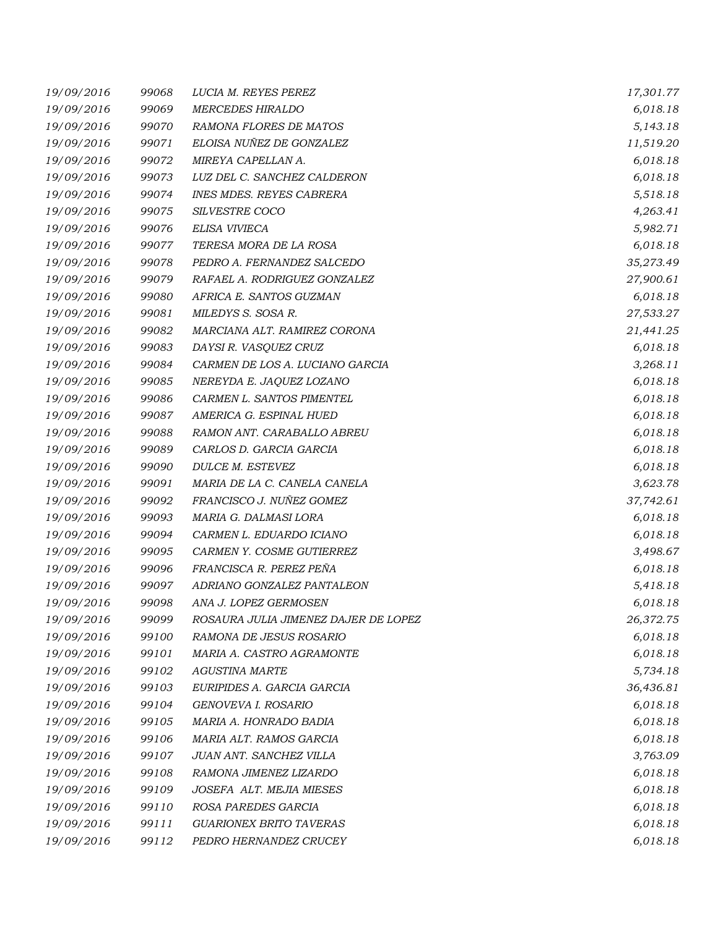| 19/09/2016 | 99068 | LUCIA M. REYES PEREZ                 | 17,301.77 |
|------------|-------|--------------------------------------|-----------|
| 19/09/2016 | 99069 | <b>MERCEDES HIRALDO</b>              | 6,018.18  |
| 19/09/2016 | 99070 | RAMONA FLORES DE MATOS               | 5,143.18  |
| 19/09/2016 | 99071 | ELOISA NUÑEZ DE GONZALEZ             | 11,519.20 |
| 19/09/2016 | 99072 | MIREYA CAPELLAN A.                   | 6,018.18  |
| 19/09/2016 | 99073 | LUZ DEL C. SANCHEZ CALDERON          | 6,018.18  |
| 19/09/2016 | 99074 | <b>INES MDES. REYES CABRERA</b>      | 5,518.18  |
| 19/09/2016 | 99075 | SILVESTRE COCO                       | 4,263.41  |
| 19/09/2016 | 99076 | ELISA VIVIECA                        | 5,982.71  |
| 19/09/2016 | 99077 | TERESA MORA DE LA ROSA               | 6,018.18  |
| 19/09/2016 | 99078 | PEDRO A. FERNANDEZ SALCEDO           | 35,273.49 |
| 19/09/2016 | 99079 | RAFAEL A. RODRIGUEZ GONZALEZ         | 27,900.61 |
| 19/09/2016 | 99080 | AFRICA E. SANTOS GUZMAN              | 6,018.18  |
| 19/09/2016 | 99081 | MILEDYS S. SOSA R.                   | 27,533.27 |
| 19/09/2016 | 99082 | MARCIANA ALT. RAMIREZ CORONA         | 21,441.25 |
| 19/09/2016 | 99083 | DAYSI R. VASQUEZ CRUZ                | 6,018.18  |
| 19/09/2016 | 99084 | CARMEN DE LOS A. LUCIANO GARCIA      | 3,268.11  |
| 19/09/2016 | 99085 | NEREYDA E. JAQUEZ LOZANO             | 6,018.18  |
| 19/09/2016 | 99086 | CARMEN L. SANTOS PIMENTEL            | 6,018.18  |
| 19/09/2016 | 99087 | AMERICA G. ESPINAL HUED              | 6,018.18  |
| 19/09/2016 | 99088 | RAMON ANT. CARABALLO ABREU           | 6,018.18  |
| 19/09/2016 | 99089 | CARLOS D. GARCIA GARCIA              | 6,018.18  |
| 19/09/2016 | 99090 | DULCE M. ESTEVEZ                     | 6,018.18  |
| 19/09/2016 | 99091 | MARIA DE LA C. CANELA CANELA         | 3,623.78  |
| 19/09/2016 | 99092 | FRANCISCO J. NUÑEZ GOMEZ             | 37,742.61 |
| 19/09/2016 | 99093 | MARIA G. DALMASI LORA                | 6,018.18  |
| 19/09/2016 | 99094 | CARMEN L. EDUARDO ICIANO             | 6,018.18  |
| 19/09/2016 | 99095 | CARMEN Y. COSME GUTIERREZ            | 3,498.67  |
| 19/09/2016 | 99096 | FRANCISCA R. PEREZ PEÑA              | 6,018.18  |
| 19/09/2016 | 99097 | ADRIANO GONZALEZ PANTALEON           | 5,418.18  |
| 19/09/2016 | 99098 | ANA J. LOPEZ GERMOSEN                | 6,018.18  |
| 19/09/2016 | 99099 | ROSAURA JULIA JIMENEZ DAJER DE LOPEZ | 26,372.75 |
| 19/09/2016 | 99100 | RAMONA DE JESUS ROSARIO              | 6,018.18  |
| 19/09/2016 | 99101 | MARIA A. CASTRO AGRAMONTE            | 6,018.18  |
| 19/09/2016 | 99102 | <b>AGUSTINA MARTE</b>                | 5,734.18  |
| 19/09/2016 | 99103 | EURIPIDES A. GARCIA GARCIA           | 36,436.81 |
| 19/09/2016 | 99104 | GENOVEVA I. ROSARIO                  | 6,018.18  |
| 19/09/2016 | 99105 | MARIA A. HONRADO BADIA               | 6,018.18  |
| 19/09/2016 | 99106 | MARIA ALT. RAMOS GARCIA              | 6,018.18  |
| 19/09/2016 | 99107 | JUAN ANT. SANCHEZ VILLA              | 3,763.09  |
| 19/09/2016 | 99108 | RAMONA JIMENEZ LIZARDO               | 6,018.18  |
| 19/09/2016 | 99109 | JOSEFA ALT. MEJIA MIESES             | 6,018.18  |
| 19/09/2016 | 99110 | ROSA PAREDES GARCIA                  | 6,018.18  |
| 19/09/2016 | 99111 | <b>GUARIONEX BRITO TAVERAS</b>       | 6,018.18  |
| 19/09/2016 | 99112 | PEDRO HERNANDEZ CRUCEY               | 6,018.18  |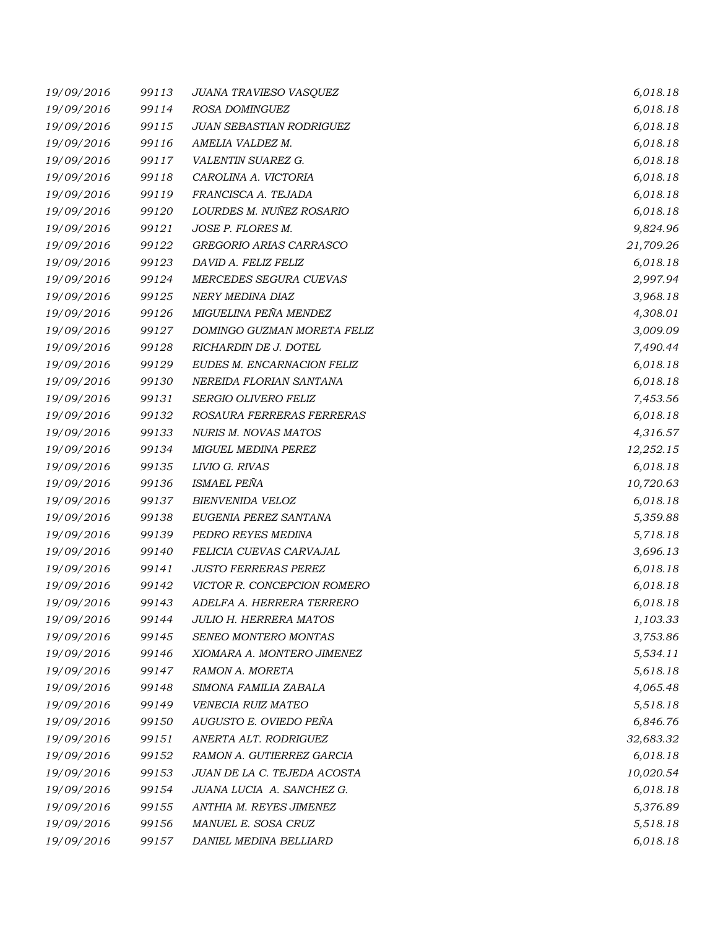| 19/09/2016 | 99113 | JUANA TRAVIESO VASQUEZ        | 6,018.18  |
|------------|-------|-------------------------------|-----------|
| 19/09/2016 | 99114 | ROSA DOMINGUEZ                | 6,018.18  |
| 19/09/2016 | 99115 | JUAN SEBASTIAN RODRIGUEZ      | 6,018.18  |
| 19/09/2016 | 99116 | AMELIA VALDEZ M.              | 6,018.18  |
| 19/09/2016 | 99117 | VALENTIN SUAREZ G.            | 6,018.18  |
| 19/09/2016 | 99118 | CAROLINA A. VICTORIA          | 6,018.18  |
| 19/09/2016 | 99119 | FRANCISCA A. TEJADA           | 6,018.18  |
| 19/09/2016 | 99120 | LOURDES M. NUÑEZ ROSARIO      | 6,018.18  |
| 19/09/2016 | 99121 | JOSE P. FLORES M.             | 9,824.96  |
| 19/09/2016 | 99122 | GREGORIO ARIAS CARRASCO       | 21,709.26 |
| 19/09/2016 | 99123 | DAVID A. FELIZ FELIZ          | 6,018.18  |
| 19/09/2016 | 99124 | MERCEDES SEGURA CUEVAS        | 2,997.94  |
| 19/09/2016 | 99125 | NERY MEDINA DIAZ              | 3,968.18  |
| 19/09/2016 | 99126 | MIGUELINA PEÑA MENDEZ         | 4,308.01  |
| 19/09/2016 | 99127 | DOMINGO GUZMAN MORETA FELIZ   | 3,009.09  |
| 19/09/2016 | 99128 | RICHARDIN DE J. DOTEL         | 7,490.44  |
| 19/09/2016 | 99129 | EUDES M. ENCARNACION FELIZ    | 6,018.18  |
| 19/09/2016 | 99130 | NEREIDA FLORIAN SANTANA       | 6,018.18  |
| 19/09/2016 | 99131 | SERGIO OLIVERO FELIZ          | 7,453.56  |
| 19/09/2016 | 99132 | ROSAURA FERRERAS FERRERAS     | 6,018.18  |
| 19/09/2016 | 99133 | NURIS M. NOVAS MATOS          | 4,316.57  |
| 19/09/2016 | 99134 | <b>MIGUEL MEDINA PEREZ</b>    | 12,252.15 |
| 19/09/2016 | 99135 | LIVIO G. RIVAS                | 6,018.18  |
| 19/09/2016 | 99136 | <b>ISMAEL PEÑA</b>            | 10,720.63 |
| 19/09/2016 | 99137 | <b>BIENVENIDA VELOZ</b>       | 6,018.18  |
| 19/09/2016 | 99138 | EUGENIA PEREZ SANTANA         | 5,359.88  |
| 19/09/2016 | 99139 | PEDRO REYES MEDINA            | 5,718.18  |
| 19/09/2016 | 99140 | FELICIA CUEVAS CARVAJAL       | 3,696.13  |
| 19/09/2016 | 99141 | <b>JUSTO FERRERAS PEREZ</b>   | 6,018.18  |
| 19/09/2016 | 99142 | VICTOR R. CONCEPCION ROMERO   | 6,018.18  |
| 19/09/2016 | 99143 | ADELFA A. HERRERA TERRERO     | 6,018.18  |
| 19/09/2016 | 99144 | <b>JULIO H. HERRERA MATOS</b> | 1,103.33  |
| 19/09/2016 | 99145 | SENEO MONTERO MONTAS          | 3,753.86  |
| 19/09/2016 | 99146 | XIOMARA A. MONTERO JIMENEZ    | 5,534.11  |
| 19/09/2016 | 99147 | RAMON A. MORETA               | 5,618.18  |
| 19/09/2016 | 99148 | SIMONA FAMILIA ZABALA         | 4,065.48  |
| 19/09/2016 | 99149 | VENECIA RUIZ MATEO            | 5,518.18  |
| 19/09/2016 | 99150 | AUGUSTO E. OVIEDO PEÑA        | 6,846.76  |
| 19/09/2016 | 99151 | ANERTA ALT. RODRIGUEZ         | 32,683.32 |
| 19/09/2016 | 99152 | RAMON A. GUTIERREZ GARCIA     | 6,018.18  |
| 19/09/2016 | 99153 | JUAN DE LA C. TEJEDA ACOSTA   | 10,020.54 |
| 19/09/2016 | 99154 | JUANA LUCIA A. SANCHEZ G.     | 6,018.18  |
| 19/09/2016 | 99155 | ANTHIA M. REYES JIMENEZ       | 5,376.89  |
| 19/09/2016 | 99156 | MANUEL E. SOSA CRUZ           | 5,518.18  |
| 19/09/2016 | 99157 | DANIEL MEDINA BELLIARD        | 6,018.18  |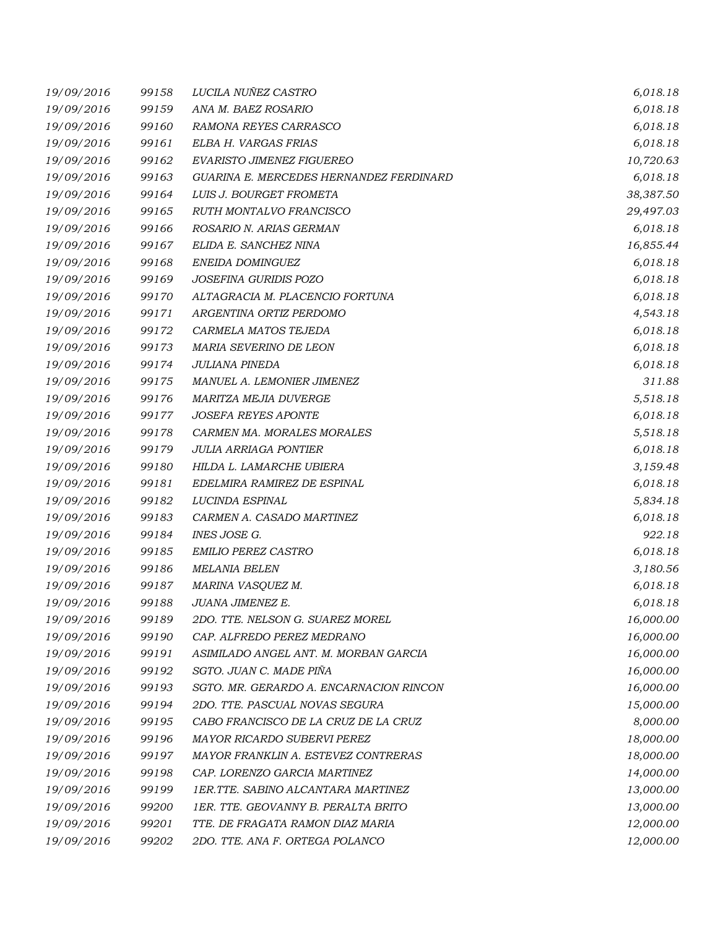| 19/09/2016 | 99158 | LUCILA NUÑEZ CASTRO                     | 6,018.18  |
|------------|-------|-----------------------------------------|-----------|
| 19/09/2016 | 99159 | ANA M. BAEZ ROSARIO                     | 6,018.18  |
| 19/09/2016 | 99160 | RAMONA REYES CARRASCO                   | 6,018.18  |
| 19/09/2016 | 99161 | ELBA H. VARGAS FRIAS                    | 6,018.18  |
| 19/09/2016 | 99162 | EVARISTO JIMENEZ FIGUEREO               | 10,720.63 |
| 19/09/2016 | 99163 | GUARINA E. MERCEDES HERNANDEZ FERDINARD | 6,018.18  |
| 19/09/2016 | 99164 | LUIS J. BOURGET FROMETA                 | 38,387.50 |
| 19/09/2016 | 99165 | RUTH MONTALVO FRANCISCO                 | 29,497.03 |
| 19/09/2016 | 99166 | ROSARIO N. ARIAS GERMAN                 | 6,018.18  |
| 19/09/2016 | 99167 | ELIDA E. SANCHEZ NINA                   | 16,855.44 |
| 19/09/2016 | 99168 | ENEIDA DOMINGUEZ                        | 6,018.18  |
| 19/09/2016 | 99169 | JOSEFINA GURIDIS POZO                   | 6,018.18  |
| 19/09/2016 | 99170 | ALTAGRACIA M. PLACENCIO FORTUNA         | 6,018.18  |
| 19/09/2016 | 99171 | ARGENTINA ORTIZ PERDOMO                 | 4,543.18  |
| 19/09/2016 | 99172 | CARMELA MATOS TEJEDA                    | 6,018.18  |
| 19/09/2016 | 99173 | MARIA SEVERINO DE LEON                  | 6,018.18  |
| 19/09/2016 | 99174 | JULIANA PINEDA                          | 6,018.18  |
| 19/09/2016 | 99175 | MANUEL A. LEMONIER JIMENEZ              | 311.88    |
| 19/09/2016 | 99176 | <b>MARITZA MEJIA DUVERGE</b>            | 5,518.18  |
| 19/09/2016 | 99177 | <b>JOSEFA REYES APONTE</b>              | 6,018.18  |
| 19/09/2016 | 99178 | CARMEN MA. MORALES MORALES              | 5,518.18  |
| 19/09/2016 | 99179 | <b>JULIA ARRIAGA PONTIER</b>            | 6,018.18  |
| 19/09/2016 | 99180 | HILDA L. LAMARCHE UBIERA                | 3,159.48  |
| 19/09/2016 | 99181 | EDELMIRA RAMIREZ DE ESPINAL             | 6,018.18  |
| 19/09/2016 | 99182 | LUCINDA ESPINAL                         | 5,834.18  |
| 19/09/2016 | 99183 | CARMEN A. CASADO MARTINEZ               | 6,018.18  |
| 19/09/2016 | 99184 | INES JOSE G.                            | 922.18    |
| 19/09/2016 | 99185 | <b>EMILIO PEREZ CASTRO</b>              | 6,018.18  |
| 19/09/2016 | 99186 | <b>MELANIA BELEN</b>                    | 3,180.56  |
| 19/09/2016 | 99187 | MARINA VASQUEZ M.                       | 6,018.18  |
| 19/09/2016 | 99188 | JUANA JIMENEZ E.                        | 6,018.18  |
| 19/09/2016 | 99189 | 2DO. TTE. NELSON G. SUAREZ MOREL        | 16,000.00 |
| 19/09/2016 | 99190 | CAP. ALFREDO PEREZ MEDRANO              | 16,000.00 |
| 19/09/2016 | 99191 | ASIMILADO ANGEL ANT. M. MORBAN GARCIA   | 16,000.00 |
| 19/09/2016 | 99192 | SGTO. JUAN C. MADE PIÑA                 | 16,000.00 |
| 19/09/2016 | 99193 | SGTO. MR. GERARDO A. ENCARNACION RINCON | 16,000.00 |
| 19/09/2016 | 99194 | 2DO. TTE. PASCUAL NOVAS SEGURA          | 15,000.00 |
| 19/09/2016 | 99195 | CABO FRANCISCO DE LA CRUZ DE LA CRUZ    | 8,000.00  |
| 19/09/2016 | 99196 | MAYOR RICARDO SUBERVI PEREZ             | 18,000.00 |
| 19/09/2016 | 99197 | MAYOR FRANKLIN A. ESTEVEZ CONTRERAS     | 18,000.00 |
| 19/09/2016 | 99198 | CAP. LORENZO GARCIA MARTINEZ            | 14,000.00 |
| 19/09/2016 | 99199 | 1ER.TTE. SABINO ALCANTARA MARTINEZ      | 13,000.00 |
| 19/09/2016 | 99200 | 1ER. TTE. GEOVANNY B. PERALTA BRITO     | 13,000.00 |
| 19/09/2016 | 99201 | TTE. DE FRAGATA RAMON DIAZ MARIA        | 12,000.00 |
| 19/09/2016 | 99202 | 2DO. TTE. ANA F. ORTEGA POLANCO         | 12,000.00 |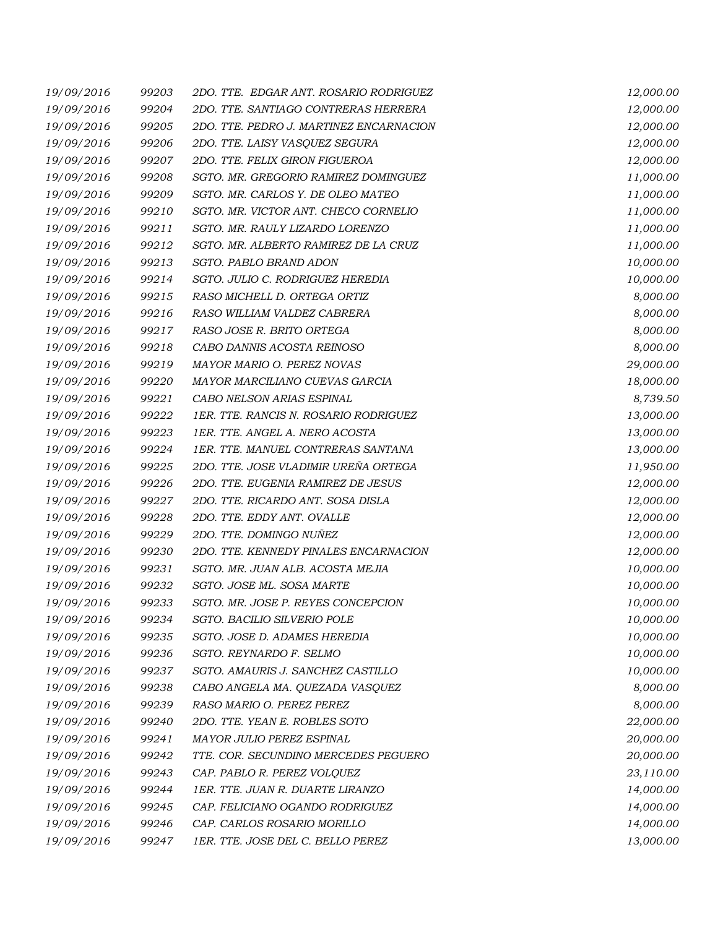| 19/09/2016 | 99203 | 2DO. TTE. EDGAR ANT. ROSARIO RODRIGUEZ  | 12,000.00 |
|------------|-------|-----------------------------------------|-----------|
| 19/09/2016 | 99204 | 2DO. TTE. SANTIAGO CONTRERAS HERRERA    | 12,000.00 |
| 19/09/2016 | 99205 | 2DO. TTE. PEDRO J. MARTINEZ ENCARNACION | 12,000.00 |
| 19/09/2016 | 99206 | 2DO. TTE. LAISY VASQUEZ SEGURA          | 12,000.00 |
| 19/09/2016 | 99207 | 2DO. TTE. FELIX GIRON FIGUEROA          | 12,000.00 |
| 19/09/2016 | 99208 | SGTO. MR. GREGORIO RAMIREZ DOMINGUEZ    | 11,000.00 |
| 19/09/2016 | 99209 | SGTO. MR. CARLOS Y. DE OLEO MATEO       | 11,000.00 |
| 19/09/2016 | 99210 | SGTO. MR. VICTOR ANT. CHECO CORNELIO    | 11,000.00 |
| 19/09/2016 | 99211 | SGTO. MR. RAULY LIZARDO LORENZO         | 11,000.00 |
| 19/09/2016 | 99212 | SGTO. MR. ALBERTO RAMIREZ DE LA CRUZ    | 11,000.00 |
| 19/09/2016 | 99213 | SGTO. PABLO BRAND ADON                  | 10,000.00 |
| 19/09/2016 | 99214 | SGTO. JULIO C. RODRIGUEZ HEREDIA        | 10,000.00 |
| 19/09/2016 | 99215 | RASO MICHELL D. ORTEGA ORTIZ            | 8,000.00  |
| 19/09/2016 | 99216 | RASO WILLIAM VALDEZ CABRERA             | 8,000.00  |
| 19/09/2016 | 99217 | RASO JOSE R. BRITO ORTEGA               | 8,000.00  |
| 19/09/2016 | 99218 | CABO DANNIS ACOSTA REINOSO              | 8,000.00  |
| 19/09/2016 | 99219 | MAYOR MARIO O. PEREZ NOVAS              | 29,000.00 |
| 19/09/2016 | 99220 | MAYOR MARCILIANO CUEVAS GARCIA          | 18,000.00 |
| 19/09/2016 | 99221 | CABO NELSON ARIAS ESPINAL               | 8,739.50  |
| 19/09/2016 | 99222 | 1ER. TTE. RANCIS N. ROSARIO RODRIGUEZ   | 13,000.00 |
| 19/09/2016 | 99223 | 1ER. TTE. ANGEL A. NERO ACOSTA          | 13,000.00 |
| 19/09/2016 | 99224 | 1ER. TTE. MANUEL CONTRERAS SANTANA      | 13,000.00 |
| 19/09/2016 | 99225 | 2DO. TTE. JOSE VLADIMIR UREÑA ORTEGA    | 11,950.00 |
| 19/09/2016 | 99226 | 2DO. TTE. EUGENIA RAMIREZ DE JESUS      | 12,000.00 |
| 19/09/2016 | 99227 | 2DO. TTE. RICARDO ANT. SOSA DISLA       | 12,000.00 |
| 19/09/2016 | 99228 | 2DO. TTE. EDDY ANT. OVALLE              | 12,000.00 |
| 19/09/2016 | 99229 | 2DO. TTE. DOMINGO NUÑEZ                 | 12,000.00 |
| 19/09/2016 | 99230 | 2DO. TTE. KENNEDY PINALES ENCARNACION   | 12,000.00 |
| 19/09/2016 | 99231 | SGTO. MR. JUAN ALB. ACOSTA MEJIA        | 10,000.00 |
| 19/09/2016 | 99232 | SGTO. JOSE ML. SOSA MARTE               | 10,000.00 |
| 19/09/2016 | 99233 | SGTO. MR. JOSE P. REYES CONCEPCION      | 10,000.00 |
| 19/09/2016 | 99234 | SGTO. BACILIO SILVERIO POLE             | 10,000.00 |
| 19/09/2016 | 99235 | SGTO. JOSE D. ADAMES HEREDIA            | 10,000.00 |
| 19/09/2016 | 99236 | SGTO. REYNARDO F. SELMO                 | 10,000.00 |
| 19/09/2016 | 99237 | SGTO. AMAURIS J. SANCHEZ CASTILLO       | 10,000.00 |
| 19/09/2016 | 99238 | CABO ANGELA MA. QUEZADA VASQUEZ         | 8,000.00  |
| 19/09/2016 | 99239 | RASO MARIO O. PEREZ PEREZ               | 8,000.00  |
| 19/09/2016 | 99240 | 2DO. TTE. YEAN E. ROBLES SOTO           | 22,000.00 |
| 19/09/2016 | 99241 | MAYOR JULIO PEREZ ESPINAL               | 20,000.00 |
| 19/09/2016 | 99242 | TTE. COR. SECUNDINO MERCEDES PEGUERO    | 20,000.00 |
| 19/09/2016 | 99243 | CAP. PABLO R. PEREZ VOLQUEZ             | 23,110.00 |
| 19/09/2016 | 99244 | 1ER. TTE. JUAN R. DUARTE LIRANZO        | 14,000.00 |
| 19/09/2016 | 99245 | CAP. FELICIANO OGANDO RODRIGUEZ         | 14,000.00 |
| 19/09/2016 | 99246 | CAP. CARLOS ROSARIO MORILLO             | 14,000.00 |
| 19/09/2016 | 99247 | 1ER. TTE. JOSE DEL C. BELLO PEREZ       | 13,000.00 |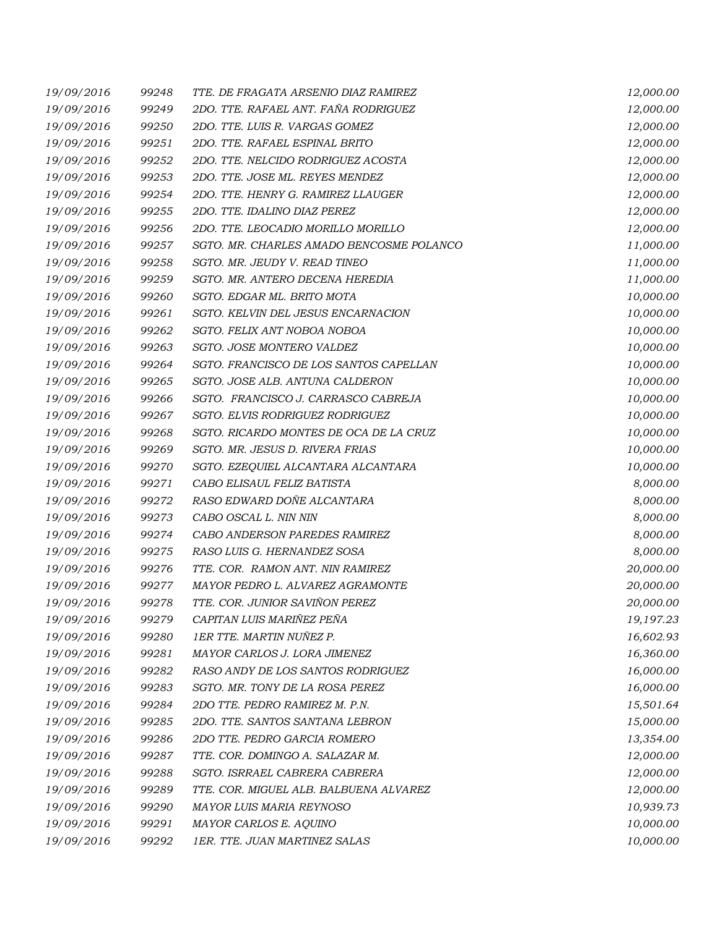| 19/09/2016 | 99248 | TTE. DE FRAGATA ARSENIO DIAZ RAMIREZ     | 12,000.00 |
|------------|-------|------------------------------------------|-----------|
| 19/09/2016 | 99249 | 2DO. TTE. RAFAEL ANT. FAÑA RODRIGUEZ     | 12,000.00 |
| 19/09/2016 | 99250 | 2DO. TTE. LUIS R. VARGAS GOMEZ           | 12,000.00 |
| 19/09/2016 | 99251 | 2DO. TTE. RAFAEL ESPINAL BRITO           | 12,000.00 |
| 19/09/2016 | 99252 | 2DO. TTE. NELCIDO RODRIGUEZ ACOSTA       | 12,000.00 |
| 19/09/2016 | 99253 | 2DO. TTE. JOSE ML. REYES MENDEZ          | 12,000.00 |
| 19/09/2016 | 99254 | 2DO. TTE. HENRY G. RAMIREZ LLAUGER       | 12,000.00 |
| 19/09/2016 | 99255 | 2DO. TTE. IDALINO DIAZ PEREZ             | 12,000.00 |
| 19/09/2016 | 99256 | 2DO. TTE. LEOCADIO MORILLO MORILLO       | 12,000.00 |
| 19/09/2016 | 99257 | SGTO. MR. CHARLES AMADO BENCOSME POLANCO | 11,000.00 |
| 19/09/2016 | 99258 | SGTO. MR. JEUDY V. READ TINEO            | 11,000.00 |
| 19/09/2016 | 99259 | SGTO. MR. ANTERO DECENA HEREDIA          | 11,000.00 |
| 19/09/2016 | 99260 | SGTO. EDGAR ML. BRITO MOTA               | 10,000.00 |
| 19/09/2016 | 99261 | SGTO. KELVIN DEL JESUS ENCARNACION       | 10,000.00 |
| 19/09/2016 | 99262 | SGTO. FELIX ANT NOBOA NOBOA              | 10,000.00 |
| 19/09/2016 | 99263 | SGTO. JOSE MONTERO VALDEZ                | 10,000.00 |
| 19/09/2016 | 99264 | SGTO. FRANCISCO DE LOS SANTOS CAPELLAN   | 10,000.00 |
| 19/09/2016 | 99265 | SGTO. JOSE ALB. ANTUNA CALDERON          | 10,000.00 |
| 19/09/2016 | 99266 | SGTO. FRANCISCO J. CARRASCO CABREJA      | 10,000.00 |
| 19/09/2016 | 99267 | SGTO. ELVIS RODRIGUEZ RODRIGUEZ          | 10,000.00 |
| 19/09/2016 | 99268 | SGTO. RICARDO MONTES DE OCA DE LA CRUZ   | 10,000.00 |
| 19/09/2016 | 99269 | SGTO. MR. JESUS D. RIVERA FRIAS          | 10,000.00 |
| 19/09/2016 | 99270 | SGTO. EZEQUIEL ALCANTARA ALCANTARA       | 10,000.00 |
| 19/09/2016 | 99271 | CABO ELISAUL FELIZ BATISTA               | 8,000.00  |
| 19/09/2016 | 99272 | RASO EDWARD DOÑE ALCANTARA               | 8,000.00  |
| 19/09/2016 | 99273 | CABO OSCAL L. NIN NIN                    | 8,000.00  |
| 19/09/2016 | 99274 | CABO ANDERSON PAREDES RAMIREZ            | 8,000.00  |
| 19/09/2016 | 99275 | RASO LUIS G. HERNANDEZ SOSA              | 8,000.00  |
| 19/09/2016 | 99276 | TTE. COR. RAMON ANT. NIN RAMIREZ         | 20,000.00 |
| 19/09/2016 | 99277 | MAYOR PEDRO L. ALVAREZ AGRAMONTE         | 20,000.00 |
| 19/09/2016 | 99278 | TTE. COR. JUNIOR SAVIÑON PEREZ           | 20,000.00 |
| 19/09/2016 | 99279 | CAPITAN LUIS MARIÑEZ PEÑA                | 19,197.23 |
| 19/09/2016 | 99280 | 1ER TTE. MARTIN NUÑEZ P.                 | 16,602.93 |
| 19/09/2016 | 99281 | MAYOR CARLOS J. LORA JIMENEZ             | 16,360.00 |
| 19/09/2016 | 99282 | RASO ANDY DE LOS SANTOS RODRIGUEZ        | 16,000.00 |
| 19/09/2016 | 99283 | SGTO. MR. TONY DE LA ROSA PEREZ          | 16,000.00 |
| 19/09/2016 | 99284 | 2DO TTE. PEDRO RAMIREZ M. P.N.           | 15,501.64 |
| 19/09/2016 | 99285 | 2DO. TTE. SANTOS SANTANA LEBRON          | 15,000.00 |
| 19/09/2016 | 99286 | 2DO TTE. PEDRO GARCIA ROMERO             | 13,354.00 |
| 19/09/2016 | 99287 | TTE. COR. DOMINGO A. SALAZAR M.          | 12,000.00 |
| 19/09/2016 | 99288 | SGTO. ISRRAEL CABRERA CABRERA            | 12,000.00 |
| 19/09/2016 | 99289 | TTE. COR. MIGUEL ALB. BALBUENA ALVAREZ   | 12,000.00 |
| 19/09/2016 | 99290 | MAYOR LUIS MARIA REYNOSO                 | 10,939.73 |
| 19/09/2016 | 99291 | MAYOR CARLOS E. AQUINO                   | 10,000.00 |
| 19/09/2016 | 99292 | 1ER. TTE. JUAN MARTINEZ SALAS            | 10,000.00 |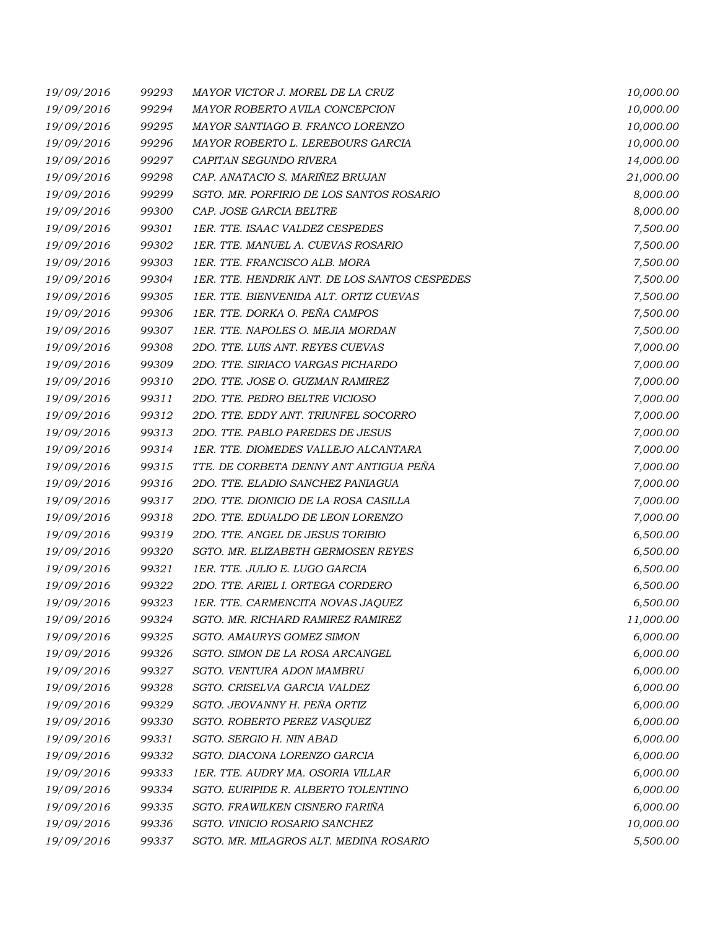| 19/09/2016 | 99293 | MAYOR VICTOR J. MOREL DE LA CRUZ              | 10,000.00 |
|------------|-------|-----------------------------------------------|-----------|
| 19/09/2016 | 99294 | MAYOR ROBERTO AVILA CONCEPCION                | 10,000.00 |
| 19/09/2016 | 99295 | MAYOR SANTIAGO B. FRANCO LORENZO              | 10,000.00 |
| 19/09/2016 | 99296 | MAYOR ROBERTO L. LEREBOURS GARCIA             | 10,000.00 |
| 19/09/2016 | 99297 | CAPITAN SEGUNDO RIVERA                        | 14,000.00 |
| 19/09/2016 | 99298 | CAP. ANATACIO S. MARIÑEZ BRUJAN               | 21,000.00 |
| 19/09/2016 | 99299 | SGTO. MR. PORFIRIO DE LOS SANTOS ROSARIO      | 8,000.00  |
| 19/09/2016 | 99300 | CAP. JOSE GARCIA BELTRE                       | 8,000.00  |
| 19/09/2016 | 99301 | 1ER. TTE. ISAAC VALDEZ CESPEDES               | 7,500.00  |
| 19/09/2016 | 99302 | 1ER. TTE. MANUEL A. CUEVAS ROSARIO            | 7,500.00  |
| 19/09/2016 | 99303 | 1ER. TTE. FRANCISCO ALB. MORA                 | 7,500.00  |
| 19/09/2016 | 99304 | 1ER. TTE. HENDRIK ANT. DE LOS SANTOS CESPEDES | 7,500.00  |
| 19/09/2016 | 99305 | 1ER. TTE. BIENVENIDA ALT. ORTIZ CUEVAS        | 7,500.00  |
| 19/09/2016 | 99306 | 1ER. TTE. DORKA O. PEÑA CAMPOS                | 7,500.00  |
| 19/09/2016 | 99307 | 1ER. TTE. NAPOLES O. MEJIA MORDAN             | 7,500.00  |
| 19/09/2016 | 99308 | 2DO. TTE. LUIS ANT. REYES CUEVAS              | 7,000.00  |
| 19/09/2016 | 99309 | 2DO. TTE. SIRIACO VARGAS PICHARDO             | 7,000.00  |
| 19/09/2016 | 99310 | 2DO. TTE. JOSE O. GUZMAN RAMIREZ              | 7,000.00  |
| 19/09/2016 | 99311 | 2DO. TTE. PEDRO BELTRE VICIOSO                | 7,000.00  |
| 19/09/2016 | 99312 | 2DO. TTE. EDDY ANT. TRIUNFEL SOCORRO          | 7,000.00  |
| 19/09/2016 | 99313 | 2DO. TTE. PABLO PAREDES DE JESUS              | 7,000.00  |
| 19/09/2016 | 99314 | 1ER. TTE. DIOMEDES VALLEJO ALCANTARA          | 7,000.00  |
| 19/09/2016 | 99315 | TTE. DE CORBETA DENNY ANT ANTIGUA PEÑA        | 7,000.00  |
| 19/09/2016 | 99316 | 2DO. TTE. ELADIO SANCHEZ PANIAGUA             | 7,000.00  |
| 19/09/2016 | 99317 | 2DO. TTE. DIONICIO DE LA ROSA CASILLA         | 7,000.00  |
| 19/09/2016 | 99318 | 2DO. TTE. EDUALDO DE LEON LORENZO             | 7,000.00  |
| 19/09/2016 | 99319 | 2DO. TTE. ANGEL DE JESUS TORIBIO              | 6,500.00  |
| 19/09/2016 | 99320 | SGTO. MR. ELIZABETH GERMOSEN REYES            | 6,500.00  |
| 19/09/2016 | 99321 | 1ER. TTE. JULIO E. LUGO GARCIA                | 6,500.00  |
| 19/09/2016 | 99322 | 2DO. TTE. ARIEL I. ORTEGA CORDERO             | 6,500.00  |
| 19/09/2016 | 99323 | 1ER. TTE. CARMENCITA NOVAS JAQUEZ             | 6,500.00  |
| 19/09/2016 | 99324 | SGTO. MR. RICHARD RAMIREZ RAMIREZ             | 11,000.00 |
| 19/09/2016 | 99325 | SGTO. AMAURYS GOMEZ SIMON                     | 6,000.00  |
| 19/09/2016 | 99326 | SGTO. SIMON DE LA ROSA ARCANGEL               | 6,000.00  |
| 19/09/2016 | 99327 | SGTO. VENTURA ADON MAMBRU                     | 6,000.00  |
| 19/09/2016 | 99328 | SGTO. CRISELVA GARCIA VALDEZ                  | 6,000.00  |
| 19/09/2016 | 99329 | SGTO. JEOVANNY H. PEÑA ORTIZ                  | 6,000.00  |
| 19/09/2016 | 99330 | SGTO. ROBERTO PEREZ VASQUEZ                   | 6,000.00  |
| 19/09/2016 | 99331 | SGTO. SERGIO H. NIN ABAD                      | 6,000.00  |
| 19/09/2016 | 99332 | SGTO. DIACONA LORENZO GARCIA                  | 6,000.00  |
| 19/09/2016 | 99333 | 1ER. TTE. AUDRY MA. OSORIA VILLAR             | 6,000.00  |
| 19/09/2016 | 99334 | SGTO. EURIPIDE R. ALBERTO TOLENTINO           | 6,000.00  |
| 19/09/2016 | 99335 | SGTO. FRAWILKEN CISNERO FARIÑA                | 6,000.00  |
| 19/09/2016 | 99336 | SGTO. VINICIO ROSARIO SANCHEZ                 | 10,000.00 |
| 19/09/2016 | 99337 | SGTO. MR. MILAGROS ALT. MEDINA ROSARIO        | 5,500.00  |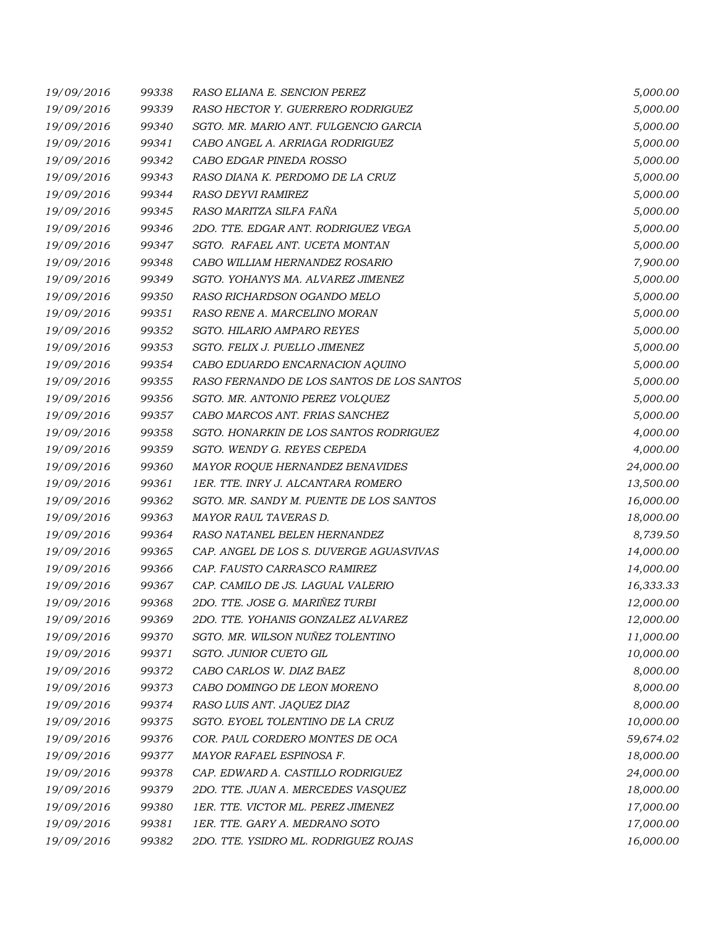| 19/09/2016 | 99338 | RASO ELIANA E. SENCION PEREZ              | 5,000.00  |
|------------|-------|-------------------------------------------|-----------|
| 19/09/2016 | 99339 | RASO HECTOR Y. GUERRERO RODRIGUEZ         | 5,000.00  |
| 19/09/2016 | 99340 | SGTO. MR. MARIO ANT. FULGENCIO GARCIA     | 5,000.00  |
| 19/09/2016 | 99341 | CABO ANGEL A. ARRIAGA RODRIGUEZ           | 5,000.00  |
| 19/09/2016 | 99342 | CABO EDGAR PINEDA ROSSO                   | 5,000.00  |
| 19/09/2016 | 99343 | RASO DIANA K. PERDOMO DE LA CRUZ          | 5,000.00  |
| 19/09/2016 | 99344 | RASO DEYVI RAMIREZ                        | 5,000.00  |
| 19/09/2016 | 99345 | RASO MARITZA SILFA FAÑA                   | 5,000.00  |
| 19/09/2016 | 99346 | 2DO. TTE. EDGAR ANT. RODRIGUEZ VEGA       | 5,000.00  |
| 19/09/2016 | 99347 | SGTO. RAFAEL ANT. UCETA MONTAN            | 5,000.00  |
| 19/09/2016 | 99348 | CABO WILLIAM HERNANDEZ ROSARIO            | 7,900.00  |
| 19/09/2016 | 99349 | SGTO. YOHANYS MA. ALVAREZ JIMENEZ         | 5,000.00  |
| 19/09/2016 | 99350 | RASO RICHARDSON OGANDO MELO               | 5,000.00  |
| 19/09/2016 | 99351 | RASO RENE A. MARCELINO MORAN              | 5,000.00  |
| 19/09/2016 | 99352 | SGTO. HILARIO AMPARO REYES                | 5,000.00  |
| 19/09/2016 | 99353 | SGTO. FELIX J. PUELLO JIMENEZ             | 5,000.00  |
| 19/09/2016 | 99354 | CABO EDUARDO ENCARNACION AQUINO           | 5,000.00  |
| 19/09/2016 | 99355 | RASO FERNANDO DE LOS SANTOS DE LOS SANTOS | 5,000.00  |
| 19/09/2016 | 99356 | SGTO. MR. ANTONIO PEREZ VOLQUEZ           | 5,000.00  |
| 19/09/2016 | 99357 | CABO MARCOS ANT. FRIAS SANCHEZ            | 5,000.00  |
| 19/09/2016 | 99358 | SGTO. HONARKIN DE LOS SANTOS RODRIGUEZ    | 4,000.00  |
| 19/09/2016 | 99359 | SGTO. WENDY G. REYES CEPEDA               | 4,000.00  |
| 19/09/2016 | 99360 | MAYOR ROQUE HERNANDEZ BENAVIDES           | 24,000.00 |
| 19/09/2016 | 99361 | 1ER. TTE. INRY J. ALCANTARA ROMERO        | 13,500.00 |
| 19/09/2016 | 99362 | SGTO. MR. SANDY M. PUENTE DE LOS SANTOS   | 16,000.00 |
| 19/09/2016 | 99363 | MAYOR RAUL TAVERAS D.                     | 18,000.00 |
| 19/09/2016 | 99364 | RASO NATANEL BELEN HERNANDEZ              | 8,739.50  |
| 19/09/2016 | 99365 | CAP. ANGEL DE LOS S. DUVERGE AGUASVIVAS   | 14,000.00 |
| 19/09/2016 | 99366 | CAP. FAUSTO CARRASCO RAMIREZ              | 14,000.00 |
| 19/09/2016 | 99367 | CAP. CAMILO DE JS. LAGUAL VALERIO         | 16,333.33 |
| 19/09/2016 | 99368 | 2DO. TTE. JOSE G. MARIÑEZ TURBI           | 12,000.00 |
| 19/09/2016 | 99369 | 2DO. TTE. YOHANIS GONZALEZ ALVAREZ        | 12,000.00 |
| 19/09/2016 | 99370 | SGTO. MR. WILSON NUÑEZ TOLENTINO          | 11,000.00 |
| 19/09/2016 | 99371 | SGTO. JUNIOR CUETO GIL                    | 10,000.00 |
| 19/09/2016 | 99372 | CABO CARLOS W. DIAZ BAEZ                  | 8,000.00  |
| 19/09/2016 | 99373 | CABO DOMINGO DE LEON MORENO               | 8,000.00  |
| 19/09/2016 | 99374 | RASO LUIS ANT. JAQUEZ DIAZ                | 8,000.00  |
| 19/09/2016 | 99375 | SGTO. EYOEL TOLENTINO DE LA CRUZ          | 10,000.00 |
| 19/09/2016 | 99376 | COR. PAUL CORDERO MONTES DE OCA           | 59,674.02 |
| 19/09/2016 | 99377 | MAYOR RAFAEL ESPINOSA F.                  | 18,000.00 |
| 19/09/2016 | 99378 | CAP. EDWARD A. CASTILLO RODRIGUEZ         | 24,000.00 |
| 19/09/2016 | 99379 | 2DO. TTE. JUAN A. MERCEDES VASQUEZ        | 18,000.00 |
| 19/09/2016 | 99380 | 1ER. TTE. VICTOR ML. PEREZ JIMENEZ        | 17,000.00 |
| 19/09/2016 | 99381 | 1ER. TTE. GARY A. MEDRANO SOTO            | 17,000.00 |
| 19/09/2016 | 99382 | 2DO. TTE. YSIDRO ML. RODRIGUEZ ROJAS      | 16,000.00 |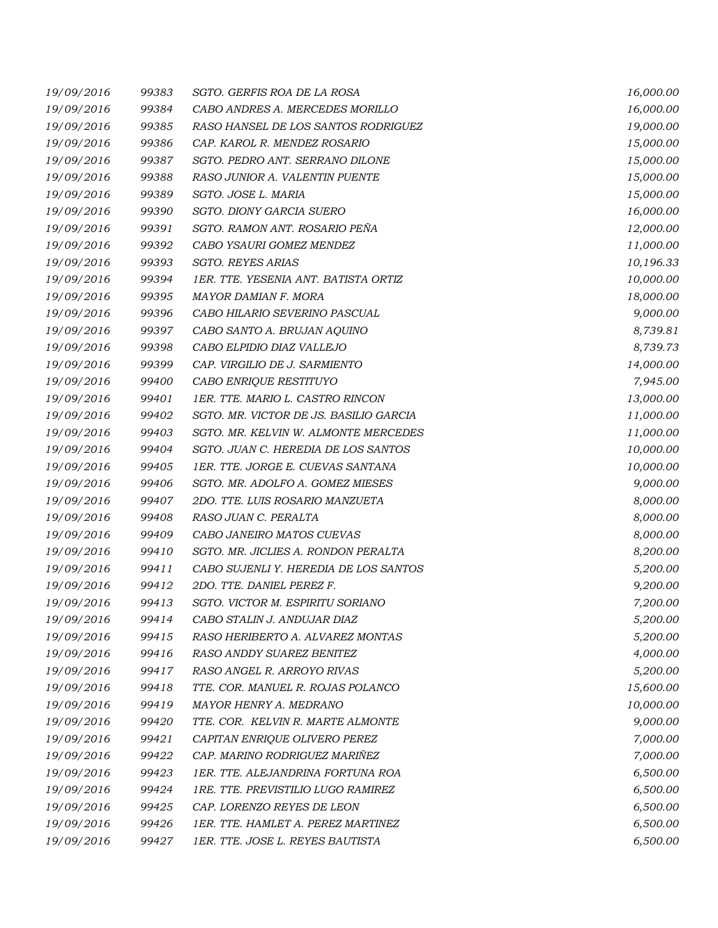| 19/09/2016 | 99383 | SGTO. GERFIS ROA DE LA ROSA            | 16,000.00 |
|------------|-------|----------------------------------------|-----------|
| 19/09/2016 | 99384 | CABO ANDRES A. MERCEDES MORILLO        | 16,000.00 |
| 19/09/2016 | 99385 | RASO HANSEL DE LOS SANTOS RODRIGUEZ    | 19,000.00 |
| 19/09/2016 | 99386 | CAP. KAROL R. MENDEZ ROSARIO           | 15,000.00 |
| 19/09/2016 | 99387 | SGTO. PEDRO ANT. SERRANO DILONE        | 15,000.00 |
| 19/09/2016 | 99388 | RASO JUNIOR A. VALENTIN PUENTE         | 15,000.00 |
| 19/09/2016 | 99389 | SGTO. JOSE L. MARIA                    | 15,000.00 |
| 19/09/2016 | 99390 | SGTO. DIONY GARCIA SUERO               | 16,000.00 |
| 19/09/2016 | 99391 | SGTO. RAMON ANT. ROSARIO PEÑA          | 12,000.00 |
| 19/09/2016 | 99392 | CABO YSAURI GOMEZ MENDEZ               | 11,000.00 |
| 19/09/2016 | 99393 | SGTO. REYES ARIAS                      | 10,196.33 |
| 19/09/2016 | 99394 | 1ER. TTE. YESENIA ANT. BATISTA ORTIZ   | 10,000.00 |
| 19/09/2016 | 99395 | MAYOR DAMIAN F. MORA                   | 18,000.00 |
| 19/09/2016 | 99396 | CABO HILARIO SEVERINO PASCUAL          | 9,000.00  |
| 19/09/2016 | 99397 | CABO SANTO A. BRUJAN AQUINO            | 8,739.81  |
| 19/09/2016 | 99398 | CABO ELPIDIO DIAZ VALLEJO              | 8,739.73  |
| 19/09/2016 | 99399 | CAP. VIRGILIO DE J. SARMIENTO          | 14,000.00 |
| 19/09/2016 | 99400 | CABO ENRIQUE RESTITUYO                 | 7,945.00  |
| 19/09/2016 | 99401 | 1ER. TTE. MARIO L. CASTRO RINCON       | 13,000.00 |
| 19/09/2016 | 99402 | SGTO. MR. VICTOR DE JS. BASILIO GARCIA | 11,000.00 |
| 19/09/2016 | 99403 | SGTO. MR. KELVIN W. ALMONTE MERCEDES   | 11,000.00 |
| 19/09/2016 | 99404 | SGTO. JUAN C. HEREDIA DE LOS SANTOS    | 10,000.00 |
| 19/09/2016 | 99405 | 1ER. TTE. JORGE E. CUEVAS SANTANA      | 10,000.00 |
| 19/09/2016 | 99406 | SGTO. MR. ADOLFO A. GOMEZ MIESES       | 9,000.00  |
| 19/09/2016 | 99407 | 2DO. TTE. LUIS ROSARIO MANZUETA        | 8,000.00  |
| 19/09/2016 | 99408 | RASO JUAN C. PERALTA                   | 8,000.00  |
| 19/09/2016 | 99409 | CABO JANEIRO MATOS CUEVAS              | 8,000.00  |
| 19/09/2016 | 99410 | SGTO. MR. JICLIES A. RONDON PERALTA    | 8,200.00  |
| 19/09/2016 | 99411 | CABO SUJENLI Y. HEREDIA DE LOS SANTOS  | 5,200.00  |
| 19/09/2016 | 99412 | 2DO. TTE. DANIEL PEREZ F.              | 9,200.00  |
| 19/09/2016 | 99413 | SGTO. VICTOR M. ESPIRITU SORIANO       | 7,200.00  |
| 19/09/2016 | 99414 | CABO STALIN J. ANDUJAR DIAZ            | 5,200.00  |
| 19/09/2016 | 99415 | RASO HERIBERTO A. ALVAREZ MONTAS       | 5,200.00  |
| 19/09/2016 | 99416 | RASO ANDDY SUAREZ BENITEZ              | 4,000.00  |
| 19/09/2016 | 99417 | RASO ANGEL R. ARROYO RIVAS             | 5,200.00  |
| 19/09/2016 | 99418 | TTE. COR. MANUEL R. ROJAS POLANCO      | 15,600.00 |
| 19/09/2016 | 99419 | MAYOR HENRY A. MEDRANO                 | 10,000.00 |
| 19/09/2016 | 99420 | TTE. COR. KELVIN R. MARTE ALMONTE      | 9,000.00  |
| 19/09/2016 | 99421 | CAPITAN ENRIQUE OLIVERO PEREZ          | 7,000.00  |
| 19/09/2016 | 99422 | CAP. MARINO RODRIGUEZ MARIÑEZ          | 7,000.00  |
| 19/09/2016 | 99423 | 1ER. TTE. ALEJANDRINA FORTUNA ROA      | 6,500.00  |
| 19/09/2016 | 99424 | 1RE. TTE. PREVISTILIO LUGO RAMIREZ     | 6,500.00  |
| 19/09/2016 | 99425 | CAP. LORENZO REYES DE LEON             | 6,500.00  |
| 19/09/2016 | 99426 | 1ER. TTE. HAMLET A. PEREZ MARTINEZ     | 6,500.00  |
| 19/09/2016 | 99427 | 1ER. TTE. JOSE L. REYES BAUTISTA       | 6,500.00  |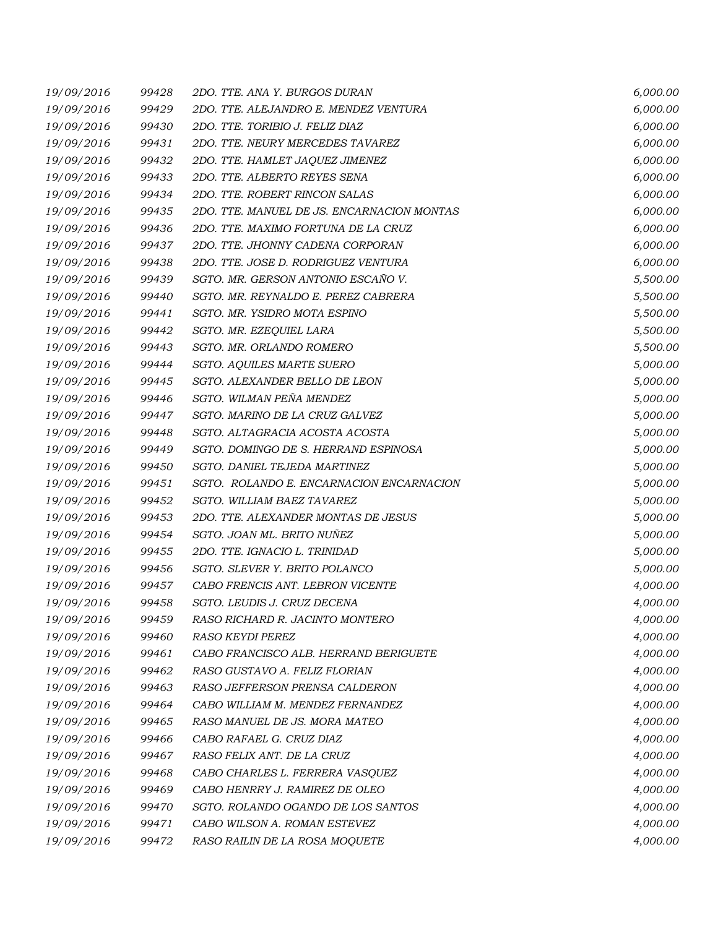| 19/09/2016 | 99428 | 2DO. TTE. ANA Y. BURGOS DURAN              | 6,000.00 |
|------------|-------|--------------------------------------------|----------|
| 19/09/2016 | 99429 | 2DO. TTE. ALEJANDRO E. MENDEZ VENTURA      | 6,000.00 |
| 19/09/2016 | 99430 | 2DO. TTE. TORIBIO J. FELIZ DIAZ            | 6,000.00 |
| 19/09/2016 | 99431 | 2DO. TTE. NEURY MERCEDES TAVAREZ           | 6,000.00 |
| 19/09/2016 | 99432 | 2DO. TTE. HAMLET JAQUEZ JIMENEZ            | 6,000.00 |
| 19/09/2016 | 99433 | 2DO. TTE. ALBERTO REYES SENA               | 6,000.00 |
| 19/09/2016 | 99434 | 2DO. TTE. ROBERT RINCON SALAS              | 6,000.00 |
| 19/09/2016 | 99435 | 2DO. TTE. MANUEL DE JS. ENCARNACION MONTAS | 6,000.00 |
| 19/09/2016 | 99436 | 2DO. TTE. MAXIMO FORTUNA DE LA CRUZ        | 6,000.00 |
| 19/09/2016 | 99437 | 2DO. TTE. JHONNY CADENA CORPORAN           | 6,000.00 |
| 19/09/2016 | 99438 | 2DO. TTE. JOSE D. RODRIGUEZ VENTURA        | 6,000.00 |
| 19/09/2016 | 99439 | SGTO. MR. GERSON ANTONIO ESCAÑO V.         | 5,500.00 |
| 19/09/2016 | 99440 | SGTO. MR. REYNALDO E. PEREZ CABRERA        | 5,500.00 |
| 19/09/2016 | 99441 | SGTO. MR. YSIDRO MOTA ESPINO               | 5,500.00 |
| 19/09/2016 | 99442 | SGTO. MR. EZEQUIEL LARA                    | 5,500.00 |
| 19/09/2016 | 99443 | SGTO. MR. ORLANDO ROMERO                   | 5,500.00 |
| 19/09/2016 | 99444 | SGTO. AQUILES MARTE SUERO                  | 5,000.00 |
| 19/09/2016 | 99445 | SGTO. ALEXANDER BELLO DE LEON              | 5,000.00 |
| 19/09/2016 | 99446 | SGTO. WILMAN PEÑA MENDEZ                   | 5,000.00 |
| 19/09/2016 | 99447 | SGTO. MARINO DE LA CRUZ GALVEZ             | 5,000.00 |
| 19/09/2016 | 99448 | SGTO. ALTAGRACIA ACOSTA ACOSTA             | 5,000.00 |
| 19/09/2016 | 99449 | SGTO. DOMINGO DE S. HERRAND ESPINOSA       | 5,000.00 |
| 19/09/2016 | 99450 | SGTO. DANIEL TEJEDA MARTINEZ               | 5,000.00 |
| 19/09/2016 | 99451 | SGTO. ROLANDO E. ENCARNACION ENCARNACION   | 5,000.00 |
| 19/09/2016 | 99452 | SGTO. WILLIAM BAEZ TAVAREZ                 | 5,000.00 |
| 19/09/2016 | 99453 | 2DO. TTE. ALEXANDER MONTAS DE JESUS        | 5,000.00 |
| 19/09/2016 | 99454 | SGTO. JOAN ML. BRITO NUÑEZ                 | 5,000.00 |
| 19/09/2016 | 99455 | 2DO. TTE. IGNACIO L. TRINIDAD              | 5,000.00 |
| 19/09/2016 | 99456 | SGTO. SLEVER Y. BRITO POLANCO              | 5,000.00 |
| 19/09/2016 | 99457 | CABO FRENCIS ANT. LEBRON VICENTE           | 4,000.00 |
| 19/09/2016 | 99458 | SGTO. LEUDIS J. CRUZ DECENA                | 4,000.00 |
| 19/09/2016 | 99459 | RASO RICHARD R. JACINTO MONTERO            | 4,000.00 |
| 19/09/2016 | 99460 | <b>RASO KEYDI PEREZ</b>                    | 4,000.00 |
| 19/09/2016 | 99461 | CABO FRANCISCO ALB. HERRAND BERIGUETE      | 4,000.00 |
| 19/09/2016 | 99462 | RASO GUSTAVO A. FELIZ FLORIAN              | 4,000.00 |
| 19/09/2016 | 99463 | RASO JEFFERSON PRENSA CALDERON             | 4,000.00 |
| 19/09/2016 | 99464 | CABO WILLIAM M. MENDEZ FERNANDEZ           | 4,000.00 |
| 19/09/2016 | 99465 | RASO MANUEL DE JS. MORA MATEO              | 4,000.00 |
| 19/09/2016 | 99466 | CABO RAFAEL G. CRUZ DIAZ                   | 4,000.00 |
| 19/09/2016 | 99467 | RASO FELIX ANT. DE LA CRUZ                 | 4,000.00 |
| 19/09/2016 | 99468 | CABO CHARLES L. FERRERA VASQUEZ            | 4,000.00 |
| 19/09/2016 | 99469 | CABO HENRRY J. RAMIREZ DE OLEO             | 4,000.00 |
| 19/09/2016 | 99470 | SGTO. ROLANDO OGANDO DE LOS SANTOS         | 4,000.00 |
| 19/09/2016 | 99471 | CABO WILSON A. ROMAN ESTEVEZ               | 4,000.00 |
| 19/09/2016 | 99472 | RASO RAILIN DE LA ROSA MOQUETE             | 4,000.00 |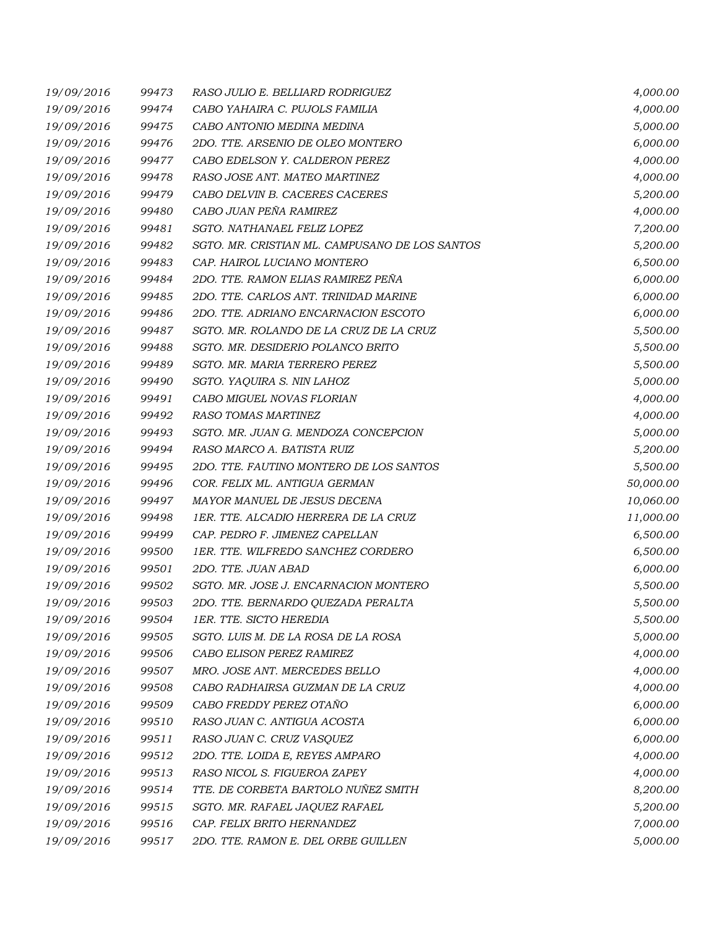| 19/09/2016 | 99473 | RASO JULIO E. BELLIARD RODRIGUEZ               | 4,000.00  |
|------------|-------|------------------------------------------------|-----------|
| 19/09/2016 | 99474 | CABO YAHAIRA C. PUJOLS FAMILIA                 | 4,000.00  |
| 19/09/2016 | 99475 | CABO ANTONIO MEDINA MEDINA                     | 5,000.00  |
| 19/09/2016 | 99476 | 2DO. TTE. ARSENIO DE OLEO MONTERO              | 6,000.00  |
| 19/09/2016 | 99477 | CABO EDELSON Y. CALDERON PEREZ                 | 4,000.00  |
| 19/09/2016 | 99478 | RASO JOSE ANT. MATEO MARTINEZ                  | 4,000.00  |
| 19/09/2016 | 99479 | CABO DELVIN B. CACERES CACERES                 | 5,200.00  |
| 19/09/2016 | 99480 | CABO JUAN PEÑA RAMIREZ                         | 4,000.00  |
| 19/09/2016 | 99481 | SGTO. NATHANAEL FELIZ LOPEZ                    | 7,200.00  |
| 19/09/2016 | 99482 | SGTO. MR. CRISTIAN ML. CAMPUSANO DE LOS SANTOS | 5,200.00  |
| 19/09/2016 | 99483 | CAP. HAIROL LUCIANO MONTERO                    | 6,500.00  |
| 19/09/2016 | 99484 | 2DO. TTE. RAMON ELIAS RAMIREZ PEÑA             | 6,000.00  |
| 19/09/2016 | 99485 | 2DO. TTE. CARLOS ANT. TRINIDAD MARINE          | 6,000.00  |
| 19/09/2016 | 99486 | 2DO. TTE. ADRIANO ENCARNACION ESCOTO           | 6,000.00  |
| 19/09/2016 | 99487 | SGTO. MR. ROLANDO DE LA CRUZ DE LA CRUZ        | 5,500.00  |
| 19/09/2016 | 99488 | SGTO. MR. DESIDERIO POLANCO BRITO              | 5,500.00  |
| 19/09/2016 | 99489 | SGTO. MR. MARIA TERRERO PEREZ                  | 5,500.00  |
| 19/09/2016 | 99490 | SGTO. YAQUIRA S. NIN LAHOZ                     | 5,000.00  |
| 19/09/2016 | 99491 | CABO MIGUEL NOVAS FLORIAN                      | 4,000.00  |
| 19/09/2016 | 99492 | RASO TOMAS MARTINEZ                            | 4,000.00  |
| 19/09/2016 | 99493 | SGTO. MR. JUAN G. MENDOZA CONCEPCION           | 5,000.00  |
| 19/09/2016 | 99494 | RASO MARCO A. BATISTA RUIZ                     | 5,200.00  |
| 19/09/2016 | 99495 | 2DO. TTE. FAUTINO MONTERO DE LOS SANTOS        | 5,500.00  |
| 19/09/2016 | 99496 | COR. FELIX ML. ANTIGUA GERMAN                  | 50,000.00 |
| 19/09/2016 | 99497 | MAYOR MANUEL DE JESUS DECENA                   | 10,060.00 |
| 19/09/2016 | 99498 | 1ER. TTE. ALCADIO HERRERA DE LA CRUZ           | 11,000.00 |
| 19/09/2016 | 99499 | CAP. PEDRO F. JIMENEZ CAPELLAN                 | 6,500.00  |
| 19/09/2016 | 99500 | 1ER. TTE. WILFREDO SANCHEZ CORDERO             | 6,500.00  |
| 19/09/2016 | 99501 | 2DO. TTE. JUAN ABAD                            | 6,000.00  |
| 19/09/2016 | 99502 | SGTO. MR. JOSE J. ENCARNACION MONTERO          | 5,500.00  |
| 19/09/2016 | 99503 | 2DO. TTE. BERNARDO QUEZADA PERALTA             | 5,500.00  |
| 19/09/2016 | 99504 | 1ER. TTE. SICTO HEREDIA                        | 5,500.00  |
| 19/09/2016 | 99505 | SGTO. LUIS M. DE LA ROSA DE LA ROSA            | 5,000.00  |
| 19/09/2016 | 99506 | CABO ELISON PEREZ RAMIREZ                      | 4,000.00  |
| 19/09/2016 | 99507 | MRO. JOSE ANT. MERCEDES BELLO                  | 4,000.00  |
| 19/09/2016 | 99508 | CABO RADHAIRSA GUZMAN DE LA CRUZ               | 4,000.00  |
| 19/09/2016 | 99509 | CABO FREDDY PEREZ OTAÑO                        | 6,000.00  |
| 19/09/2016 | 99510 | RASO JUAN C. ANTIGUA ACOSTA                    | 6,000.00  |
| 19/09/2016 | 99511 | RASO JUAN C. CRUZ VASQUEZ                      | 6,000.00  |
| 19/09/2016 | 99512 | 2DO. TTE. LOIDA E, REYES AMPARO                | 4,000.00  |
| 19/09/2016 | 99513 | RASO NICOL S. FIGUEROA ZAPEY                   | 4,000.00  |
| 19/09/2016 | 99514 | TTE. DE CORBETA BARTOLO NUÑEZ SMITH            | 8,200.00  |
| 19/09/2016 | 99515 | SGTO. MR. RAFAEL JAQUEZ RAFAEL                 | 5,200.00  |
| 19/09/2016 | 99516 | CAP. FELIX BRITO HERNANDEZ                     | 7,000.00  |
| 19/09/2016 | 99517 | 2DO. TTE. RAMON E. DEL ORBE GUILLEN            | 5,000.00  |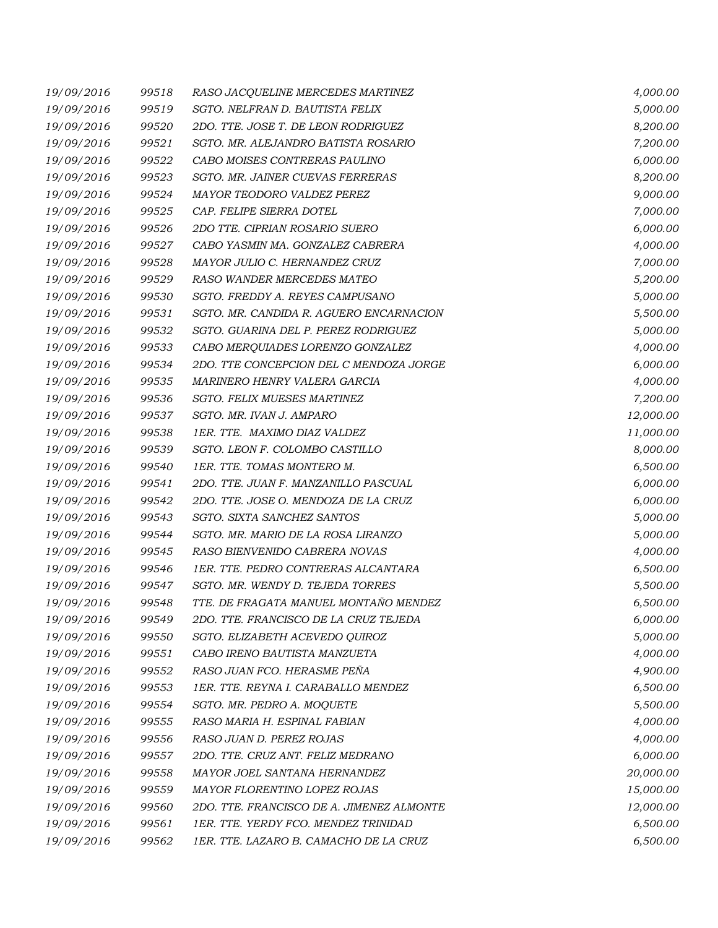| 19/09/2016 | 99518 | RASO JACQUELINE MERCEDES MARTINEZ         | 4,000.00  |
|------------|-------|-------------------------------------------|-----------|
| 19/09/2016 | 99519 | SGTO. NELFRAN D. BAUTISTA FELIX           | 5,000.00  |
| 19/09/2016 | 99520 | 2DO. TTE. JOSE T. DE LEON RODRIGUEZ       | 8,200.00  |
| 19/09/2016 | 99521 | SGTO. MR. ALEJANDRO BATISTA ROSARIO       | 7,200.00  |
| 19/09/2016 | 99522 | CABO MOISES CONTRERAS PAULINO             | 6,000.00  |
| 19/09/2016 | 99523 | SGTO. MR. JAINER CUEVAS FERRERAS          | 8,200.00  |
| 19/09/2016 | 99524 | MAYOR TEODORO VALDEZ PEREZ                | 9,000.00  |
| 19/09/2016 | 99525 | CAP. FELIPE SIERRA DOTEL                  | 7,000.00  |
| 19/09/2016 | 99526 | 2DO TTE. CIPRIAN ROSARIO SUERO            | 6,000.00  |
| 19/09/2016 | 99527 | CABO YASMIN MA. GONZALEZ CABRERA          | 4,000.00  |
| 19/09/2016 | 99528 | MAYOR JULIO C. HERNANDEZ CRUZ             | 7,000.00  |
| 19/09/2016 | 99529 | RASO WANDER MERCEDES MATEO                | 5,200.00  |
| 19/09/2016 | 99530 | SGTO. FREDDY A. REYES CAMPUSANO           | 5,000.00  |
| 19/09/2016 | 99531 | SGTO. MR. CANDIDA R. AGUERO ENCARNACION   | 5,500.00  |
| 19/09/2016 | 99532 | SGTO. GUARINA DEL P. PEREZ RODRIGUEZ      | 5,000.00  |
| 19/09/2016 | 99533 | CABO MERQUIADES LORENZO GONZALEZ          | 4,000.00  |
| 19/09/2016 | 99534 | 2DO. TTE CONCEPCION DEL C MENDOZA JORGE   | 6,000.00  |
| 19/09/2016 | 99535 | MARINERO HENRY VALERA GARCIA              | 4,000.00  |
| 19/09/2016 | 99536 | SGTO. FELIX MUESES MARTINEZ               | 7,200.00  |
| 19/09/2016 | 99537 | SGTO. MR. IVAN J. AMPARO                  | 12,000.00 |
| 19/09/2016 | 99538 | 1ER. TTE. MAXIMO DIAZ VALDEZ              | 11,000.00 |
| 19/09/2016 | 99539 | SGTO. LEON F. COLOMBO CASTILLO            | 8,000.00  |
| 19/09/2016 | 99540 | 1ER. TTE. TOMAS MONTERO M.                | 6,500.00  |
| 19/09/2016 | 99541 | 2DO. TTE. JUAN F. MANZANILLO PASCUAL      | 6,000.00  |
| 19/09/2016 | 99542 | 2DO. TTE. JOSE O. MENDOZA DE LA CRUZ      | 6,000.00  |
| 19/09/2016 | 99543 | SGTO. SIXTA SANCHEZ SANTOS                | 5,000.00  |
| 19/09/2016 | 99544 | SGTO. MR. MARIO DE LA ROSA LIRANZO        | 5,000.00  |
| 19/09/2016 | 99545 | RASO BIENVENIDO CABRERA NOVAS             | 4,000.00  |
| 19/09/2016 | 99546 | 1ER. TTE. PEDRO CONTRERAS ALCANTARA       | 6,500.00  |
| 19/09/2016 | 99547 | SGTO. MR. WENDY D. TEJEDA TORRES          | 5,500.00  |
| 19/09/2016 | 99548 | TTE. DE FRAGATA MANUEL MONTAÑO MENDEZ     | 6,500.00  |
| 19/09/2016 | 99549 | 2DO. TTE. FRANCISCO DE LA CRUZ TEJEDA     | 6,000.00  |
| 19/09/2016 | 99550 | SGTO. ELIZABETH ACEVEDO QUIROZ            | 5,000.00  |
| 19/09/2016 | 99551 | CABO IRENO BAUTISTA MANZUETA              | 4,000.00  |
| 19/09/2016 | 99552 | RASO JUAN FCO. HERASME PEÑA               | 4,900.00  |
| 19/09/2016 | 99553 | 1ER. TTE. REYNA I. CARABALLO MENDEZ       | 6,500.00  |
| 19/09/2016 | 99554 | SGTO. MR. PEDRO A. MOQUETE                | 5,500.00  |
| 19/09/2016 | 99555 | RASO MARIA H. ESPINAL FABIAN              | 4,000.00  |
| 19/09/2016 | 99556 | RASO JUAN D. PEREZ ROJAS                  | 4,000.00  |
| 19/09/2016 | 99557 | 2DO. TTE. CRUZ ANT. FELIZ MEDRANO         | 6,000.00  |
| 19/09/2016 | 99558 | MAYOR JOEL SANTANA HERNANDEZ              | 20,000.00 |
| 19/09/2016 | 99559 | MAYOR FLORENTINO LOPEZ ROJAS              | 15,000.00 |
| 19/09/2016 | 99560 | 2DO. TTE. FRANCISCO DE A. JIMENEZ ALMONTE | 12,000.00 |
| 19/09/2016 | 99561 | 1ER. TTE. YERDY FCO. MENDEZ TRINIDAD      | 6,500.00  |
| 19/09/2016 | 99562 | 1ER. TTE. LAZARO B. CAMACHO DE LA CRUZ    | 6,500.00  |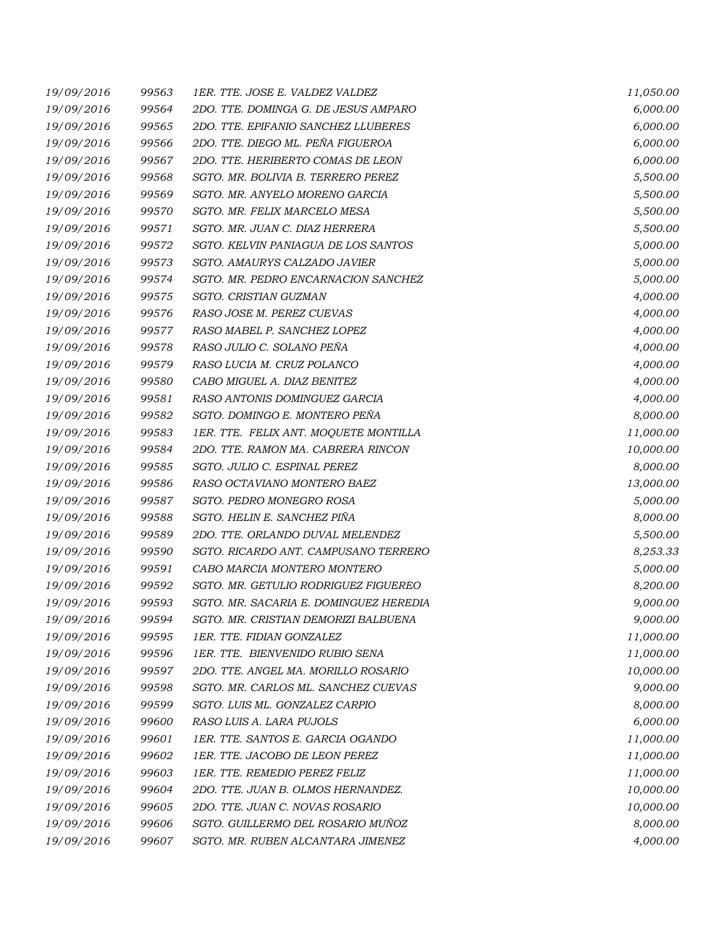| 19/09/2016 | 99563 | 1ER. TTE. JOSE E. VALDEZ VALDEZ        | 11,050.00 |
|------------|-------|----------------------------------------|-----------|
| 19/09/2016 | 99564 | 2DO. TTE. DOMINGA G. DE JESUS AMPARO   | 6,000.00  |
| 19/09/2016 | 99565 | 2DO. TTE. EPIFANIO SANCHEZ LLUBERES    | 6,000.00  |
| 19/09/2016 | 99566 | 2DO. TTE. DIEGO ML. PEÑA FIGUEROA      | 6,000.00  |
| 19/09/2016 | 99567 | 2DO. TTE. HERIBERTO COMAS DE LEON      | 6,000.00  |
| 19/09/2016 | 99568 | SGTO. MR. BOLIVIA B. TERRERO PEREZ     | 5,500.00  |
| 19/09/2016 | 99569 | SGTO. MR. ANYELO MORENO GARCIA         | 5,500.00  |
| 19/09/2016 | 99570 | SGTO. MR. FELIX MARCELO MESA           | 5,500.00  |
| 19/09/2016 | 99571 | SGTO. MR. JUAN C. DIAZ HERRERA         | 5,500.00  |
| 19/09/2016 | 99572 | SGTO. KELVIN PANIAGUA DE LOS SANTOS    | 5,000.00  |
| 19/09/2016 | 99573 | SGTO. AMAURYS CALZADO JAVIER           | 5,000.00  |
| 19/09/2016 | 99574 | SGTO. MR. PEDRO ENCARNACION SANCHEZ    | 5,000.00  |
| 19/09/2016 | 99575 | SGTO. CRISTIAN GUZMAN                  | 4,000.00  |
| 19/09/2016 | 99576 | RASO JOSE M. PEREZ CUEVAS              | 4,000.00  |
| 19/09/2016 | 99577 | RASO MABEL P. SANCHEZ LOPEZ            | 4,000.00  |
| 19/09/2016 | 99578 | RASO JULIO C. SOLANO PEÑA              | 4,000.00  |
| 19/09/2016 | 99579 | RASO LUCIA M. CRUZ POLANCO             | 4,000.00  |
| 19/09/2016 | 99580 | CABO MIGUEL A. DIAZ BENITEZ            | 4,000.00  |
| 19/09/2016 | 99581 | RASO ANTONIS DOMINGUEZ GARCIA          | 4,000.00  |
| 19/09/2016 | 99582 | SGTO. DOMINGO E. MONTERO PEÑA          | 8,000.00  |
| 19/09/2016 | 99583 | 1ER. TTE. FELIX ANT. MOQUETE MONTILLA  | 11,000.00 |
| 19/09/2016 | 99584 | 2DO. TTE. RAMON MA. CABRERA RINCON     | 10,000.00 |
| 19/09/2016 | 99585 | SGTO. JULIO C. ESPINAL PEREZ           | 8,000.00  |
| 19/09/2016 | 99586 | RASO OCTAVIANO MONTERO BAEZ            | 13,000.00 |
| 19/09/2016 | 99587 | SGTO. PEDRO MONEGRO ROSA               | 5,000.00  |
| 19/09/2016 | 99588 | SGTO. HELIN E. SANCHEZ PIÑA            | 8,000.00  |
| 19/09/2016 | 99589 | 2DO. TTE. ORLANDO DUVAL MELENDEZ       | 5,500.00  |
| 19/09/2016 | 99590 | SGTO. RICARDO ANT. CAMPUSANO TERRERO   | 8,253.33  |
| 19/09/2016 | 99591 | CABO MARCIA MONTERO MONTERO            | 5,000.00  |
| 19/09/2016 | 99592 | SGTO. MR. GETULIO RODRIGUEZ FIGUEREO   | 8,200.00  |
| 19/09/2016 | 99593 | SGTO. MR. SACARIA E. DOMINGUEZ HEREDIA | 9,000.00  |
| 19/09/2016 | 99594 | SGTO. MR. CRISTIAN DEMORIZI BALBUENA   | 9,000.00  |
| 19/09/2016 | 99595 | 1ER. TTE. FIDIAN GONZALEZ              | 11,000.00 |
| 19/09/2016 | 99596 | 1ER. TTE. BIENVENIDO RUBIO SENA        | 11,000.00 |
| 19/09/2016 | 99597 | 2DO. TTE. ANGEL MA. MORILLO ROSARIO    | 10,000.00 |
| 19/09/2016 | 99598 | SGTO. MR. CARLOS ML. SANCHEZ CUEVAS    | 9,000.00  |
| 19/09/2016 | 99599 | SGTO. LUIS ML. GONZALEZ CARPIO         | 8,000.00  |
| 19/09/2016 | 99600 | RASO LUIS A. LARA PUJOLS               | 6,000.00  |
| 19/09/2016 | 99601 | 1ER. TTE. SANTOS E. GARCIA OGANDO      | 11,000.00 |
| 19/09/2016 | 99602 | 1ER. TTE. JACOBO DE LEON PEREZ         | 11,000.00 |
| 19/09/2016 | 99603 | 1ER. TTE. REMEDIO PEREZ FELIZ          | 11,000.00 |
| 19/09/2016 | 99604 | 2DO. TTE. JUAN B. OLMOS HERNANDEZ.     | 10,000.00 |
| 19/09/2016 | 99605 | 2DO. TTE. JUAN C. NOVAS ROSARIO        | 10,000.00 |
| 19/09/2016 | 99606 | SGTO. GUILLERMO DEL ROSARIO MUÑOZ      | 8,000.00  |
| 19/09/2016 | 99607 | SGTO. MR. RUBEN ALCANTARA JIMENEZ      | 4,000.00  |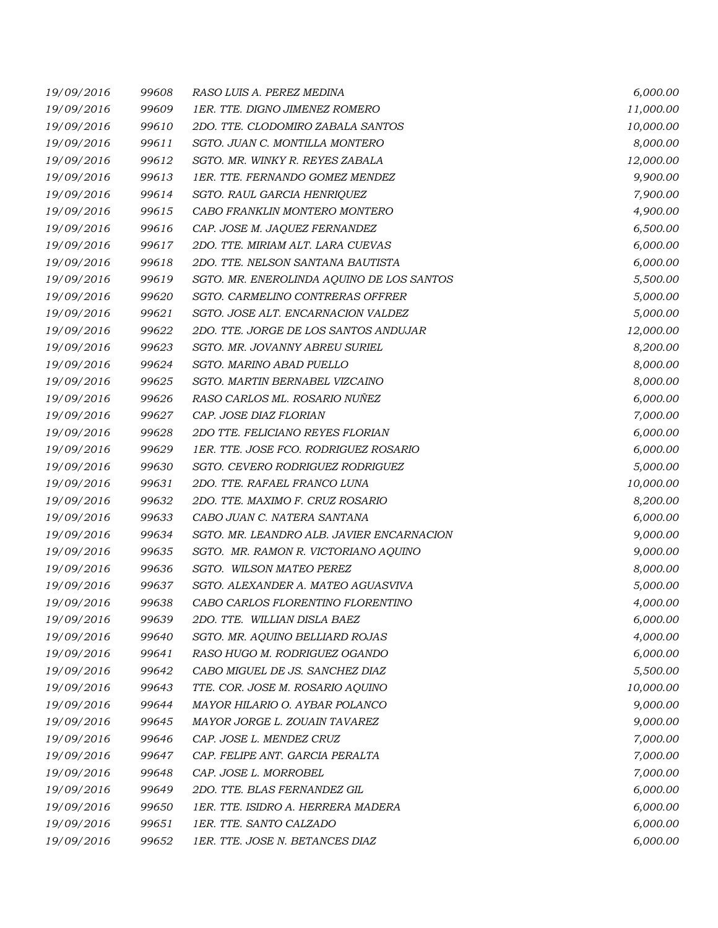| 19/09/2016 | 99608 | RASO LUIS A. PEREZ MEDINA                 | 6,000.00  |
|------------|-------|-------------------------------------------|-----------|
| 19/09/2016 | 99609 | 1ER. TTE. DIGNO JIMENEZ ROMERO            | 11,000.00 |
| 19/09/2016 | 99610 | 2DO. TTE. CLODOMIRO ZABALA SANTOS         | 10,000.00 |
| 19/09/2016 | 99611 | SGTO. JUAN C. MONTILLA MONTERO            | 8,000.00  |
| 19/09/2016 | 99612 | SGTO. MR. WINKY R. REYES ZABALA           | 12,000.00 |
| 19/09/2016 | 99613 | 1ER. TTE. FERNANDO GOMEZ MENDEZ           | 9,900.00  |
| 19/09/2016 | 99614 | SGTO. RAUL GARCIA HENRIQUEZ               | 7,900.00  |
| 19/09/2016 | 99615 | CABO FRANKLIN MONTERO MONTERO             | 4,900.00  |
| 19/09/2016 | 99616 | CAP. JOSE M. JAQUEZ FERNANDEZ             | 6,500.00  |
| 19/09/2016 | 99617 | 2DO. TTE. MIRIAM ALT. LARA CUEVAS         | 6,000.00  |
| 19/09/2016 | 99618 | 2DO. TTE. NELSON SANTANA BAUTISTA         | 6,000.00  |
| 19/09/2016 | 99619 | SGTO. MR. ENEROLINDA AQUINO DE LOS SANTOS | 5,500.00  |
| 19/09/2016 | 99620 | SGTO. CARMELINO CONTRERAS OFFRER          | 5,000.00  |
| 19/09/2016 | 99621 | SGTO. JOSE ALT. ENCARNACION VALDEZ        | 5,000.00  |
| 19/09/2016 | 99622 | 2DO. TTE. JORGE DE LOS SANTOS ANDUJAR     | 12,000.00 |
| 19/09/2016 | 99623 | SGTO. MR. JOVANNY ABREU SURIEL            | 8,200.00  |
| 19/09/2016 | 99624 | SGTO. MARINO ABAD PUELLO                  | 8,000.00  |
| 19/09/2016 | 99625 | SGTO. MARTIN BERNABEL VIZCAINO            | 8,000.00  |
| 19/09/2016 | 99626 | RASO CARLOS ML. ROSARIO NUÑEZ             | 6,000.00  |
| 19/09/2016 | 99627 | CAP. JOSE DIAZ FLORIAN                    | 7,000.00  |
| 19/09/2016 | 99628 | 2DO TTE. FELICIANO REYES FLORIAN          | 6,000.00  |
| 19/09/2016 | 99629 | 1ER. TTE. JOSE FCO. RODRIGUEZ ROSARIO     | 6,000.00  |
| 19/09/2016 | 99630 | SGTO. CEVERO RODRIGUEZ RODRIGUEZ          | 5,000.00  |
| 19/09/2016 | 99631 | 2DO. TTE. RAFAEL FRANCO LUNA              | 10,000.00 |
| 19/09/2016 | 99632 | 2DO. TTE. MAXIMO F. CRUZ ROSARIO          | 8,200.00  |
| 19/09/2016 | 99633 | CABO JUAN C. NATERA SANTANA               | 6,000.00  |
| 19/09/2016 | 99634 | SGTO. MR. LEANDRO ALB. JAVIER ENCARNACION | 9,000.00  |
| 19/09/2016 | 99635 | SGTO. MR. RAMON R. VICTORIANO AQUINO      | 9,000.00  |
| 19/09/2016 | 99636 | SGTO. WILSON MATEO PEREZ                  | 8,000.00  |
| 19/09/2016 | 99637 | SGTO, ALEXANDER A. MATEO AGUASVIVA        | 5,000.00  |
| 19/09/2016 | 99638 | CABO CARLOS FLORENTINO FLORENTINO         | 4,000.00  |
| 19/09/2016 | 99639 | 2DO. TTE. WILLIAN DISLA BAEZ              | 6,000.00  |
| 19/09/2016 | 99640 | SGTO. MR. AQUINO BELLIARD ROJAS           | 4,000.00  |
| 19/09/2016 | 99641 | RASO HUGO M. RODRIGUEZ OGANDO             | 6,000.00  |
| 19/09/2016 | 99642 | CABO MIGUEL DE JS. SANCHEZ DIAZ           | 5,500.00  |
| 19/09/2016 | 99643 | TTE. COR. JOSE M. ROSARIO AQUINO          | 10,000.00 |
| 19/09/2016 | 99644 | MAYOR HILARIO O. AYBAR POLANCO            | 9,000.00  |
| 19/09/2016 | 99645 | MAYOR JORGE L. ZOUAIN TAVAREZ             | 9,000.00  |
| 19/09/2016 | 99646 | CAP. JOSE L. MENDEZ CRUZ                  | 7,000.00  |
| 19/09/2016 | 99647 | CAP. FELIPE ANT. GARCIA PERALTA           | 7,000.00  |
| 19/09/2016 | 99648 | CAP. JOSE L. MORROBEL                     | 7,000.00  |
| 19/09/2016 | 99649 | 2DO. TTE. BLAS FERNANDEZ GIL              | 6,000.00  |
| 19/09/2016 | 99650 | 1ER. TTE. ISIDRO A. HERRERA MADERA        | 6,000.00  |
| 19/09/2016 | 99651 | 1ER. TTE. SANTO CALZADO                   | 6,000.00  |
| 19/09/2016 | 99652 | 1ER. TTE. JOSE N. BETANCES DIAZ           | 6,000.00  |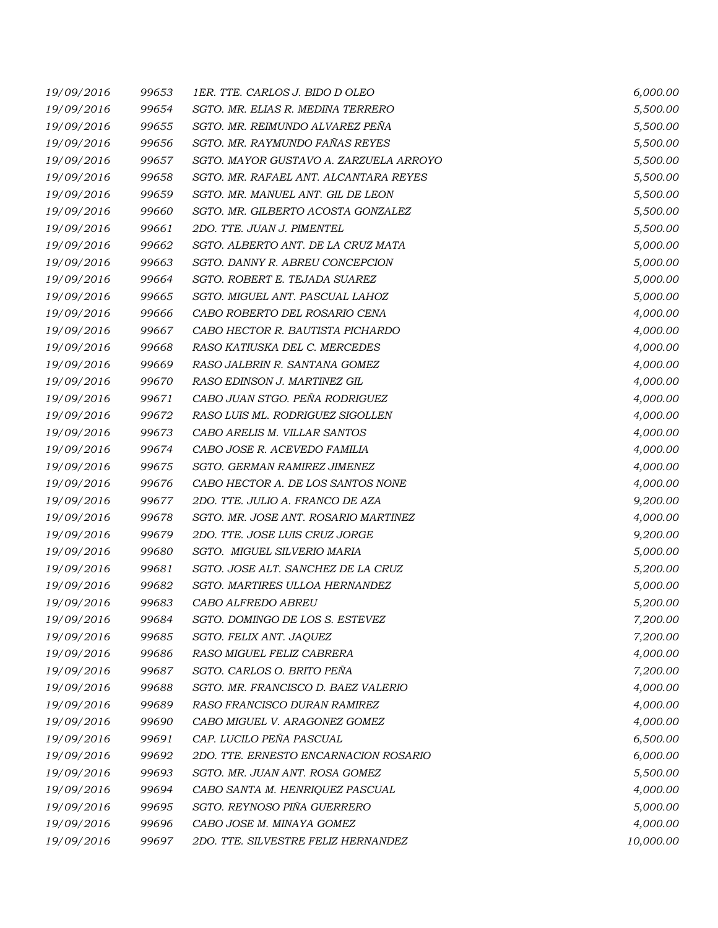| 19/09/2016 | 99653 | 1ER. TTE. CARLOS J. BIDO D OLEO        | 6,000.00  |
|------------|-------|----------------------------------------|-----------|
| 19/09/2016 | 99654 | SGTO. MR. ELIAS R. MEDINA TERRERO      | 5,500.00  |
| 19/09/2016 | 99655 | SGTO. MR. REIMUNDO ALVAREZ PEÑA        | 5,500.00  |
| 19/09/2016 | 99656 | SGTO. MR. RAYMUNDO FAÑAS REYES         | 5,500.00  |
| 19/09/2016 | 99657 | SGTO. MAYOR GUSTAVO A. ZARZUELA ARROYO | 5,500.00  |
| 19/09/2016 | 99658 | SGTO. MR. RAFAEL ANT. ALCANTARA REYES  | 5,500.00  |
| 19/09/2016 | 99659 | SGTO. MR. MANUEL ANT. GIL DE LEON      | 5,500.00  |
| 19/09/2016 | 99660 | SGTO. MR. GILBERTO ACOSTA GONZALEZ     | 5,500.00  |
| 19/09/2016 | 99661 | 2DO. TTE. JUAN J. PIMENTEL             | 5,500.00  |
| 19/09/2016 | 99662 | SGTO. ALBERTO ANT. DE LA CRUZ MATA     | 5,000.00  |
| 19/09/2016 | 99663 | SGTO. DANNY R. ABREU CONCEPCION        | 5,000.00  |
| 19/09/2016 | 99664 | SGTO. ROBERT E. TEJADA SUAREZ          | 5,000.00  |
| 19/09/2016 | 99665 | SGTO. MIGUEL ANT. PASCUAL LAHOZ        | 5,000.00  |
| 19/09/2016 | 99666 | CABO ROBERTO DEL ROSARIO CENA          | 4,000.00  |
| 19/09/2016 | 99667 | CABO HECTOR R. BAUTISTA PICHARDO       | 4,000.00  |
| 19/09/2016 | 99668 | RASO KATIUSKA DEL C. MERCEDES          | 4,000.00  |
| 19/09/2016 | 99669 | RASO JALBRIN R. SANTANA GOMEZ          | 4,000.00  |
| 19/09/2016 | 99670 | RASO EDINSON J. MARTINEZ GIL           | 4,000.00  |
| 19/09/2016 | 99671 | CABO JUAN STGO. PEÑA RODRIGUEZ         | 4,000.00  |
| 19/09/2016 | 99672 | RASO LUIS ML. RODRIGUEZ SIGOLLEN       | 4,000.00  |
| 19/09/2016 | 99673 | CABO ARELIS M. VILLAR SANTOS           | 4,000.00  |
| 19/09/2016 | 99674 | CABO JOSE R. ACEVEDO FAMILIA           | 4,000.00  |
| 19/09/2016 | 99675 | SGTO. GERMAN RAMIREZ JIMENEZ           | 4,000.00  |
| 19/09/2016 | 99676 | CABO HECTOR A. DE LOS SANTOS NONE      | 4,000.00  |
| 19/09/2016 | 99677 | 2DO. TTE. JULIO A. FRANCO DE AZA       | 9,200.00  |
| 19/09/2016 | 99678 | SGTO. MR. JOSE ANT. ROSARIO MARTINEZ   | 4,000.00  |
| 19/09/2016 | 99679 | 2DO. TTE. JOSE LUIS CRUZ JORGE         | 9,200.00  |
| 19/09/2016 | 99680 | SGTO. MIGUEL SILVERIO MARIA            | 5,000.00  |
| 19/09/2016 | 99681 | SGTO. JOSE ALT. SANCHEZ DE LA CRUZ     | 5,200.00  |
| 19/09/2016 | 99682 | <b>SGTO. MARTIRES ULLOA HERNANDEZ</b>  | 5,000.00  |
| 19/09/2016 | 99683 | CABO ALFREDO ABREU                     | 5,200.00  |
| 19/09/2016 | 99684 | SGTO. DOMINGO DE LOS S. ESTEVEZ        | 7,200.00  |
| 19/09/2016 | 99685 | SGTO. FELIX ANT. JAQUEZ                | 7,200.00  |
| 19/09/2016 | 99686 | RASO MIGUEL FELIZ CABRERA              | 4,000.00  |
| 19/09/2016 | 99687 | SGTO. CARLOS O. BRITO PEÑA             | 7,200.00  |
| 19/09/2016 | 99688 | SGTO. MR. FRANCISCO D. BAEZ VALERIO    | 4,000.00  |
| 19/09/2016 | 99689 | RASO FRANCISCO DURAN RAMIREZ           | 4,000.00  |
| 19/09/2016 | 99690 | CABO MIGUEL V. ARAGONEZ GOMEZ          | 4,000.00  |
| 19/09/2016 | 99691 | CAP. LUCILO PEÑA PASCUAL               | 6,500.00  |
| 19/09/2016 | 99692 | 2DO. TTE. ERNESTO ENCARNACION ROSARIO  | 6,000.00  |
| 19/09/2016 | 99693 | SGTO. MR. JUAN ANT. ROSA GOMEZ         | 5,500.00  |
| 19/09/2016 | 99694 | CABO SANTA M. HENRIQUEZ PASCUAL        | 4,000.00  |
| 19/09/2016 | 99695 | SGTO. REYNOSO PIÑA GUERRERO            | 5,000.00  |
| 19/09/2016 | 99696 | CABO JOSE M. MINAYA GOMEZ              | 4,000.00  |
| 19/09/2016 | 99697 | 2DO. TTE. SILVESTRE FELIZ HERNANDEZ    | 10,000.00 |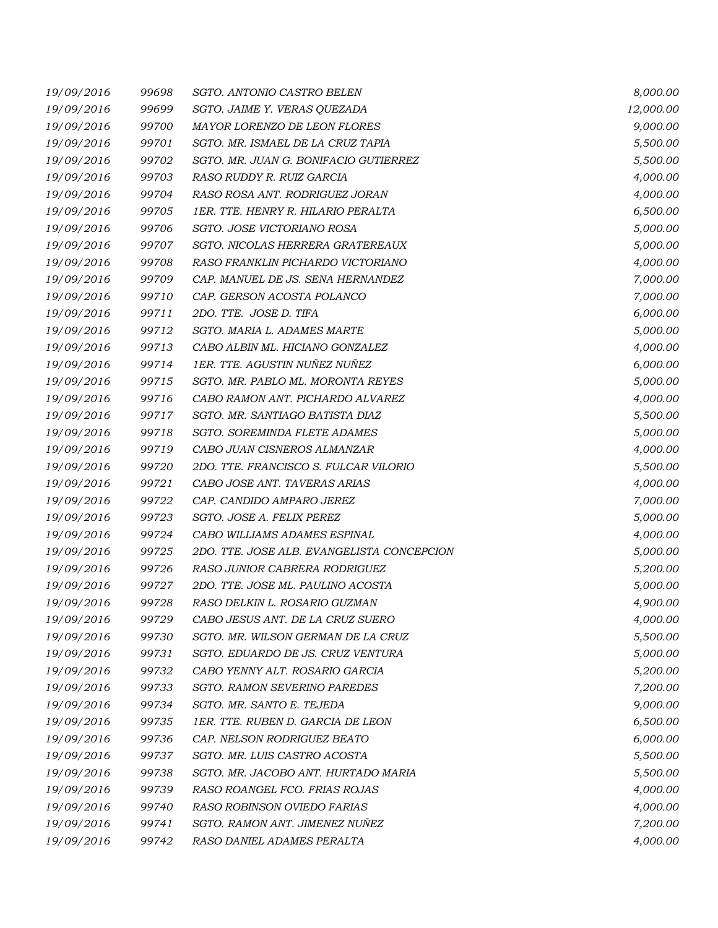| 19/09/2016 | 99698 | SGTO. ANTONIO CASTRO BELEN                 | 8,000.00  |
|------------|-------|--------------------------------------------|-----------|
| 19/09/2016 | 99699 | SGTO. JAIME Y. VERAS QUEZADA               | 12,000.00 |
| 19/09/2016 | 99700 | MAYOR LORENZO DE LEON FLORES               | 9,000.00  |
| 19/09/2016 | 99701 | SGTO. MR. ISMAEL DE LA CRUZ TAPIA          | 5,500.00  |
| 19/09/2016 | 99702 | SGTO. MR. JUAN G. BONIFACIO GUTIERREZ      | 5,500.00  |
| 19/09/2016 | 99703 | RASO RUDDY R. RUIZ GARCIA                  | 4,000.00  |
| 19/09/2016 | 99704 | RASO ROSA ANT. RODRIGUEZ JORAN             | 4,000.00  |
| 19/09/2016 | 99705 | 1ER. TTE. HENRY R. HILARIO PERALTA         | 6,500.00  |
| 19/09/2016 | 99706 | SGTO. JOSE VICTORIANO ROSA                 | 5,000.00  |
| 19/09/2016 | 99707 | SGTO. NICOLAS HERRERA GRATEREAUX           | 5,000.00  |
| 19/09/2016 | 99708 | RASO FRANKLIN PICHARDO VICTORIANO          | 4,000.00  |
| 19/09/2016 | 99709 | CAP. MANUEL DE JS. SENA HERNANDEZ          | 7,000.00  |
| 19/09/2016 | 99710 | CAP. GERSON ACOSTA POLANCO                 | 7,000.00  |
| 19/09/2016 | 99711 | 2DO. TTE. JOSE D. TIFA                     | 6,000.00  |
| 19/09/2016 | 99712 | SGTO. MARIA L. ADAMES MARTE                | 5,000.00  |
| 19/09/2016 | 99713 | CABO ALBIN ML. HICIANO GONZALEZ            | 4,000.00  |
| 19/09/2016 | 99714 | 1ER. TTE. AGUSTIN NUÑEZ NUÑEZ              | 6,000.00  |
| 19/09/2016 | 99715 | SGTO. MR. PABLO ML. MORONTA REYES          | 5,000.00  |
| 19/09/2016 | 99716 | CABO RAMON ANT. PICHARDO ALVAREZ           | 4,000.00  |
| 19/09/2016 | 99717 | SGTO. MR. SANTIAGO BATISTA DIAZ            | 5,500.00  |
| 19/09/2016 | 99718 | <b>SGTO. SOREMINDA FLETE ADAMES</b>        | 5,000.00  |
| 19/09/2016 | 99719 | CABO JUAN CISNEROS ALMANZAR                | 4,000.00  |
| 19/09/2016 | 99720 | 2DO. TTE. FRANCISCO S. FULCAR VILORIO      | 5,500.00  |
| 19/09/2016 | 99721 | CABO JOSE ANT. TAVERAS ARIAS               | 4,000.00  |
| 19/09/2016 | 99722 | CAP. CANDIDO AMPARO JEREZ                  | 7,000.00  |
| 19/09/2016 | 99723 | SGTO. JOSE A. FELIX PEREZ                  | 5,000.00  |
| 19/09/2016 | 99724 | CABO WILLIAMS ADAMES ESPINAL               | 4,000.00  |
| 19/09/2016 | 99725 | 2DO. TTE. JOSE ALB. EVANGELISTA CONCEPCION | 5,000.00  |
| 19/09/2016 | 99726 | RASO JUNIOR CABRERA RODRIGUEZ              | 5,200.00  |
| 19/09/2016 | 99727 | 2DO. TTE. JOSE ML. PAULINO ACOSTA          | 5,000.00  |
| 19/09/2016 | 99728 | RASO DELKIN L. ROSARIO GUZMAN              | 4,900.00  |
| 19/09/2016 | 99729 | CABO JESUS ANT. DE LA CRUZ SUERO           | 4,000.00  |
| 19/09/2016 | 99730 | SGTO. MR. WILSON GERMAN DE LA CRUZ         | 5,500.00  |
| 19/09/2016 | 99731 | SGTO. EDUARDO DE JS. CRUZ VENTURA          | 5,000.00  |
| 19/09/2016 | 99732 | CABO YENNY ALT. ROSARIO GARCIA             | 5,200.00  |
| 19/09/2016 | 99733 | <b>SGTO. RAMON SEVERINO PAREDES</b>        | 7,200.00  |
| 19/09/2016 | 99734 | SGTO. MR. SANTO E. TEJEDA                  | 9,000.00  |
| 19/09/2016 | 99735 | 1ER. TTE. RUBEN D. GARCIA DE LEON          | 6,500.00  |
| 19/09/2016 | 99736 | CAP. NELSON RODRIGUEZ BEATO                | 6,000.00  |
| 19/09/2016 | 99737 | SGTO. MR. LUIS CASTRO ACOSTA               | 5,500.00  |
| 19/09/2016 | 99738 | SGTO. MR. JACOBO ANT. HURTADO MARIA        | 5,500.00  |
| 19/09/2016 | 99739 | RASO ROANGEL FCO. FRIAS ROJAS              | 4,000.00  |
| 19/09/2016 | 99740 | RASO ROBINSON OVIEDO FARIAS                | 4,000.00  |
| 19/09/2016 | 99741 | SGTO. RAMON ANT. JIMENEZ NUÑEZ             | 7,200.00  |
| 19/09/2016 | 99742 | RASO DANIEL ADAMES PERALTA                 | 4,000.00  |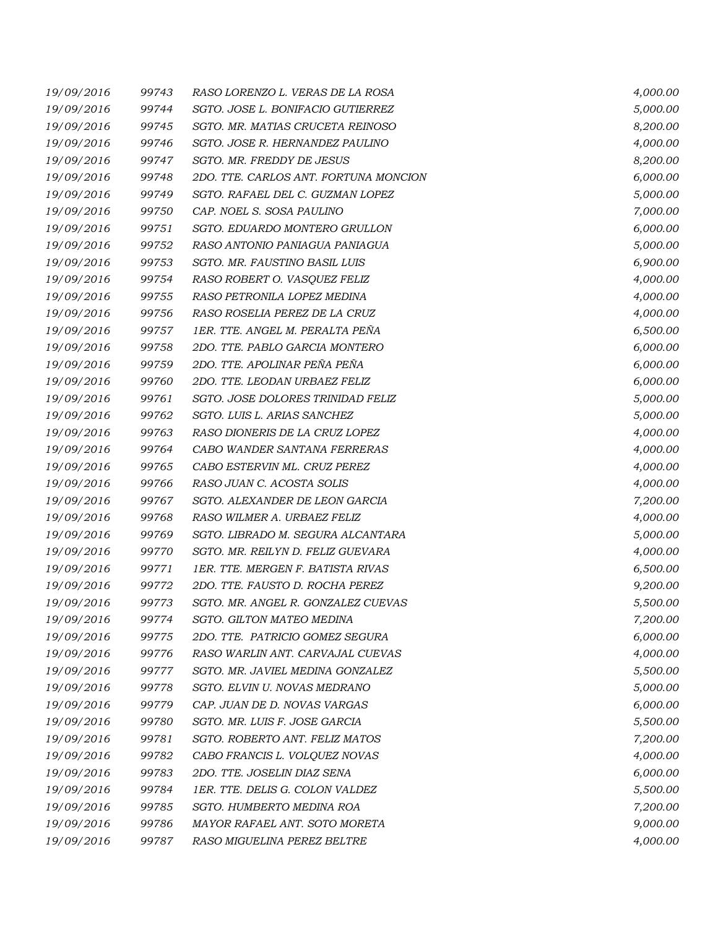| 19/09/2016 | 99743 | RASO LORENZO L. VERAS DE LA ROSA         | 4,000.00 |
|------------|-------|------------------------------------------|----------|
| 19/09/2016 | 99744 | SGTO. JOSE L. BONIFACIO GUTIERREZ        | 5,000.00 |
| 19/09/2016 | 99745 | SGTO. MR. MATIAS CRUCETA REINOSO         | 8,200.00 |
| 19/09/2016 | 99746 | SGTO. JOSE R. HERNANDEZ PAULINO          | 4,000.00 |
| 19/09/2016 | 99747 | SGTO. MR. FREDDY DE JESUS                | 8,200.00 |
| 19/09/2016 | 99748 | 2DO. TTE. CARLOS ANT. FORTUNA MONCION    | 6,000.00 |
| 19/09/2016 | 99749 | SGTO. RAFAEL DEL C. GUZMAN LOPEZ         | 5,000.00 |
| 19/09/2016 | 99750 | CAP. NOEL S. SOSA PAULINO                | 7,000.00 |
| 19/09/2016 | 99751 | SGTO. EDUARDO MONTERO GRULLON            | 6,000.00 |
| 19/09/2016 | 99752 | RASO ANTONIO PANIAGUA PANIAGUA           | 5,000.00 |
| 19/09/2016 | 99753 | SGTO. MR. FAUSTINO BASIL LUIS            | 6,900.00 |
| 19/09/2016 | 99754 | RASO ROBERT O. VASQUEZ FELIZ             | 4,000.00 |
| 19/09/2016 | 99755 | RASO PETRONILA LOPEZ MEDINA              | 4,000.00 |
| 19/09/2016 | 99756 | RASO ROSELIA PEREZ DE LA CRUZ            | 4,000.00 |
| 19/09/2016 | 99757 | 1ER. TTE. ANGEL M. PERALTA PEÑA          | 6,500.00 |
| 19/09/2016 | 99758 | 2DO. TTE. PABLO GARCIA MONTERO           | 6,000.00 |
| 19/09/2016 | 99759 | 2DO. TTE. APOLINAR PEÑA PEÑA             | 6,000.00 |
| 19/09/2016 | 99760 | 2DO. TTE. LEODAN URBAEZ FELIZ            | 6,000.00 |
| 19/09/2016 | 99761 | SGTO. JOSE DOLORES TRINIDAD FELIZ        | 5,000.00 |
| 19/09/2016 | 99762 | SGTO. LUIS L. ARIAS SANCHEZ              | 5,000.00 |
| 19/09/2016 | 99763 | RASO DIONERIS DE LA CRUZ LOPEZ           | 4,000.00 |
| 19/09/2016 | 99764 | CABO WANDER SANTANA FERRERAS             | 4,000.00 |
| 19/09/2016 | 99765 | CABO ESTERVIN ML. CRUZ PEREZ             | 4,000.00 |
| 19/09/2016 | 99766 | RASO JUAN C. ACOSTA SOLIS                | 4,000.00 |
| 19/09/2016 | 99767 | SGTO. ALEXANDER DE LEON GARCIA           | 7,200.00 |
| 19/09/2016 | 99768 | RASO WILMER A. URBAEZ FELIZ              | 4,000.00 |
| 19/09/2016 | 99769 | SGTO. LIBRADO M. SEGURA ALCANTARA        | 5,000.00 |
| 19/09/2016 | 99770 | SGTO. MR. REILYN D. FELIZ GUEVARA        | 4,000.00 |
| 19/09/2016 | 99771 | <b>1ER. TTE. MERGEN F. BATISTA RIVAS</b> | 6,500.00 |
| 19/09/2016 | 99772 | 2DO. TTE. FAUSTO D. ROCHA PEREZ          | 9,200.00 |
| 19/09/2016 | 99773 | SGTO. MR. ANGEL R. GONZALEZ CUEVAS       | 5,500.00 |
| 19/09/2016 | 99774 | SGTO. GILTON MATEO MEDINA                | 7,200.00 |
| 19/09/2016 | 99775 | 2DO. TTE. PATRICIO GOMEZ SEGURA          | 6,000.00 |
| 19/09/2016 | 99776 | RASO WARLIN ANT. CARVAJAL CUEVAS         | 4,000.00 |
| 19/09/2016 | 99777 | SGTO. MR. JAVIEL MEDINA GONZALEZ         | 5,500.00 |
| 19/09/2016 | 99778 | SGTO. ELVIN U. NOVAS MEDRANO             | 5,000.00 |
| 19/09/2016 | 99779 | CAP. JUAN DE D. NOVAS VARGAS             | 6,000.00 |
| 19/09/2016 | 99780 | SGTO. MR. LUIS F. JOSE GARCIA            | 5,500.00 |
| 19/09/2016 | 99781 | SGTO. ROBERTO ANT. FELIZ MATOS           | 7,200.00 |
| 19/09/2016 | 99782 | CABO FRANCIS L. VOLQUEZ NOVAS            | 4,000.00 |
| 19/09/2016 | 99783 | 2DO. TTE. JOSELIN DIAZ SENA              | 6,000.00 |
| 19/09/2016 | 99784 | 1ER. TTE. DELIS G. COLON VALDEZ          | 5,500.00 |
| 19/09/2016 | 99785 | SGTO. HUMBERTO MEDINA ROA                | 7,200.00 |
| 19/09/2016 | 99786 | MAYOR RAFAEL ANT. SOTO MORETA            | 9,000.00 |
| 19/09/2016 | 99787 | RASO MIGUELINA PEREZ BELTRE              | 4,000.00 |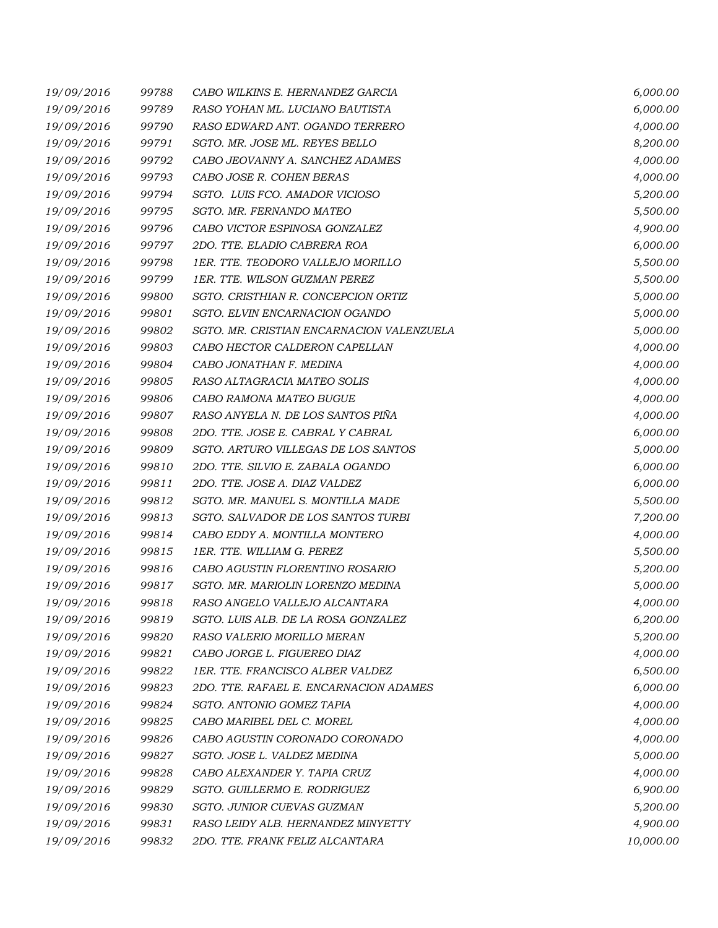| 19/09/2016 | 99788 | CABO WILKINS E. HERNANDEZ GARCIA          | 6,000.00  |
|------------|-------|-------------------------------------------|-----------|
| 19/09/2016 | 99789 | RASO YOHAN ML. LUCIANO BAUTISTA           | 6,000.00  |
| 19/09/2016 | 99790 | RASO EDWARD ANT. OGANDO TERRERO           | 4,000.00  |
| 19/09/2016 | 99791 | SGTO. MR. JOSE ML. REYES BELLO            | 8,200.00  |
| 19/09/2016 | 99792 | CABO JEOVANNY A. SANCHEZ ADAMES           | 4,000.00  |
| 19/09/2016 | 99793 | CABO JOSE R. COHEN BERAS                  | 4,000.00  |
| 19/09/2016 | 99794 | SGTO. LUIS FCO. AMADOR VICIOSO            | 5,200.00  |
| 19/09/2016 | 99795 | SGTO. MR. FERNANDO MATEO                  | 5,500.00  |
| 19/09/2016 | 99796 | CABO VICTOR ESPINOSA GONZALEZ             | 4,900.00  |
| 19/09/2016 | 99797 | 2DO. TTE. ELADIO CABRERA ROA              | 6,000.00  |
| 19/09/2016 | 99798 | 1ER. TTE. TEODORO VALLEJO MORILLO         | 5,500.00  |
| 19/09/2016 | 99799 | 1ER. TTE. WILSON GUZMAN PEREZ             | 5,500.00  |
| 19/09/2016 | 99800 | SGTO. CRISTHIAN R. CONCEPCION ORTIZ       | 5,000.00  |
| 19/09/2016 | 99801 | SGTO. ELVIN ENCARNACION OGANDO            | 5,000.00  |
| 19/09/2016 | 99802 | SGTO. MR. CRISTIAN ENCARNACION VALENZUELA | 5,000.00  |
| 19/09/2016 | 99803 | CABO HECTOR CALDERON CAPELLAN             | 4,000.00  |
| 19/09/2016 | 99804 | CABO JONATHAN F. MEDINA                   | 4,000.00  |
| 19/09/2016 | 99805 | RASO ALTAGRACIA MATEO SOLIS               | 4,000.00  |
| 19/09/2016 | 99806 | CABO RAMONA MATEO BUGUE                   | 4,000.00  |
| 19/09/2016 | 99807 | RASO ANYELA N. DE LOS SANTOS PINA         | 4,000.00  |
| 19/09/2016 | 99808 | 2DO. TTE. JOSE E. CABRAL Y CABRAL         | 6,000.00  |
| 19/09/2016 | 99809 | SGTO. ARTURO VILLEGAS DE LOS SANTOS       | 5,000.00  |
| 19/09/2016 | 99810 | 2DO. TTE. SILVIO E. ZABALA OGANDO         | 6,000.00  |
| 19/09/2016 | 99811 | 2DO. TTE. JOSE A. DIAZ VALDEZ             | 6,000.00  |
| 19/09/2016 | 99812 | SGTO. MR. MANUEL S. MONTILLA MADE         | 5,500.00  |
| 19/09/2016 | 99813 | SGTO. SALVADOR DE LOS SANTOS TURBI        | 7,200.00  |
| 19/09/2016 | 99814 | CABO EDDY A. MONTILLA MONTERO             | 4,000.00  |
| 19/09/2016 | 99815 | 1ER. TTE. WILLIAM G. PEREZ                | 5,500.00  |
| 19/09/2016 | 99816 | CABO AGUSTIN FLORENTINO ROSARIO           | 5,200.00  |
| 19/09/2016 | 99817 | SGTO. MR. MARIOLIN LORENZO MEDINA         | 5,000.00  |
| 19/09/2016 | 99818 | RASO ANGELO VALLEJO ALCANTARA             | 4,000.00  |
| 19/09/2016 | 99819 | SGTO. LUIS ALB. DE LA ROSA GONZALEZ       | 6,200.00  |
| 19/09/2016 | 99820 | RASO VALERIO MORILLO MERAN                | 5,200.00  |
| 19/09/2016 | 99821 | CABO JORGE L. FIGUEREO DIAZ               | 4,000.00  |
| 19/09/2016 | 99822 | 1ER. TTE. FRANCISCO ALBER VALDEZ          | 6,500.00  |
| 19/09/2016 | 99823 | 2DO. TTE. RAFAEL E. ENCARNACION ADAMES    | 6,000.00  |
| 19/09/2016 | 99824 | SGTO. ANTONIO GOMEZ TAPIA                 | 4,000.00  |
| 19/09/2016 | 99825 | CABO MARIBEL DEL C. MOREL                 | 4,000.00  |
| 19/09/2016 | 99826 | CABO AGUSTIN CORONADO CORONADO            | 4,000.00  |
| 19/09/2016 | 99827 | SGTO. JOSE L. VALDEZ MEDINA               | 5,000.00  |
| 19/09/2016 | 99828 | CABO ALEXANDER Y. TAPIA CRUZ              | 4,000.00  |
| 19/09/2016 | 99829 | SGTO. GUILLERMO E. RODRIGUEZ              | 6,900.00  |
| 19/09/2016 | 99830 | SGTO. JUNIOR CUEVAS GUZMAN                | 5,200.00  |
| 19/09/2016 | 99831 | RASO LEIDY ALB. HERNANDEZ MINYETTY        | 4,900.00  |
| 19/09/2016 | 99832 | 2DO. TTE. FRANK FELIZ ALCANTARA           | 10,000.00 |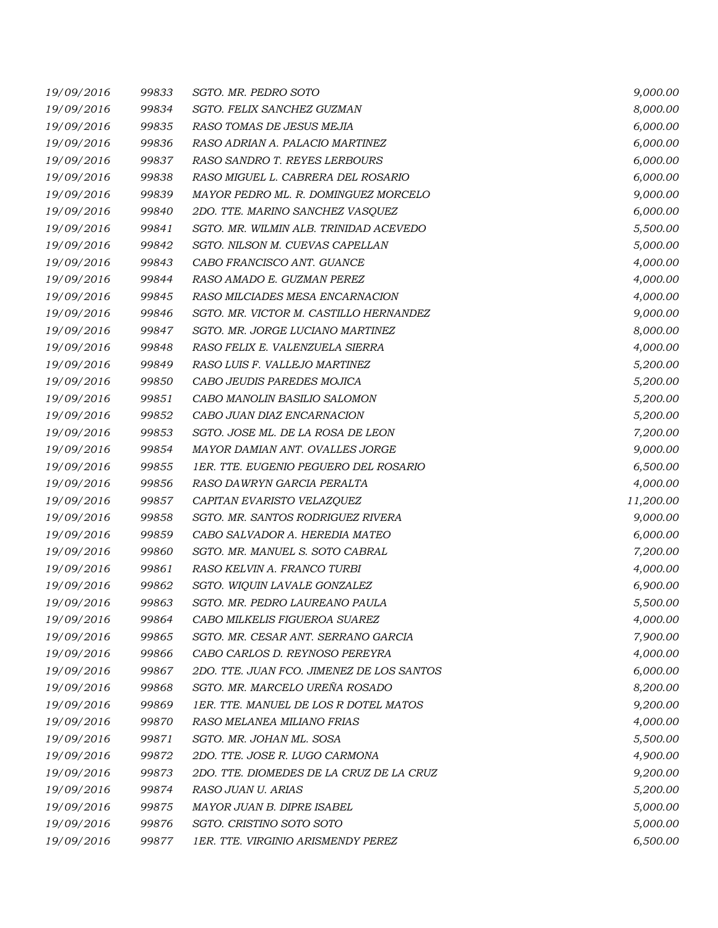| 19/09/2016 | 99833 | SGTO. MR. PEDRO SOTO                      | 9,000.00  |
|------------|-------|-------------------------------------------|-----------|
| 19/09/2016 | 99834 | SGTO. FELIX SANCHEZ GUZMAN                | 8,000.00  |
| 19/09/2016 | 99835 | RASO TOMAS DE JESUS MEJIA                 | 6,000.00  |
| 19/09/2016 | 99836 | RASO ADRIAN A. PALACIO MARTINEZ           | 6,000.00  |
| 19/09/2016 | 99837 | RASO SANDRO T. REYES LERBOURS             | 6,000.00  |
| 19/09/2016 | 99838 | RASO MIGUEL L. CABRERA DEL ROSARIO        | 6,000.00  |
| 19/09/2016 | 99839 | MAYOR PEDRO ML. R. DOMINGUEZ MORCELO      | 9,000.00  |
| 19/09/2016 | 99840 | 2DO. TTE. MARINO SANCHEZ VASQUEZ          | 6,000.00  |
| 19/09/2016 | 99841 | SGTO. MR. WILMIN ALB. TRINIDAD ACEVEDO    | 5,500.00  |
| 19/09/2016 | 99842 | SGTO. NILSON M. CUEVAS CAPELLAN           | 5,000.00  |
| 19/09/2016 | 99843 | CABO FRANCISCO ANT. GUANCE                | 4,000.00  |
| 19/09/2016 | 99844 | RASO AMADO E. GUZMAN PEREZ                | 4,000.00  |
| 19/09/2016 | 99845 | RASO MILCIADES MESA ENCARNACION           | 4,000.00  |
| 19/09/2016 | 99846 | SGTO. MR. VICTOR M. CASTILLO HERNANDEZ    | 9,000.00  |
| 19/09/2016 | 99847 | SGTO. MR. JORGE LUCIANO MARTINEZ          | 8,000.00  |
| 19/09/2016 | 99848 | RASO FELIX E. VALENZUELA SIERRA           | 4,000.00  |
| 19/09/2016 | 99849 | RASO LUIS F. VALLEJO MARTINEZ             | 5,200.00  |
| 19/09/2016 | 99850 | CABO JEUDIS PAREDES MOJICA                | 5,200.00  |
| 19/09/2016 | 99851 | CABO MANOLIN BASILIO SALOMON              | 5,200.00  |
| 19/09/2016 | 99852 | CABO JUAN DIAZ ENCARNACION                | 5,200.00  |
| 19/09/2016 | 99853 | SGTO. JOSE ML. DE LA ROSA DE LEON         | 7,200.00  |
| 19/09/2016 | 99854 | MAYOR DAMIAN ANT. OVALLES JORGE           | 9,000.00  |
| 19/09/2016 | 99855 | 1ER. TTE. EUGENIO PEGUERO DEL ROSARIO     | 6,500.00  |
| 19/09/2016 | 99856 | RASO DAWRYN GARCIA PERALTA                | 4,000.00  |
| 19/09/2016 | 99857 | CAPITAN EVARISTO VELAZQUEZ                | 11,200.00 |
| 19/09/2016 | 99858 | SGTO. MR. SANTOS RODRIGUEZ RIVERA         | 9,000.00  |
| 19/09/2016 | 99859 | CABO SALVADOR A. HEREDIA MATEO            | 6,000.00  |
| 19/09/2016 | 99860 | SGTO. MR. MANUEL S. SOTO CABRAL           | 7,200.00  |
| 19/09/2016 | 99861 | RASO KELVIN A. FRANCO TURBI               | 4,000.00  |
| 19/09/2016 | 99862 | SGTO. WIQUIN LAVALE GONZALEZ              | 6,900.00  |
| 19/09/2016 | 99863 | SGTO. MR. PEDRO LAUREANO PAULA            | 5,500.00  |
| 19/09/2016 | 99864 | CABO MILKELIS FIGUEROA SUAREZ             | 4,000.00  |
| 19/09/2016 | 99865 | SGTO. MR. CESAR ANT. SERRANO GARCIA       | 7,900.00  |
| 19/09/2016 | 99866 | CABO CARLOS D. REYNOSO PEREYRA            | 4,000.00  |
| 19/09/2016 | 99867 | 2DO. TTE. JUAN FCO. JIMENEZ DE LOS SANTOS | 6,000.00  |
| 19/09/2016 | 99868 | SGTO. MR. MARCELO UREÑA ROSADO            | 8,200.00  |
| 19/09/2016 | 99869 | 1ER. TTE. MANUEL DE LOS R DOTEL MATOS     | 9,200.00  |
| 19/09/2016 | 99870 | RASO MELANEA MILIANO FRIAS                | 4,000.00  |
| 19/09/2016 | 99871 | SGTO. MR. JOHAN ML. SOSA                  | 5,500.00  |
| 19/09/2016 | 99872 | 2DO. TTE. JOSE R. LUGO CARMONA            | 4,900.00  |
| 19/09/2016 | 99873 | 2DO. TTE. DIOMEDES DE LA CRUZ DE LA CRUZ  | 9,200.00  |
| 19/09/2016 | 99874 | RASO JUAN U. ARIAS                        | 5,200.00  |
| 19/09/2016 | 99875 | MAYOR JUAN B. DIPRE ISABEL                | 5,000.00  |
| 19/09/2016 | 99876 | SGTO. CRISTINO SOTO SOTO                  | 5,000.00  |
| 19/09/2016 | 99877 | 1ER. TTE. VIRGINIO ARISMENDY PEREZ        | 6,500.00  |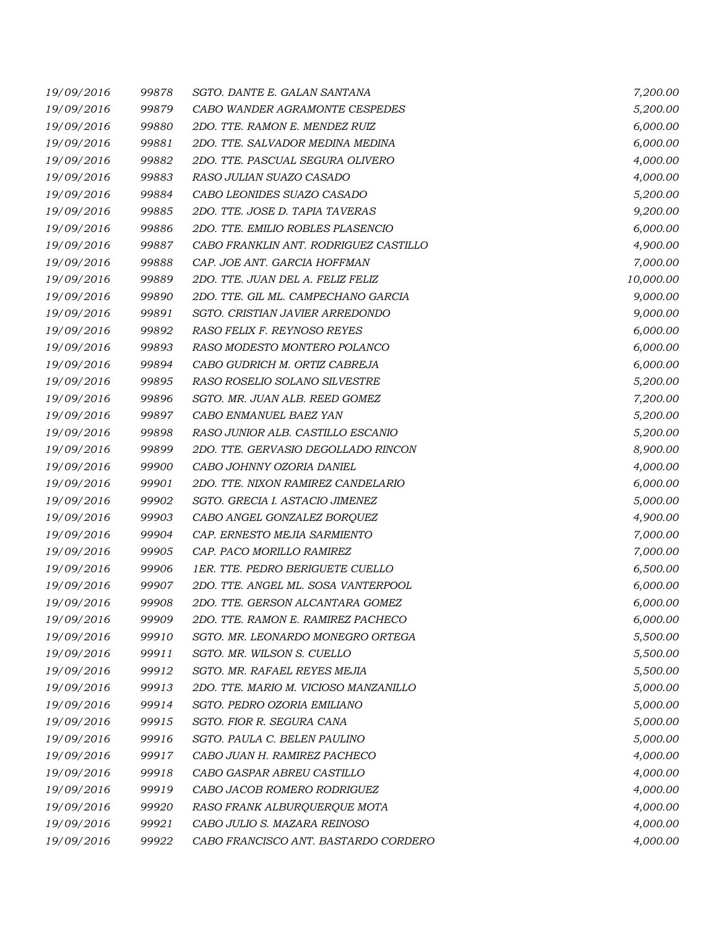| 19/09/2016 | 99878 | SGTO, DANTE E. GALAN SANTANA          | 7,200.00  |
|------------|-------|---------------------------------------|-----------|
| 19/09/2016 | 99879 | CABO WANDER AGRAMONTE CESPEDES        | 5,200.00  |
| 19/09/2016 | 99880 | 2DO. TTE. RAMON E. MENDEZ RUIZ        | 6,000.00  |
| 19/09/2016 | 99881 | 2DO. TTE. SALVADOR MEDINA MEDINA      | 6,000.00  |
| 19/09/2016 | 99882 | 2DO. TTE. PASCUAL SEGURA OLIVERO      | 4,000.00  |
| 19/09/2016 | 99883 | RASO JULIAN SUAZO CASADO              | 4,000.00  |
| 19/09/2016 | 99884 | CABO LEONIDES SUAZO CASADO            | 5,200.00  |
| 19/09/2016 | 99885 | 2DO. TTE. JOSE D. TAPIA TAVERAS       | 9,200.00  |
| 19/09/2016 | 99886 | 2DO. TTE. EMILIO ROBLES PLASENCIO     | 6,000.00  |
| 19/09/2016 | 99887 | CABO FRANKLIN ANT. RODRIGUEZ CASTILLO | 4,900.00  |
| 19/09/2016 | 99888 | CAP. JOE ANT. GARCIA HOFFMAN          | 7,000.00  |
| 19/09/2016 | 99889 | 2DO. TTE. JUAN DEL A. FELIZ FELIZ     | 10,000.00 |
| 19/09/2016 | 99890 | 2DO. TTE. GIL ML. CAMPECHANO GARCIA   | 9,000.00  |
| 19/09/2016 | 99891 | SGTO. CRISTIAN JAVIER ARREDONDO       | 9,000.00  |
| 19/09/2016 | 99892 | RASO FELIX F. REYNOSO REYES           | 6,000.00  |
| 19/09/2016 | 99893 | RASO MODESTO MONTERO POLANCO          | 6,000.00  |
| 19/09/2016 | 99894 | CABO GUDRICH M. ORTIZ CABREJA         | 6,000.00  |
| 19/09/2016 | 99895 | RASO ROSELIO SOLANO SILVESTRE         | 5,200.00  |
| 19/09/2016 | 99896 | SGTO. MR. JUAN ALB. REED GOMEZ        | 7,200.00  |
| 19/09/2016 | 99897 | CABO ENMANUEL BAEZ YAN                | 5,200.00  |
| 19/09/2016 | 99898 | RASO JUNIOR ALB. CASTILLO ESCANIO     | 5,200.00  |
| 19/09/2016 | 99899 | 2DO. TTE. GERVASIO DEGOLLADO RINCON   | 8,900.00  |
| 19/09/2016 | 99900 | CABO JOHNNY OZORIA DANIEL             | 4,000.00  |
| 19/09/2016 | 99901 | 2DO. TTE. NIXON RAMIREZ CANDELARIO    | 6,000.00  |
| 19/09/2016 | 99902 | SGTO. GRECIA I. ASTACIO JIMENEZ       | 5,000.00  |
| 19/09/2016 | 99903 | CABO ANGEL GONZALEZ BORQUEZ           | 4,900.00  |
| 19/09/2016 | 99904 | CAP. ERNESTO MEJIA SARMIENTO          | 7,000.00  |
| 19/09/2016 | 99905 | CAP. PACO MORILLO RAMIREZ             | 7,000.00  |
| 19/09/2016 | 99906 | 1ER. TTE. PEDRO BERIGUETE CUELLO      | 6,500.00  |
| 19/09/2016 | 99907 | 2DO. TTE. ANGEL ML. SOSA VANTERPOOL   | 6,000.00  |
| 19/09/2016 | 99908 | 2DO. TTE. GERSON ALCANTARA GOMEZ      | 6,000.00  |
| 19/09/2016 | 99909 | 2DO. TTE. RAMON E. RAMIREZ PACHECO    | 6,000.00  |
| 19/09/2016 | 99910 | SGTO. MR. LEONARDO MONEGRO ORTEGA     | 5,500.00  |
| 19/09/2016 | 99911 | SGTO. MR. WILSON S. CUELLO            | 5,500.00  |
| 19/09/2016 | 99912 | SGTO. MR. RAFAEL REYES MEJIA          | 5,500.00  |
| 19/09/2016 | 99913 | 2DO. TTE. MARIO M. VICIOSO MANZANILLO | 5,000.00  |
| 19/09/2016 | 99914 | SGTO. PEDRO OZORIA EMILIANO           | 5,000.00  |
| 19/09/2016 | 99915 | SGTO. FIOR R. SEGURA CANA             | 5,000.00  |
| 19/09/2016 | 99916 | SGTO. PAULA C. BELEN PAULINO          | 5,000.00  |
| 19/09/2016 | 99917 | CABO JUAN H. RAMIREZ PACHECO          | 4,000.00  |
| 19/09/2016 | 99918 | CABO GASPAR ABREU CASTILLO            | 4,000.00  |
| 19/09/2016 | 99919 | CABO JACOB ROMERO RODRIGUEZ           | 4,000.00  |
| 19/09/2016 | 99920 | RASO FRANK ALBURQUERQUE MOTA          | 4,000.00  |
| 19/09/2016 | 99921 | CABO JULIO S. MAZARA REINOSO          | 4,000.00  |
| 19/09/2016 | 99922 | CABO FRANCISCO ANT. BASTARDO CORDERO  | 4,000.00  |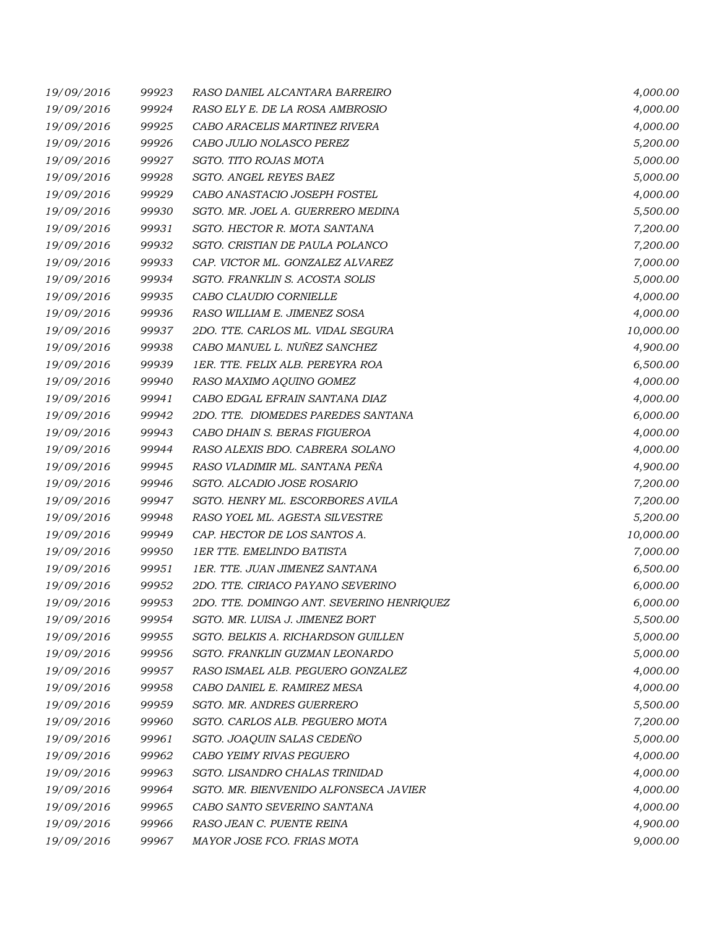| 19/09/2016 | 99923 | RASO DANIEL ALCANTARA BARREIRO            | 4,000.00  |
|------------|-------|-------------------------------------------|-----------|
| 19/09/2016 | 99924 | RASO ELY E. DE LA ROSA AMBROSIO           | 4,000.00  |
| 19/09/2016 | 99925 | CABO ARACELIS MARTINEZ RIVERA             | 4,000.00  |
| 19/09/2016 | 99926 | CABO JULIO NOLASCO PEREZ                  | 5,200.00  |
| 19/09/2016 | 99927 | SGTO. TITO ROJAS MOTA                     | 5,000.00  |
| 19/09/2016 | 99928 | SGTO. ANGEL REYES BAEZ                    | 5,000.00  |
| 19/09/2016 | 99929 | CABO ANASTACIO JOSEPH FOSTEL              | 4,000.00  |
| 19/09/2016 | 99930 | SGTO. MR. JOEL A. GUERRERO MEDINA         | 5,500.00  |
| 19/09/2016 | 99931 | SGTO. HECTOR R. MOTA SANTANA              | 7,200.00  |
| 19/09/2016 | 99932 | SGTO. CRISTIAN DE PAULA POLANCO           | 7,200.00  |
| 19/09/2016 | 99933 | CAP. VICTOR ML. GONZALEZ ALVAREZ          | 7,000.00  |
| 19/09/2016 | 99934 | SGTO. FRANKLIN S. ACOSTA SOLIS            | 5,000.00  |
| 19/09/2016 | 99935 | CABO CLAUDIO CORNIELLE                    | 4,000.00  |
| 19/09/2016 | 99936 | RASO WILLIAM E. JIMENEZ SOSA              | 4,000.00  |
| 19/09/2016 | 99937 | 2DO. TTE. CARLOS ML. VIDAL SEGURA         | 10,000.00 |
| 19/09/2016 | 99938 | CABO MANUEL L. NUÑEZ SANCHEZ              | 4,900.00  |
| 19/09/2016 | 99939 | 1ER. TTE. FELIX ALB. PEREYRA ROA          | 6,500.00  |
| 19/09/2016 | 99940 | RASO MAXIMO AQUINO GOMEZ                  | 4,000.00  |
| 19/09/2016 | 99941 | CABO EDGAL EFRAIN SANTANA DIAZ            | 4,000.00  |
| 19/09/2016 | 99942 | 2DO. TTE. DIOMEDES PAREDES SANTANA        | 6,000.00  |
| 19/09/2016 | 99943 | CABO DHAIN S. BERAS FIGUEROA              | 4,000.00  |
| 19/09/2016 | 99944 | RASO ALEXIS BDO. CABRERA SOLANO           | 4,000.00  |
| 19/09/2016 | 99945 | RASO VLADIMIR ML. SANTANA PEÑA            | 4,900.00  |
| 19/09/2016 | 99946 | SGTO. ALCADIO JOSE ROSARIO                | 7,200.00  |
| 19/09/2016 | 99947 | SGTO. HENRY ML. ESCORBORES AVILA          | 7,200.00  |
| 19/09/2016 | 99948 | RASO YOEL ML. AGESTA SILVESTRE            | 5,200.00  |
| 19/09/2016 | 99949 | CAP. HECTOR DE LOS SANTOS A.              | 10,000.00 |
| 19/09/2016 | 99950 | 1ER TTE. EMELINDO BATISTA                 | 7,000.00  |
| 19/09/2016 | 99951 | 1ER. TTE. JUAN JIMENEZ SANTANA            | 6,500.00  |
| 19/09/2016 | 99952 | 2DO. TTE. CIRIACO PAYANO SEVERINO         | 6,000.00  |
| 19/09/2016 | 99953 | 2DO. TTE. DOMINGO ANT. SEVERINO HENRIQUEZ | 6,000.00  |
| 19/09/2016 | 99954 | SGTO. MR. LUISA J. JIMENEZ BORT           | 5,500.00  |
| 19/09/2016 | 99955 | SGTO. BELKIS A. RICHARDSON GUILLEN        | 5,000.00  |
| 19/09/2016 | 99956 | SGTO. FRANKLIN GUZMAN LEONARDO            | 5,000.00  |
| 19/09/2016 | 99957 | RASO ISMAEL ALB. PEGUERO GONZALEZ         | 4,000.00  |
| 19/09/2016 | 99958 | CABO DANIEL E. RAMIREZ MESA               | 4,000.00  |
| 19/09/2016 | 99959 | SGTO. MR. ANDRES GUERRERO                 | 5,500.00  |
| 19/09/2016 | 99960 | SGTO. CARLOS ALB. PEGUERO MOTA            | 7,200.00  |
| 19/09/2016 | 99961 | SGTO. JOAQUIN SALAS CEDENO                | 5,000.00  |
| 19/09/2016 | 99962 | CABO YEIMY RIVAS PEGUERO                  | 4,000.00  |
| 19/09/2016 | 99963 | SGTO. LISANDRO CHALAS TRINIDAD            | 4,000.00  |
| 19/09/2016 | 99964 | SGTO. MR. BIENVENIDO ALFONSECA JAVIER     | 4,000.00  |
| 19/09/2016 | 99965 | CABO SANTO SEVERINO SANTANA               | 4,000.00  |
| 19/09/2016 | 99966 | RASO JEAN C. PUENTE REINA                 | 4,900.00  |
| 19/09/2016 | 99967 | MAYOR JOSE FCO. FRIAS MOTA                | 9,000.00  |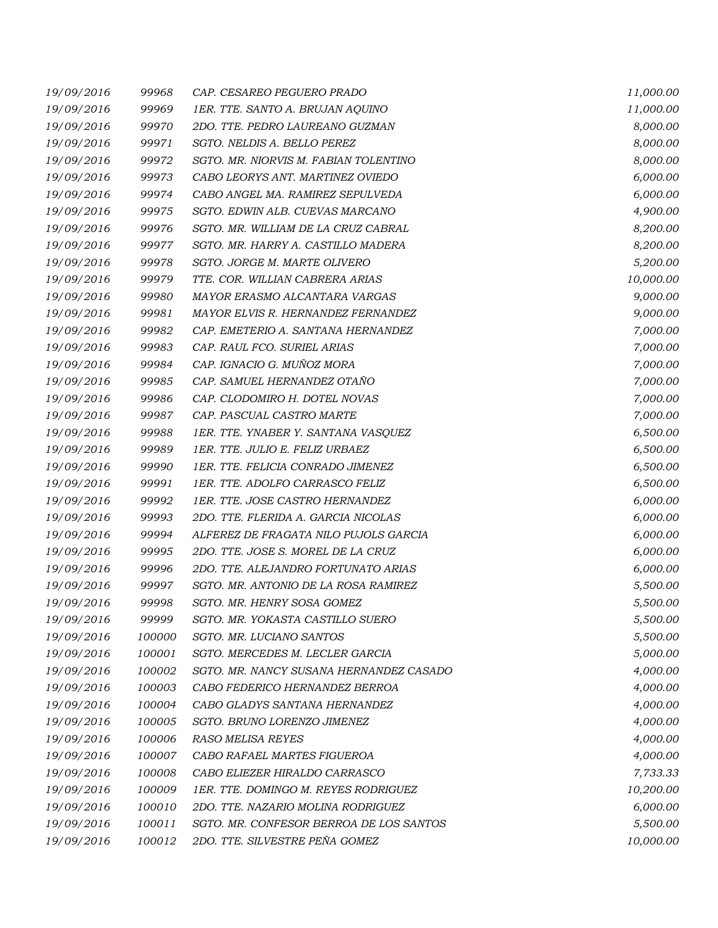| 19/09/2016 | 99968  | CAP. CESAREO PEGUERO PRADO              | 11,000.00 |
|------------|--------|-----------------------------------------|-----------|
| 19/09/2016 | 99969  | 1ER. TTE. SANTO A. BRUJAN AQUINO        | 11,000.00 |
| 19/09/2016 | 99970  | 2DO. TTE. PEDRO LAUREANO GUZMAN         | 8,000.00  |
| 19/09/2016 | 99971  | SGTO. NELDIS A. BELLO PEREZ             | 8,000.00  |
| 19/09/2016 | 99972  | SGTO. MR. NIORVIS M. FABIAN TOLENTINO   | 8,000.00  |
| 19/09/2016 | 99973  | CABO LEORYS ANT. MARTINEZ OVIEDO        | 6,000.00  |
| 19/09/2016 | 99974  | CABO ANGEL MA. RAMIREZ SEPULVEDA        | 6,000.00  |
| 19/09/2016 | 99975  | SGTO. EDWIN ALB. CUEVAS MARCANO         | 4,900.00  |
| 19/09/2016 | 99976  | SGTO. MR. WILLIAM DE LA CRUZ CABRAL     | 8,200.00  |
| 19/09/2016 | 99977  | SGTO. MR. HARRY A. CASTILLO MADERA      | 8,200.00  |
| 19/09/2016 | 99978  | SGTO. JORGE M. MARTE OLIVERO            | 5,200.00  |
| 19/09/2016 | 99979  | TTE. COR. WILLIAN CABRERA ARIAS         | 10,000.00 |
| 19/09/2016 | 99980  | MAYOR ERASMO ALCANTARA VARGAS           | 9,000.00  |
| 19/09/2016 | 99981  | MAYOR ELVIS R. HERNANDEZ FERNANDEZ      | 9,000.00  |
| 19/09/2016 | 99982  | CAP. EMETERIO A. SANTANA HERNANDEZ      | 7,000.00  |
| 19/09/2016 | 99983  | CAP. RAUL FCO. SURIEL ARIAS             | 7,000.00  |
| 19/09/2016 | 99984  | CAP. IGNACIO G. MUÑOZ MORA              | 7,000.00  |
| 19/09/2016 | 99985  | CAP. SAMUEL HERNANDEZ OTAÑO             | 7,000.00  |
| 19/09/2016 | 99986  | CAP. CLODOMIRO H. DOTEL NOVAS           | 7,000.00  |
| 19/09/2016 | 99987  | CAP. PASCUAL CASTRO MARTE               | 7,000.00  |
| 19/09/2016 | 99988  | 1ER. TTE. YNABER Y. SANTANA VASQUEZ     | 6,500.00  |
| 19/09/2016 | 99989  | 1ER. TTE. JULIO E. FELIZ URBAEZ         | 6,500.00  |
| 19/09/2016 | 99990  | 1ER. TTE. FELICIA CONRADO JIMENEZ       | 6,500.00  |
| 19/09/2016 | 99991  | 1ER. TTE. ADOLFO CARRASCO FELIZ         | 6,500.00  |
| 19/09/2016 | 99992  | 1ER. TTE. JOSE CASTRO HERNANDEZ         | 6,000.00  |
| 19/09/2016 | 99993  | 2DO. TTE. FLERIDA A. GARCIA NICOLAS     | 6,000.00  |
| 19/09/2016 | 99994  | ALFEREZ DE FRAGATA NILO PUJOLS GARCIA   | 6,000.00  |
| 19/09/2016 | 99995  | 2DO. TTE. JOSE S. MOREL DE LA CRUZ      | 6,000.00  |
| 19/09/2016 | 99996  | 2DO. TTE. ALEJANDRO FORTUNATO ARIAS     | 6,000.00  |
| 19/09/2016 | 99997  | SGTO. MR. ANTONIO DE LA ROSA RAMIREZ    | 5,500.00  |
| 19/09/2016 | 99998  | SGTO. MR. HENRY SOSA GOMEZ              | 5,500.00  |
| 19/09/2016 | 99999  | SGTO. MR. YOKASTA CASTILLO SUERO        | 5,500.00  |
| 19/09/2016 | 100000 | SGTO. MR. LUCIANO SANTOS                | 5,500.00  |
| 19/09/2016 | 100001 | SGTO. MERCEDES M. LECLER GARCIA         | 5,000.00  |
| 19/09/2016 | 100002 | SGTO. MR. NANCY SUSANA HERNANDEZ CASADO | 4,000.00  |
| 19/09/2016 | 100003 | CABO FEDERICO HERNANDEZ BERROA          | 4,000.00  |
| 19/09/2016 | 100004 | CABO GLADYS SANTANA HERNANDEZ           | 4,000.00  |
| 19/09/2016 | 100005 | SGTO. BRUNO LORENZO JIMENEZ             | 4,000.00  |
| 19/09/2016 | 100006 | <b>RASO MELISA REYES</b>                | 4,000.00  |
| 19/09/2016 | 100007 | CABO RAFAEL MARTES FIGUEROA             | 4,000.00  |
| 19/09/2016 | 100008 | CABO ELIEZER HIRALDO CARRASCO           | 7,733.33  |
| 19/09/2016 | 100009 | 1ER. TTE. DOMINGO M. REYES RODRIGUEZ    | 10,200.00 |
| 19/09/2016 | 100010 | 2DO. TTE. NAZARIO MOLINA RODRIGUEZ      | 6,000.00  |
| 19/09/2016 | 100011 | SGTO. MR. CONFESOR BERROA DE LOS SANTOS | 5,500.00  |
| 19/09/2016 | 100012 | 2DO. TTE. SILVESTRE PEÑA GOMEZ          | 10,000.00 |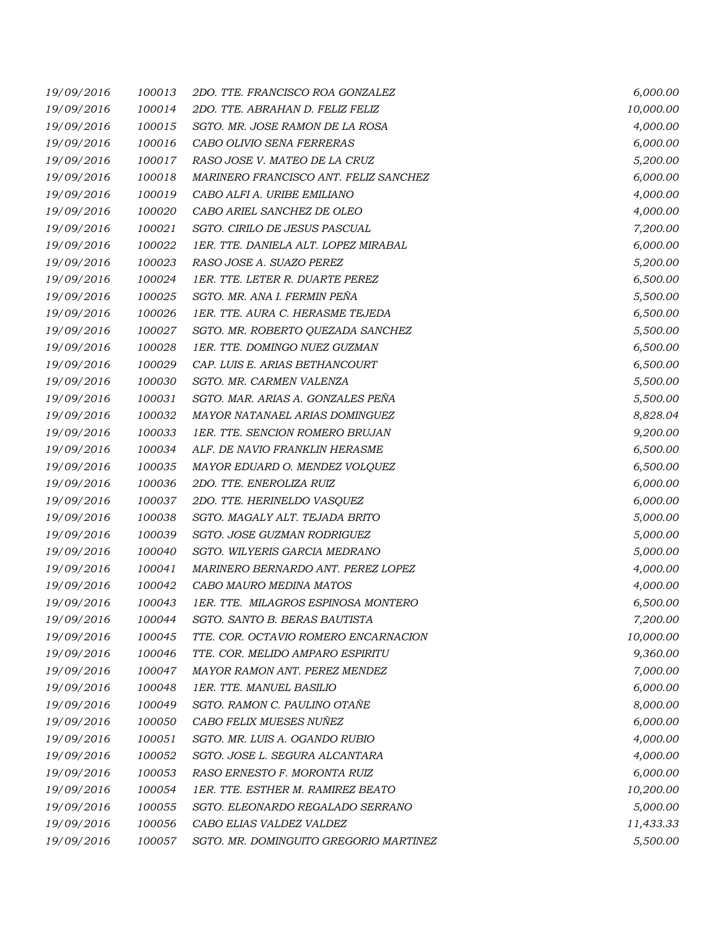| 19/09/2016 | 100013 | 2DO. TTE. FRANCISCO ROA GONZALEZ       | 6,000.00  |
|------------|--------|----------------------------------------|-----------|
| 19/09/2016 | 100014 | 2DO. TTE. ABRAHAN D. FELIZ FELIZ       | 10,000.00 |
| 19/09/2016 | 100015 | SGTO. MR. JOSE RAMON DE LA ROSA        | 4,000.00  |
| 19/09/2016 | 100016 | CABO OLIVIO SENA FERRERAS              | 6,000.00  |
| 19/09/2016 | 100017 | RASO JOSE V. MATEO DE LA CRUZ          | 5,200.00  |
| 19/09/2016 | 100018 | MARINERO FRANCISCO ANT. FELIZ SANCHEZ  | 6,000.00  |
| 19/09/2016 | 100019 | CABO ALFI A. URIBE EMILIANO            | 4,000.00  |
| 19/09/2016 | 100020 | CABO ARIEL SANCHEZ DE OLEO             | 4,000.00  |
| 19/09/2016 | 100021 | SGTO. CIRILO DE JESUS PASCUAL          | 7,200.00  |
| 19/09/2016 | 100022 | 1ER. TTE. DANIELA ALT. LOPEZ MIRABAL   | 6,000.00  |
| 19/09/2016 | 100023 | RASO JOSE A. SUAZO PEREZ               | 5,200.00  |
| 19/09/2016 | 100024 | 1ER. TTE. LETER R. DUARTE PEREZ        | 6,500.00  |
| 19/09/2016 | 100025 | SGTO. MR. ANA I. FERMIN PEÑA           | 5,500.00  |
| 19/09/2016 | 100026 | 1ER. TTE. AURA C. HERASME TEJEDA       | 6,500.00  |
| 19/09/2016 | 100027 | SGTO. MR. ROBERTO QUEZADA SANCHEZ      | 5,500.00  |
| 19/09/2016 | 100028 | 1ER. TTE. DOMINGO NUEZ GUZMAN          | 6,500.00  |
| 19/09/2016 | 100029 | CAP. LUIS E. ARIAS BETHANCOURT         | 6,500.00  |
| 19/09/2016 | 100030 | SGTO. MR. CARMEN VALENZA               | 5,500.00  |
| 19/09/2016 | 100031 | SGTO. MAR. ARIAS A. GONZALES PEÑA      | 5,500.00  |
| 19/09/2016 | 100032 | MAYOR NATANAEL ARIAS DOMINGUEZ         | 8,828.04  |
| 19/09/2016 | 100033 | 1ER. TTE. SENCION ROMERO BRUJAN        | 9,200.00  |
| 19/09/2016 | 100034 | ALF. DE NAVIO FRANKLIN HERASME         | 6,500.00  |
| 19/09/2016 | 100035 | MAYOR EDUARD O. MENDEZ VOLQUEZ         | 6,500.00  |
| 19/09/2016 | 100036 | 2DO. TTE. ENEROLIZA RUIZ               | 6,000.00  |
| 19/09/2016 | 100037 | 2DO. TTE. HERINELDO VASQUEZ            | 6,000.00  |
| 19/09/2016 | 100038 | SGTO. MAGALY ALT. TEJADA BRITO         | 5,000.00  |
| 19/09/2016 | 100039 | SGTO. JOSE GUZMAN RODRIGUEZ            | 5,000.00  |
| 19/09/2016 | 100040 | SGTO. WILYERIS GARCIA MEDRANO          | 5,000.00  |
| 19/09/2016 | 100041 | MARINERO BERNARDO ANT. PEREZ LOPEZ     | 4,000.00  |
| 19/09/2016 | 100042 | CABO MAURO MEDINA MATOS                | 4,000.00  |
| 19/09/2016 | 100043 | 1ER. TTE. MILAGROS ESPINOSA MONTERO    | 6,500.00  |
| 19/09/2016 | 100044 | SGTO. SANTO B. BERAS BAUTISTA          | 7,200.00  |
| 19/09/2016 | 100045 | TTE. COR. OCTAVIO ROMERO ENCARNACION   | 10,000.00 |
| 19/09/2016 | 100046 | TTE. COR. MELIDO AMPARO ESPIRITU       | 9,360.00  |
| 19/09/2016 | 100047 | MAYOR RAMON ANT. PEREZ MENDEZ          | 7,000.00  |
| 19/09/2016 | 100048 | 1ER. TTE. MANUEL BASILIO               | 6,000.00  |
| 19/09/2016 | 100049 | SGTO. RAMON C. PAULINO OTAÑE           | 8,000.00  |
| 19/09/2016 | 100050 | CABO FELIX MUESES NUÑEZ                | 6,000.00  |
| 19/09/2016 | 100051 | SGTO. MR. LUIS A. OGANDO RUBIO         | 4,000.00  |
| 19/09/2016 | 100052 | SGTO. JOSE L. SEGURA ALCANTARA         | 4,000.00  |
| 19/09/2016 | 100053 | RASO ERNESTO F. MORONTA RUIZ           | 6,000.00  |
| 19/09/2016 | 100054 | 1ER. TTE. ESTHER M. RAMIREZ BEATO      | 10,200.00 |
| 19/09/2016 | 100055 | SGTO. ELEONARDO REGALADO SERRANO       | 5,000.00  |
| 19/09/2016 | 100056 | CABO ELIAS VALDEZ VALDEZ               | 11,433.33 |
| 19/09/2016 | 100057 | SGTO. MR. DOMINGUITO GREGORIO MARTINEZ | 5,500.00  |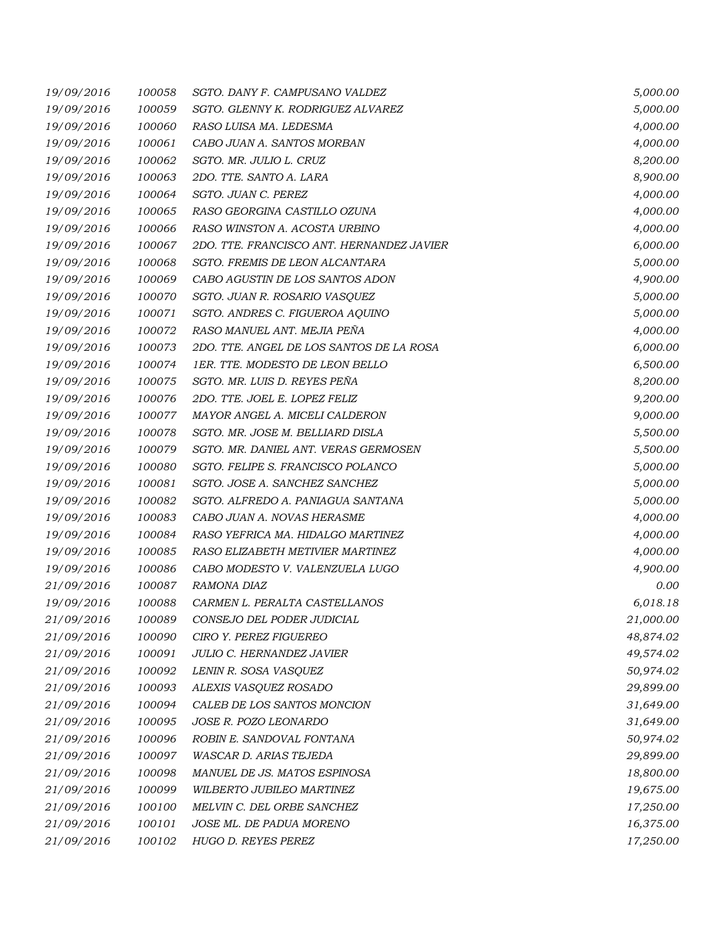| 19/09/2016 | 100058 | SGTO. DANY F. CAMPUSANO VALDEZ            | 5,000.00  |
|------------|--------|-------------------------------------------|-----------|
| 19/09/2016 | 100059 | SGTO. GLENNY K. RODRIGUEZ ALVAREZ         | 5,000.00  |
| 19/09/2016 | 100060 | RASO LUISA MA. LEDESMA                    | 4,000.00  |
| 19/09/2016 | 100061 | CABO JUAN A. SANTOS MORBAN                | 4,000.00  |
| 19/09/2016 | 100062 | SGTO. MR. JULIO L. CRUZ                   | 8,200.00  |
| 19/09/2016 | 100063 | 2DO. TTE. SANTO A. LARA                   | 8,900.00  |
| 19/09/2016 | 100064 | SGTO. JUAN C. PEREZ                       | 4,000.00  |
| 19/09/2016 | 100065 | RASO GEORGINA CASTILLO OZUNA              | 4,000.00  |
| 19/09/2016 | 100066 | RASO WINSTON A. ACOSTA URBINO             | 4,000.00  |
| 19/09/2016 | 100067 | 2DO. TTE. FRANCISCO ANT. HERNANDEZ JAVIER | 6,000.00  |
| 19/09/2016 | 100068 | SGTO. FREMIS DE LEON ALCANTARA            | 5,000.00  |
| 19/09/2016 | 100069 | CABO AGUSTIN DE LOS SANTOS ADON           | 4,900.00  |
| 19/09/2016 | 100070 | SGTO. JUAN R. ROSARIO VASQUEZ             | 5,000.00  |
| 19/09/2016 | 100071 | SGTO. ANDRES C. FIGUEROA AQUINO           | 5,000.00  |
| 19/09/2016 | 100072 | RASO MANUEL ANT. MEJIA PEÑA               | 4,000.00  |
| 19/09/2016 | 100073 | 2DO. TTE. ANGEL DE LOS SANTOS DE LA ROSA  | 6,000.00  |
| 19/09/2016 | 100074 | 1ER. TTE. MODESTO DE LEON BELLO           | 6,500.00  |
| 19/09/2016 | 100075 | SGTO. MR. LUIS D. REYES PEÑA              | 8,200.00  |
| 19/09/2016 | 100076 | 2DO. TTE. JOEL E. LOPEZ FELIZ             | 9,200.00  |
| 19/09/2016 | 100077 | MAYOR ANGEL A. MICELI CALDERON            | 9,000.00  |
| 19/09/2016 | 100078 | SGTO. MR. JOSE M. BELLIARD DISLA          | 5,500.00  |
| 19/09/2016 | 100079 | SGTO. MR. DANIEL ANT. VERAS GERMOSEN      | 5,500.00  |
| 19/09/2016 | 100080 | SGTO. FELIPE S. FRANCISCO POLANCO         | 5,000.00  |
| 19/09/2016 | 100081 | SGTO. JOSE A. SANCHEZ SANCHEZ             | 5,000.00  |
| 19/09/2016 | 100082 | SGTO. ALFREDO A. PANIAGUA SANTANA         | 5,000.00  |
| 19/09/2016 | 100083 | CABO JUAN A. NOVAS HERASME                | 4,000.00  |
| 19/09/2016 | 100084 | RASO YEFRICA MA. HIDALGO MARTINEZ         | 4,000.00  |
| 19/09/2016 | 100085 | RASO ELIZABETH METIVIER MARTINEZ          | 4,000.00  |
| 19/09/2016 | 100086 | CABO MODESTO V. VALENZUELA LUGO           | 4,900.00  |
| 21/09/2016 | 100087 | RAMONA DIAZ                               | 0.00      |
| 19/09/2016 | 100088 | CARMEN L. PERALTA CASTELLANOS             | 6,018.18  |
| 21/09/2016 | 100089 | CONSEJO DEL PODER JUDICIAL                | 21,000.00 |
| 21/09/2016 | 100090 | CIRO Y. PEREZ FIGUEREO                    | 48,874.02 |
| 21/09/2016 | 100091 | JULIO C. HERNANDEZ JAVIER                 | 49,574.02 |
| 21/09/2016 | 100092 | LENIN R. SOSA VASQUEZ                     | 50,974.02 |
| 21/09/2016 | 100093 | ALEXIS VASQUEZ ROSADO                     | 29,899.00 |
| 21/09/2016 | 100094 | CALEB DE LOS SANTOS MONCION               | 31,649.00 |
| 21/09/2016 | 100095 | JOSE R. POZO LEONARDO                     | 31,649.00 |
| 21/09/2016 | 100096 | ROBIN E. SANDOVAL FONTANA                 | 50,974.02 |
| 21/09/2016 | 100097 | WASCAR D. ARIAS TEJEDA                    | 29,899.00 |
| 21/09/2016 | 100098 | MANUEL DE JS. MATOS ESPINOSA              | 18,800.00 |
| 21/09/2016 | 100099 | WILBERTO JUBILEO MARTINEZ                 | 19,675.00 |
| 21/09/2016 | 100100 | MELVIN C. DEL ORBE SANCHEZ                | 17,250.00 |
| 21/09/2016 | 100101 | JOSE ML. DE PADUA MORENO                  | 16,375.00 |
| 21/09/2016 | 100102 | HUGO D. REYES PEREZ                       | 17,250.00 |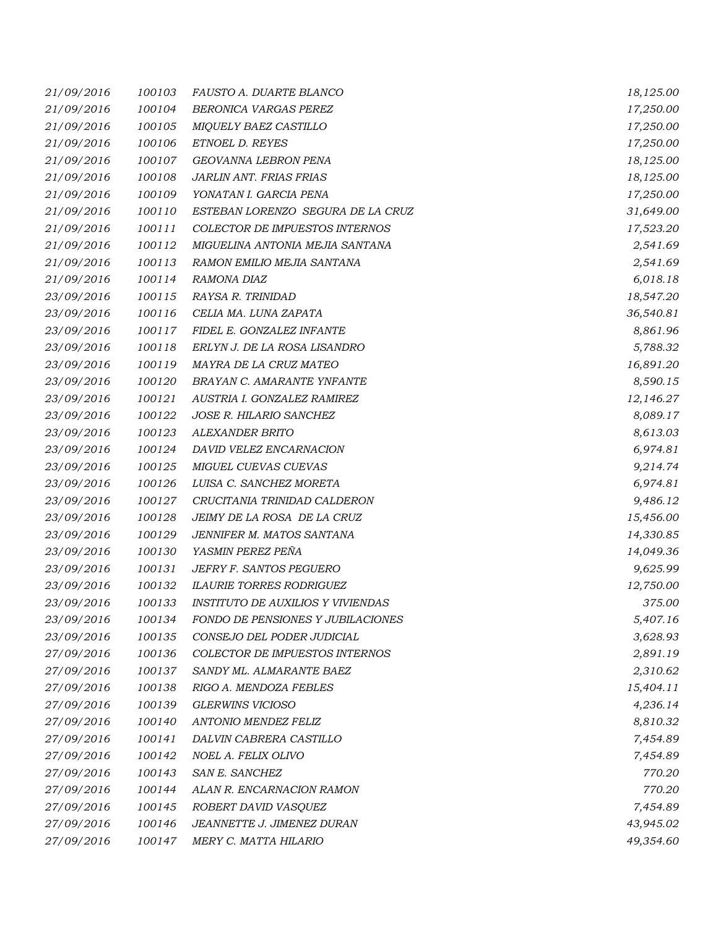| 21/09/2016 | 100103 | FAUSTO A. DUARTE BLANCO                  | 18,125.00 |
|------------|--------|------------------------------------------|-----------|
| 21/09/2016 | 100104 | BERONICA VARGAS PEREZ                    | 17,250.00 |
| 21/09/2016 | 100105 | MIQUELY BAEZ CASTILLO                    | 17,250.00 |
| 21/09/2016 | 100106 | ETNOEL D. REYES                          | 17,250.00 |
| 21/09/2016 | 100107 | GEOVANNA LEBRON PENA                     | 18,125.00 |
| 21/09/2016 | 100108 | JARLIN ANT. FRIAS FRIAS                  | 18,125.00 |
| 21/09/2016 | 100109 | YONATAN I. GARCIA PENA                   | 17,250.00 |
| 21/09/2016 | 100110 | ESTEBAN LORENZO SEGURA DE LA CRUZ        | 31,649.00 |
| 21/09/2016 | 100111 | COLECTOR DE IMPUESTOS INTERNOS           | 17,523.20 |
| 21/09/2016 | 100112 | MIGUELINA ANTONIA MEJIA SANTANA          | 2,541.69  |
| 21/09/2016 | 100113 | RAMON EMILIO MEJIA SANTANA               | 2,541.69  |
| 21/09/2016 | 100114 | RAMONA DIAZ                              | 6,018.18  |
| 23/09/2016 | 100115 | RAYSA R. TRINIDAD                        | 18,547.20 |
| 23/09/2016 | 100116 | CELIA MA. LUNA ZAPATA                    | 36,540.81 |
| 23/09/2016 | 100117 | FIDEL E. GONZALEZ INFANTE                | 8,861.96  |
| 23/09/2016 | 100118 | ERLYN J. DE LA ROSA LISANDRO             | 5,788.32  |
| 23/09/2016 | 100119 | MAYRA DE LA CRUZ MATEO                   | 16,891.20 |
| 23/09/2016 | 100120 | BRAYAN C. AMARANTE YNFANTE               | 8,590.15  |
| 23/09/2016 | 100121 | AUSTRIA I. GONZALEZ RAMIREZ              | 12,146.27 |
| 23/09/2016 | 100122 | JOSE R. HILARIO SANCHEZ                  | 8,089.17  |
| 23/09/2016 | 100123 | ALEXANDER BRITO                          | 8,613.03  |
| 23/09/2016 | 100124 | DAVID VELEZ ENCARNACION                  | 6,974.81  |
| 23/09/2016 | 100125 | MIGUEL CUEVAS CUEVAS                     | 9,214.74  |
| 23/09/2016 | 100126 | LUISA C. SANCHEZ MORETA                  | 6,974.81  |
| 23/09/2016 | 100127 | CRUCITANIA TRINIDAD CALDERON             | 9,486.12  |
| 23/09/2016 | 100128 | JEIMY DE LA ROSA DE LA CRUZ              | 15,456.00 |
| 23/09/2016 | 100129 | JENNIFER M. MATOS SANTANA                | 14,330.85 |
| 23/09/2016 | 100130 | YASMIN PEREZ PEÑA                        | 14,049.36 |
| 23/09/2016 | 100131 | JEFRY F. SANTOS PEGUERO                  | 9,625.99  |
| 23/09/2016 | 100132 | <b>ILAURIE TORRES RODRIGUEZ</b>          | 12,750.00 |
| 23/09/2016 | 100133 | <b>INSTITUTO DE AUXILIOS Y VIVIENDAS</b> | 375.00    |
| 23/09/2016 | 100134 | FONDO DE PENSIONES Y JUBILACIONES        | 5,407.16  |
| 23/09/2016 | 100135 | CONSEJO DEL PODER JUDICIAL               | 3,628.93  |
| 27/09/2016 | 100136 | COLECTOR DE IMPUESTOS INTERNOS           | 2,891.19  |
| 27/09/2016 | 100137 | SANDY ML. ALMARANTE BAEZ                 | 2,310.62  |
| 27/09/2016 | 100138 | RIGO A. MENDOZA FEBLES                   | 15,404.11 |
| 27/09/2016 | 100139 | <b>GLERWINS VICIOSO</b>                  | 4,236.14  |
| 27/09/2016 | 100140 | ANTONIO MENDEZ FELIZ                     | 8,810.32  |
| 27/09/2016 | 100141 | DALVIN CABRERA CASTILLO                  | 7,454.89  |
| 27/09/2016 | 100142 | NOEL A. FELIX OLIVO                      | 7,454.89  |
| 27/09/2016 | 100143 | SAN E. SANCHEZ                           | 770.20    |
| 27/09/2016 | 100144 | ALAN R. ENCARNACION RAMON                | 770.20    |
| 27/09/2016 | 100145 | ROBERT DAVID VASQUEZ                     | 7,454.89  |
| 27/09/2016 | 100146 | JEANNETTE J. JIMENEZ DURAN               | 43,945.02 |
| 27/09/2016 | 100147 | MERY C. MATTA HILARIO                    | 49,354.60 |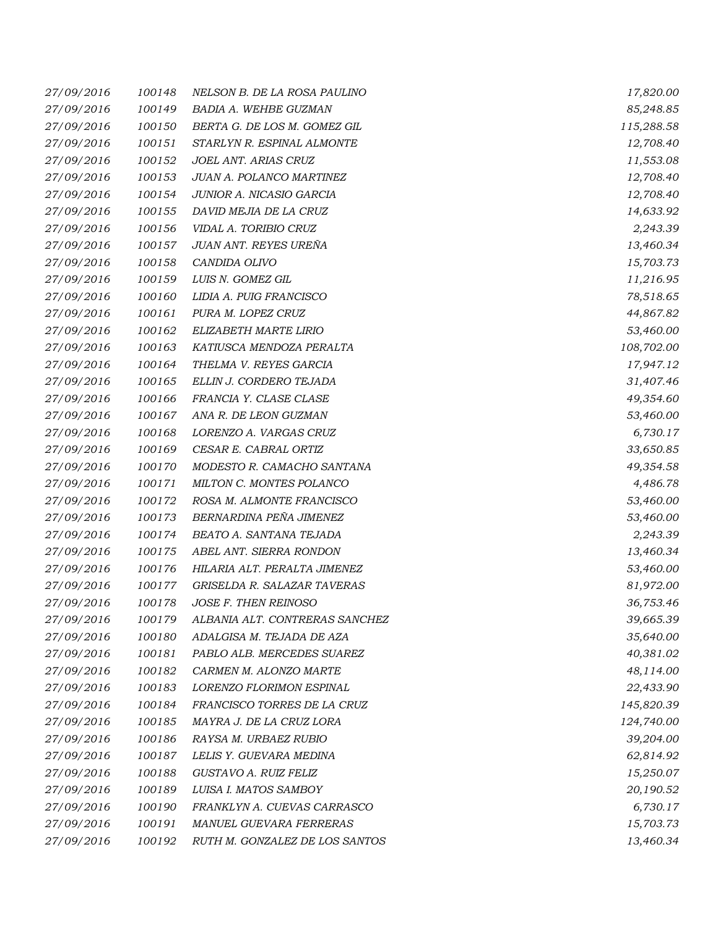| 27/09/2016 | 100148 | NELSON B. DE LA ROSA PAULINO   | 17,820.00  |
|------------|--------|--------------------------------|------------|
| 27/09/2016 | 100149 | BADIA A. WEHBE GUZMAN          | 85,248.85  |
| 27/09/2016 | 100150 | BERTA G. DE LOS M. GOMEZ GIL   | 115,288.58 |
| 27/09/2016 | 100151 | STARLYN R. ESPINAL ALMONTE     | 12,708.40  |
| 27/09/2016 | 100152 | JOEL ANT. ARIAS CRUZ           | 11,553.08  |
| 27/09/2016 | 100153 | JUAN A. POLANCO MARTINEZ       | 12,708.40  |
| 27/09/2016 | 100154 | JUNIOR A. NICASIO GARCIA       | 12,708.40  |
| 27/09/2016 | 100155 | DAVID MEJIA DE LA CRUZ         | 14,633.92  |
| 27/09/2016 | 100156 | VIDAL A. TORIBIO CRUZ          | 2,243.39   |
| 27/09/2016 | 100157 | JUAN ANT. REYES UREÑA          | 13,460.34  |
| 27/09/2016 | 100158 | CANDIDA OLIVO                  | 15,703.73  |
| 27/09/2016 | 100159 | LUIS N. GOMEZ GIL              | 11,216.95  |
| 27/09/2016 | 100160 | LIDIA A. PUIG FRANCISCO        | 78,518.65  |
| 27/09/2016 | 100161 | PURA M. LOPEZ CRUZ             | 44,867.82  |
| 27/09/2016 | 100162 | ELIZABETH MARTE LIRIO          | 53,460.00  |
| 27/09/2016 | 100163 | KATIUSCA MENDOZA PERALTA       | 108,702.00 |
| 27/09/2016 | 100164 | THELMA V. REYES GARCIA         | 17,947.12  |
| 27/09/2016 | 100165 | ELLIN J. CORDERO TEJADA        | 31,407.46  |
| 27/09/2016 | 100166 | FRANCIA Y. CLASE CLASE         | 49,354.60  |
| 27/09/2016 | 100167 | ANA R. DE LEON GUZMAN          | 53,460.00  |
| 27/09/2016 | 100168 | LORENZO A. VARGAS CRUZ         | 6,730.17   |
| 27/09/2016 | 100169 | CESAR E. CABRAL ORTIZ          | 33,650.85  |
| 27/09/2016 | 100170 | MODESTO R. CAMACHO SANTANA     | 49,354.58  |
| 27/09/2016 | 100171 | MILTON C. MONTES POLANCO       | 4,486.78   |
| 27/09/2016 | 100172 | ROSA M. ALMONTE FRANCISCO      | 53,460.00  |
| 27/09/2016 | 100173 | BERNARDINA PEÑA JIMENEZ        | 53,460.00  |
| 27/09/2016 | 100174 | BEATO A. SANTANA TEJADA        | 2,243.39   |
| 27/09/2016 | 100175 | ABEL ANT. SIERRA RONDON        | 13,460.34  |
| 27/09/2016 | 100176 | HILARIA ALT. PERALTA JIMENEZ   | 53,460.00  |
| 27/09/2016 | 100177 | GRISELDA R. SALAZAR TAVERAS    | 81,972.00  |
| 27/09/2016 | 100178 | JOSE F. THEN REINOSO           | 36,753.46  |
| 27/09/2016 | 100179 | ALBANIA ALT. CONTRERAS SANCHEZ | 39,665.39  |
| 27/09/2016 | 100180 | ADALGISA M. TEJADA DE AZA      | 35,640.00  |
| 27/09/2016 | 100181 | PABLO ALB. MERCEDES SUAREZ     | 40,381.02  |
| 27/09/2016 | 100182 | CARMEN M. ALONZO MARTE         | 48,114.00  |
| 27/09/2016 | 100183 | LORENZO FLORIMON ESPINAL       | 22,433.90  |
| 27/09/2016 | 100184 | FRANCISCO TORRES DE LA CRUZ    | 145,820.39 |
| 27/09/2016 | 100185 | MAYRA J. DE LA CRUZ LORA       | 124,740.00 |
| 27/09/2016 | 100186 | RAYSA M. URBAEZ RUBIO          | 39,204.00  |
| 27/09/2016 | 100187 | LELIS Y. GUEVARA MEDINA        | 62,814.92  |
| 27/09/2016 | 100188 | GUSTAVO A. RUIZ FELIZ          | 15,250.07  |
| 27/09/2016 | 100189 | LUISA I. MATOS SAMBOY          | 20,190.52  |
| 27/09/2016 | 100190 | FRANKLYN A. CUEVAS CARRASCO    | 6,730.17   |
| 27/09/2016 | 100191 | MANUEL GUEVARA FERRERAS        | 15,703.73  |
| 27/09/2016 | 100192 | RUTH M. GONZALEZ DE LOS SANTOS | 13,460.34  |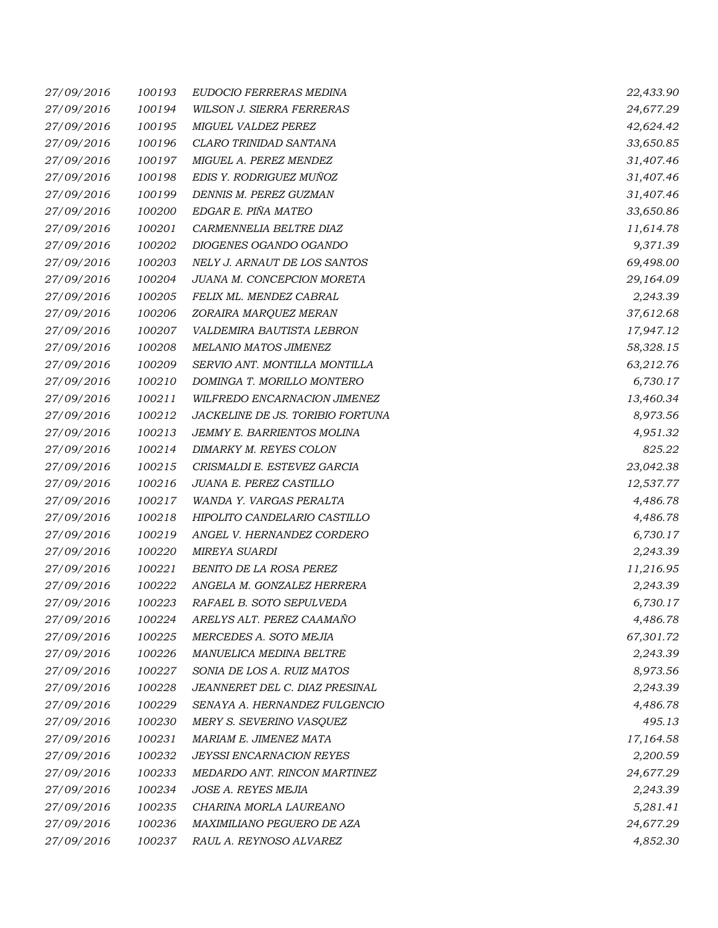| 27/09/2016 | 100193 | EUDOCIO FERRERAS MEDINA          | 22,433.90 |
|------------|--------|----------------------------------|-----------|
| 27/09/2016 | 100194 | WILSON J. SIERRA FERRERAS        | 24,677.29 |
| 27/09/2016 | 100195 | MIGUEL VALDEZ PEREZ              | 42,624.42 |
| 27/09/2016 | 100196 | CLARO TRINIDAD SANTANA           | 33,650.85 |
| 27/09/2016 | 100197 | MIGUEL A. PEREZ MENDEZ           | 31,407.46 |
| 27/09/2016 | 100198 | EDIS Y. RODRIGUEZ MUÑOZ          | 31,407.46 |
| 27/09/2016 | 100199 | DENNIS M. PEREZ GUZMAN           | 31,407.46 |
| 27/09/2016 | 100200 | EDGAR E. PIÑA MATEO              | 33,650.86 |
| 27/09/2016 | 100201 | CARMENNELIA BELTRE DIAZ          | 11,614.78 |
| 27/09/2016 | 100202 | DIOGENES OGANDO OGANDO           | 9,371.39  |
| 27/09/2016 | 100203 | NELY J. ARNAUT DE LOS SANTOS     | 69,498.00 |
| 27/09/2016 | 100204 | JUANA M. CONCEPCION MORETA       | 29,164.09 |
| 27/09/2016 | 100205 | FELIX ML. MENDEZ CABRAL          | 2,243.39  |
| 27/09/2016 | 100206 | ZORAIRA MARQUEZ MERAN            | 37,612.68 |
| 27/09/2016 | 100207 | VALDEMIRA BAUTISTA LEBRON        | 17,947.12 |
| 27/09/2016 | 100208 | MELANIO MATOS JIMENEZ            | 58,328.15 |
| 27/09/2016 | 100209 | SERVIO ANT. MONTILLA MONTILLA    | 63,212.76 |
| 27/09/2016 | 100210 | DOMINGA T. MORILLO MONTERO       | 6,730.17  |
| 27/09/2016 | 100211 | WILFREDO ENCARNACION JIMENEZ     | 13,460.34 |
| 27/09/2016 | 100212 | JACKELINE DE JS. TORIBIO FORTUNA | 8,973.56  |
| 27/09/2016 | 100213 | JEMMY E. BARRIENTOS MOLINA       | 4,951.32  |
| 27/09/2016 | 100214 | DIMARKY M. REYES COLON           | 825.22    |
| 27/09/2016 | 100215 | CRISMALDI E. ESTEVEZ GARCIA      | 23,042.38 |
| 27/09/2016 | 100216 | JUANA E. PEREZ CASTILLO          | 12,537.77 |
| 27/09/2016 | 100217 | WANDA Y. VARGAS PERALTA          | 4,486.78  |
| 27/09/2016 | 100218 | HIPOLITO CANDELARIO CASTILLO     | 4,486.78  |
| 27/09/2016 | 100219 | ANGEL V. HERNANDEZ CORDERO       | 6,730.17  |
| 27/09/2016 | 100220 | <b>MIREYA SUARDI</b>             | 2,243.39  |
| 27/09/2016 | 100221 | BENITO DE LA ROSA PEREZ          | 11,216.95 |
| 27/09/2016 | 100222 | ANGELA M. GONZALEZ HERRERA       | 2,243.39  |
| 27/09/2016 | 100223 | RAFAEL B. SOTO SEPULVEDA         | 6,730.17  |
| 27/09/2016 | 100224 | ARELYS ALT. PEREZ CAAMAÑO        | 4,486.78  |
| 27/09/2016 | 100225 | MERCEDES A. SOTO MEJIA           | 67,301.72 |
| 27/09/2016 | 100226 | MANUELICA MEDINA BELTRE          | 2,243.39  |
| 27/09/2016 | 100227 | SONIA DE LOS A. RUIZ MATOS       | 8,973.56  |
| 27/09/2016 | 100228 | JEANNERET DEL C. DIAZ PRESINAL   | 2,243.39  |
| 27/09/2016 | 100229 | SENAYA A. HERNANDEZ FULGENCIO    | 4,486.78  |
| 27/09/2016 | 100230 | MERY S. SEVERINO VASQUEZ         | 495.13    |
| 27/09/2016 | 100231 | MARIAM E. JIMENEZ MATA           | 17,164.58 |
| 27/09/2016 | 100232 | <b>JEYSSI ENCARNACION REYES</b>  | 2,200.59  |
| 27/09/2016 | 100233 | MEDARDO ANT. RINCON MARTINEZ     | 24,677.29 |
| 27/09/2016 | 100234 | JOSE A. REYES MEJIA              | 2,243.39  |
| 27/09/2016 | 100235 | CHARINA MORLA LAUREANO           | 5,281.41  |
| 27/09/2016 | 100236 | MAXIMILIANO PEGUERO DE AZA       | 24,677.29 |
| 27/09/2016 | 100237 | RAUL A. REYNOSO ALVAREZ          | 4,852.30  |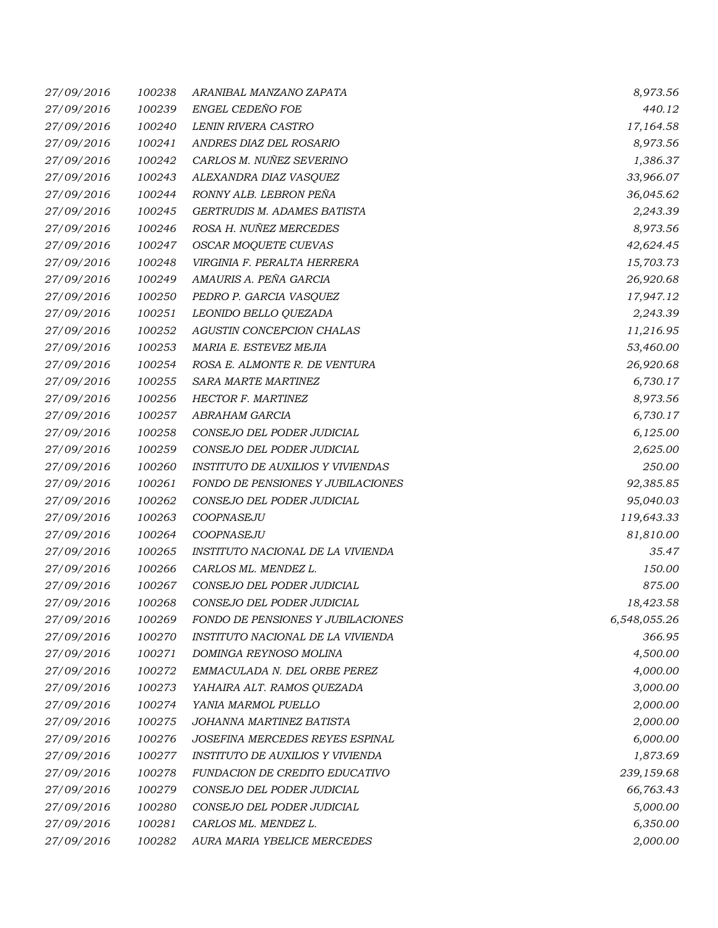| 27/09/2016 | 100238 | ARANIBAL MANZANO ZAPATA                  | 8,973.56     |
|------------|--------|------------------------------------------|--------------|
| 27/09/2016 | 100239 | ENGEL CEDEÑO FOE                         | 440.12       |
| 27/09/2016 | 100240 | LENIN RIVERA CASTRO                      | 17,164.58    |
| 27/09/2016 | 100241 | ANDRES DIAZ DEL ROSARIO                  | 8,973.56     |
| 27/09/2016 | 100242 | CARLOS M. NUÑEZ SEVERINO                 | 1,386.37     |
| 27/09/2016 | 100243 | ALEXANDRA DIAZ VASQUEZ                   | 33,966.07    |
| 27/09/2016 | 100244 | RONNY ALB. LEBRON PEÑA                   | 36,045.62    |
| 27/09/2016 | 100245 | GERTRUDIS M. ADAMES BATISTA              | 2,243.39     |
| 27/09/2016 | 100246 | ROSA H. NUÑEZ MERCEDES                   | 8,973.56     |
| 27/09/2016 | 100247 | OSCAR MOQUETE CUEVAS                     | 42,624.45    |
| 27/09/2016 | 100248 | VIRGINIA F. PERALTA HERRERA              | 15,703.73    |
| 27/09/2016 | 100249 | AMAURIS A. PEÑA GARCIA                   | 26,920.68    |
| 27/09/2016 | 100250 | PEDRO P. GARCIA VASQUEZ                  | 17,947.12    |
| 27/09/2016 | 100251 | LEONIDO BELLO QUEZADA                    | 2,243.39     |
| 27/09/2016 | 100252 | AGUSTIN CONCEPCION CHALAS                | 11,216.95    |
| 27/09/2016 | 100253 | MARIA E. ESTEVEZ MEJIA                   | 53,460.00    |
| 27/09/2016 | 100254 | ROSA E. ALMONTE R. DE VENTURA            | 26,920.68    |
| 27/09/2016 | 100255 | <b>SARA MARTE MARTINEZ</b>               | 6,730.17     |
| 27/09/2016 | 100256 | <b>HECTOR F. MARTINEZ</b>                | 8,973.56     |
| 27/09/2016 | 100257 | ABRAHAM GARCIA                           | 6,730.17     |
| 27/09/2016 | 100258 | CONSEJO DEL PODER JUDICIAL               | 6,125.00     |
| 27/09/2016 | 100259 | CONSEJO DEL PODER JUDICIAL               | 2,625.00     |
| 27/09/2016 | 100260 | <b>INSTITUTO DE AUXILIOS Y VIVIENDAS</b> | 250.00       |
| 27/09/2016 | 100261 | FONDO DE PENSIONES Y JUBILACIONES        | 92,385.85    |
| 27/09/2016 | 100262 | CONSEJO DEL PODER JUDICIAL               | 95,040.03    |
| 27/09/2016 | 100263 | COOPNASEJU                               | 119,643.33   |
| 27/09/2016 | 100264 | COOPNASEJU                               | 81,810.00    |
| 27/09/2016 | 100265 | INSTITUTO NACIONAL DE LA VIVIENDA        | 35.47        |
| 27/09/2016 | 100266 | CARLOS ML. MENDEZ L.                     | 150.00       |
| 27/09/2016 | 100267 | CONSEJO DEL PODER JUDICIAL               | 875.00       |
| 27/09/2016 | 100268 | CONSEJO DEL PODER JUDICIAL               | 18,423.58    |
| 27/09/2016 | 100269 | FONDO DE PENSIONES Y JUBILACIONES        | 6,548,055.26 |
| 27/09/2016 | 100270 | INSTITUTO NACIONAL DE LA VIVIENDA        | 366.95       |
| 27/09/2016 | 100271 | DOMINGA REYNOSO MOLINA                   | 4,500.00     |
| 27/09/2016 | 100272 | EMMACULADA N. DEL ORBE PEREZ             | 4,000.00     |
| 27/09/2016 | 100273 | YAHAIRA ALT. RAMOS QUEZADA               | 3,000.00     |
| 27/09/2016 | 100274 | YANIA MARMOL PUELLO                      | 2,000.00     |
| 27/09/2016 | 100275 | JOHANNA MARTINEZ BATISTA                 | 2,000.00     |
| 27/09/2016 | 100276 | JOSEFINA MERCEDES REYES ESPINAL          | 6,000.00     |
| 27/09/2016 | 100277 | INSTITUTO DE AUXILIOS Y VIVIENDA         | 1,873.69     |
| 27/09/2016 | 100278 | FUNDACION DE CREDITO EDUCATIVO           | 239,159.68   |
| 27/09/2016 | 100279 | CONSEJO DEL PODER JUDICIAL               | 66,763.43    |
| 27/09/2016 | 100280 | CONSEJO DEL PODER JUDICIAL               | 5,000.00     |
| 27/09/2016 | 100281 | CARLOS ML. MENDEZ L.                     | 6,350.00     |
| 27/09/2016 | 100282 | AURA MARIA YBELICE MERCEDES              | 2,000.00     |
|            |        |                                          |              |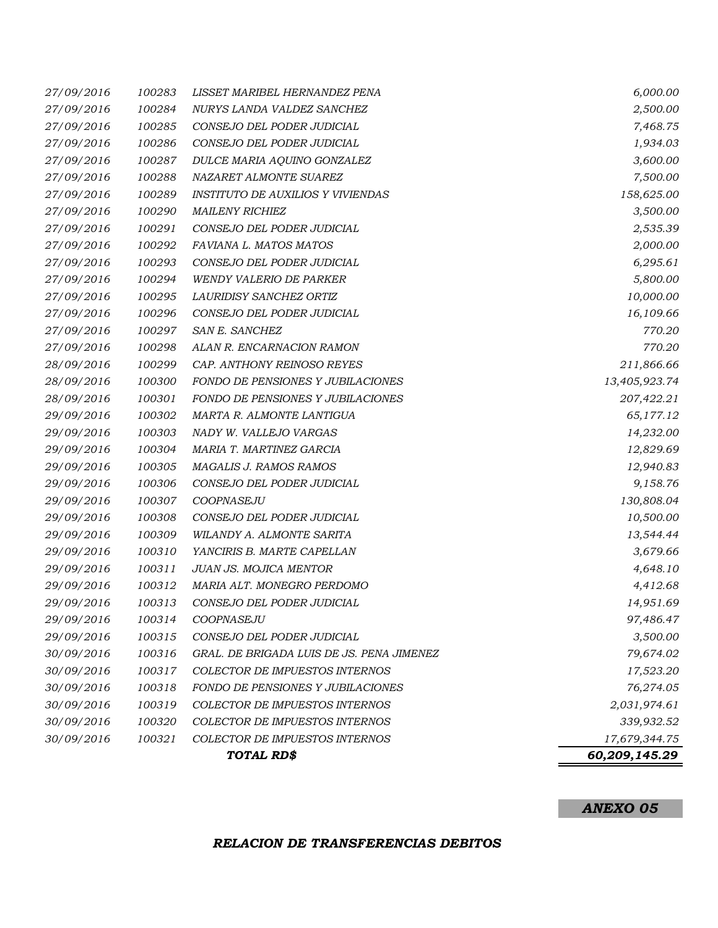## *27/09/2016 100283 LISSET MARIBEL HERNANDEZ PENA 6,000.00 27/09/2016 100284 NURYS LANDA VALDEZ SANCHEZ 2,500.00 27/09/2016 100285 CONSEJO DEL PODER JUDICIAL 7,468.75 27/09/2016 100286 CONSEJO DEL PODER JUDICIAL 1,934.03 27/09/2016 100287 DULCE MARIA AQUINO GONZALEZ 3,600.00 27/09/2016 100288 NAZARET ALMONTE SUAREZ 7,500.00 27/09/2016 100289 INSTITUTO DE AUXILIOS Y VIVIENDAS 158,625.00 27/09/2016 100290 MAILENY RICHIEZ 3,500.00 27/09/2016 100291 CONSEJO DEL PODER JUDICIAL 2,535.39 27/09/2016 100292 FAVIANA L. MATOS MATOS 2,000.00 27/09/2016 100293 CONSEJO DEL PODER JUDICIAL 6,295.61 27/09/2016 100294 WENDY VALERIO DE PARKER 5,800.00 27/09/2016 100295 LAURIDISY SANCHEZ ORTIZ 10,000.00 27/09/2016 100296 CONSEJO DEL PODER JUDICIAL 16,109.66 27/09/2016 100297 SAN E. SANCHEZ 770.20 27/09/2016 100298 ALAN R. ENCARNACION RAMON 770.20 28/09/2016 100299 CAP. ANTHONY REINOSO REYES 211,866.66 28/09/2016 100300 FONDO DE PENSIONES Y JUBILACIONES 13,405,923.74 28/09/2016 100301 FONDO DE PENSIONES Y JUBILACIONES 207,422.21 29/09/2016 100302 MARTA R. ALMONTE LANTIGUA 65,177.12 29/09/2016 100303 NADY W. VALLEJO VARGAS 14,232.00 29/09/2016 100304 MARIA T. MARTINEZ GARCIA 12,829.69 29/09/2016 100305 MAGALIS J. RAMOS RAMOS 12,940.83 29/09/2016 100306 CONSEJO DEL PODER JUDICIAL 9,158.76 29/09/2016 100307 COOPNASEJU 130,808.04 29/09/2016 100308 CONSEJO DEL PODER JUDICIAL 10,500.00 29/09/2016 100309 WILANDY A. ALMONTE SARITA 13,544.44 29/09/2016 100310 YANCIRIS B. MARTE CAPELLAN 3,679.66 29/09/2016 100311 JUAN JS. MOJICA MENTOR 4,648.10 29/09/2016 100312 MARIA ALT. MONEGRO PERDOMO 4,412.68 29/09/2016 100313 CONSEJO DEL PODER JUDICIAL 14,951.69 29/09/2016 100314 COOPNASEJU 97,486.47 29/09/2016 100315 CONSEJO DEL PODER JUDICIAL 3,500.00 30/09/2016 100316 GRAL. DE BRIGADA LUIS DE JS. PENA JIMENEZ 79,674.02 30/09/2016 100317 COLECTOR DE IMPUESTOS INTERNOS 17,523.20 30/09/2016 100318 FONDO DE PENSIONES Y JUBILACIONES 76,274.05 30/09/2016 100319 COLECTOR DE IMPUESTOS INTERNOS 2,031,974.61 30/09/2016 100320 COLECTOR DE IMPUESTOS INTERNOS 339,932.52 30/09/2016 100321 COLECTOR DE IMPUESTOS INTERNOS 17,679,344.75 60,209,145.29 TOTAL RD\$*

#### *ANEXO 05*

#### *RELACION DE TRANSFERENCIAS DEBITOS*